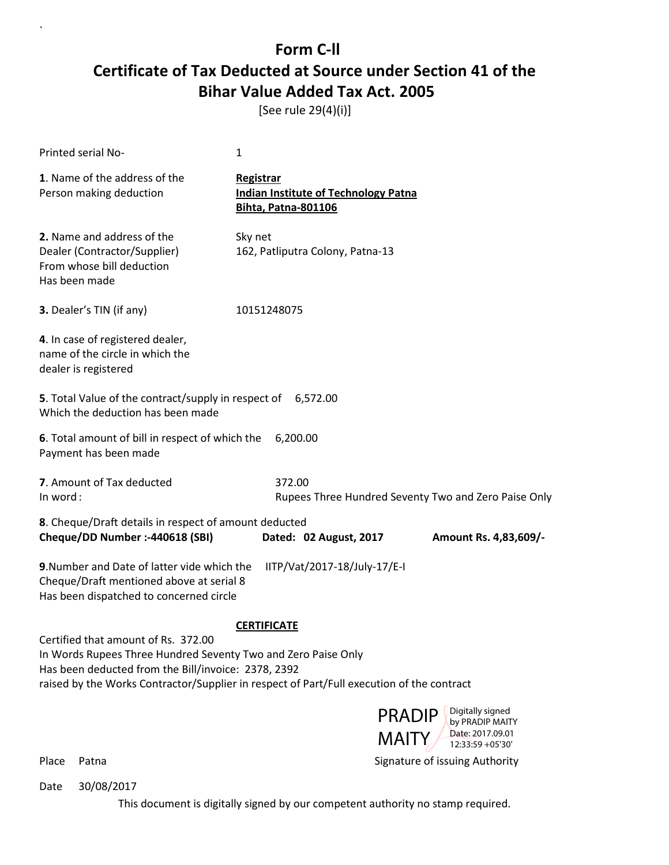[See rule 29(4)(i)]

| Printed serial No-                                                                                                                                                 | $\mathbf{1}$                                                                           |  |  |  |  |
|--------------------------------------------------------------------------------------------------------------------------------------------------------------------|----------------------------------------------------------------------------------------|--|--|--|--|
| 1. Name of the address of the<br>Person making deduction                                                                                                           | Registrar<br><b>Indian Institute of Technology Patna</b><br><b>Bihta, Patna-801106</b> |  |  |  |  |
| 2. Name and address of the<br>Dealer (Contractor/Supplier)<br>From whose bill deduction<br>Has been made                                                           | Sky net<br>162, Patliputra Colony, Patna-13                                            |  |  |  |  |
| 3. Dealer's TIN (if any)                                                                                                                                           | 10151248075                                                                            |  |  |  |  |
| 4. In case of registered dealer,<br>name of the circle in which the<br>dealer is registered                                                                        |                                                                                        |  |  |  |  |
| 5. Total Value of the contract/supply in respect of 6,572.00<br>Which the deduction has been made                                                                  |                                                                                        |  |  |  |  |
| 6. Total amount of bill in respect of which the<br>Payment has been made                                                                                           | 6,200.00                                                                               |  |  |  |  |
| 7. Amount of Tax deducted<br>In word:                                                                                                                              | 372.00<br>Rupees Three Hundred Seventy Two and Zero Paise Only                         |  |  |  |  |
| 8. Cheque/Draft details in respect of amount deducted<br>Cheque/DD Number :- 440618 (SBI)<br>Dated: 02 August, 2017<br>Amount Rs. 4,83,609/-                       |                                                                                        |  |  |  |  |
| 9. Number and Date of latter vide which the<br>IITP/Vat/2017-18/July-17/E-I<br>Cheque/Draft mentioned above at serial 8<br>Has been dispatched to concerned circle |                                                                                        |  |  |  |  |
| <b>CERTIFICATE</b>                                                                                                                                                 |                                                                                        |  |  |  |  |
| Certified that amount of Rs. 372.00<br>In Words Rupees Three Hundred Seventy Two and Zero Paise Only                                                               |                                                                                        |  |  |  |  |

Has been deducted from the Bill/invoice: 2378, 2392

raised by the Works Contractor/Supplier in respect of Part/Full execution of the contract



Place Patna **Property** Place Patna Signature of issuing Authority

`

Date 30/08/2017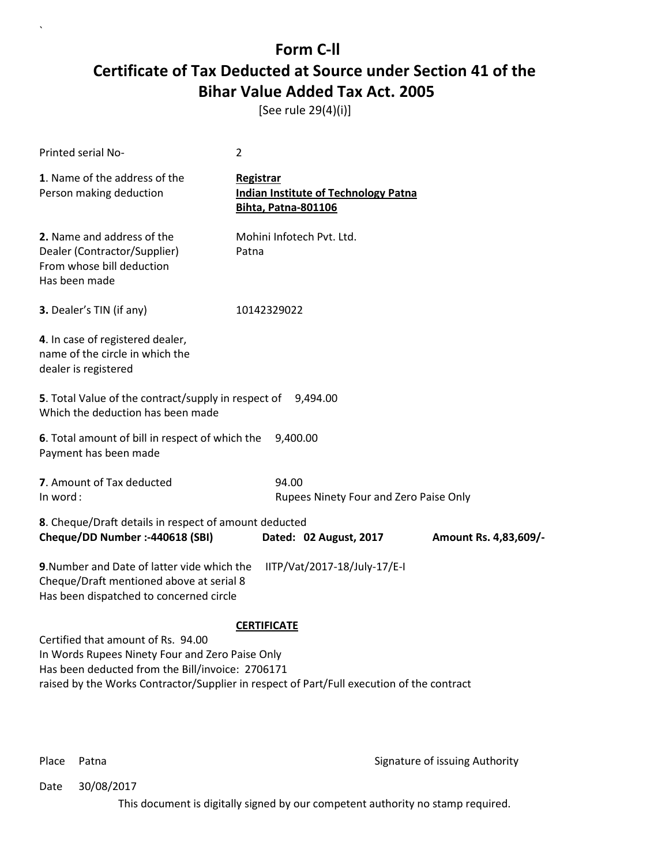[See rule 29(4)(i)]

| Printed serial No-                                                                                                                        | $\overline{2}$                                                                         |                       |
|-------------------------------------------------------------------------------------------------------------------------------------------|----------------------------------------------------------------------------------------|-----------------------|
| 1. Name of the address of the<br>Person making deduction                                                                                  | Registrar<br><b>Indian Institute of Technology Patna</b><br><b>Bihta, Patna-801106</b> |                       |
| 2. Name and address of the<br>Dealer (Contractor/Supplier)<br>From whose bill deduction<br>Has been made                                  | Mohini Infotech Pvt. Ltd.<br>Patna                                                     |                       |
| 3. Dealer's TIN (if any)                                                                                                                  | 10142329022                                                                            |                       |
| 4. In case of registered dealer,<br>name of the circle in which the<br>dealer is registered                                               |                                                                                        |                       |
| 5. Total Value of the contract/supply in respect of<br>Which the deduction has been made                                                  | 9,494.00                                                                               |                       |
| 6. Total amount of bill in respect of which the<br>Payment has been made                                                                  | 9,400.00                                                                               |                       |
| 7. Amount of Tax deducted<br>In word:                                                                                                     | 94.00<br>Rupees Ninety Four and Zero Paise Only                                        |                       |
| 8. Cheque/Draft details in respect of amount deducted<br>Cheque/DD Number :- 440618 (SBI)                                                 | Dated: 02 August, 2017                                                                 | Amount Rs. 4,83,609/- |
| 9. Number and Date of latter vide which the<br>Cheque/Draft mentioned above at serial 8<br>Has been dispatched to concerned circle        | IITP/Vat/2017-18/July-17/E-I                                                           |                       |
|                                                                                                                                           | <b>CERTIFICATE</b>                                                                     |                       |
| Certified that amount of Rs. 94.00<br>In Words Rupees Ninety Four and Zero Paise Only<br>Has been deducted from the Bill/invoice: 2706171 |                                                                                        |                       |

raised by the Works Contractor/Supplier in respect of Part/Full execution of the contract



Place Patna **Property** Place Patna Signature of issuing Authority

`

Date 30/08/2017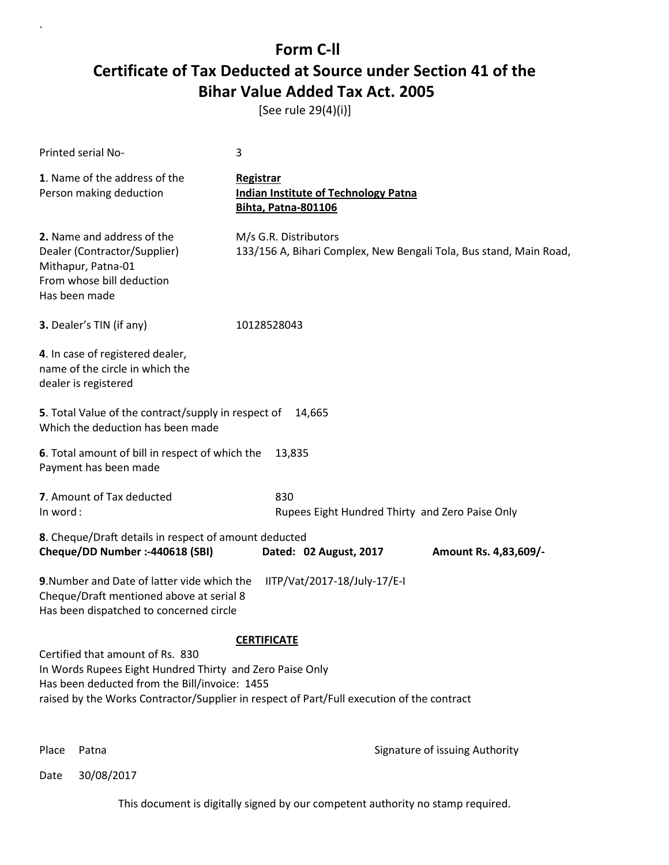[See rule 29(4)(i)]

`

|               | Printed serial No-                                                                                                                                                                                                                         | 3                  |                                                                           |               |                                                                    |
|---------------|--------------------------------------------------------------------------------------------------------------------------------------------------------------------------------------------------------------------------------------------|--------------------|---------------------------------------------------------------------------|---------------|--------------------------------------------------------------------|
|               | 1. Name of the address of the<br>Person making deduction                                                                                                                                                                                   | Registrar          | <b>Indian Institute of Technology Patna</b><br><b>Bihta, Patna-801106</b> |               |                                                                    |
| Has been made | 2. Name and address of the<br>Dealer (Contractor/Supplier)<br>Mithapur, Patna-01<br>From whose bill deduction                                                                                                                              |                    | M/s G.R. Distributors                                                     |               | 133/156 A, Bihari Complex, New Bengali Tola, Bus stand, Main Road, |
|               | 3. Dealer's TIN (if any)                                                                                                                                                                                                                   | 10128528043        |                                                                           |               |                                                                    |
|               | 4. In case of registered dealer,<br>name of the circle in which the<br>dealer is registered                                                                                                                                                |                    |                                                                           |               |                                                                    |
|               | 5. Total Value of the contract/supply in respect of<br>Which the deduction has been made                                                                                                                                                   |                    | 14,665                                                                    |               |                                                                    |
|               | 6. Total amount of bill in respect of which the<br>Payment has been made                                                                                                                                                                   |                    | 13,835                                                                    |               |                                                                    |
| In word:      | 7. Amount of Tax deducted                                                                                                                                                                                                                  |                    | 830                                                                       |               | Rupees Eight Hundred Thirty and Zero Paise Only                    |
|               | 8. Cheque/Draft details in respect of amount deducted<br>Cheque/DD Number :- 440618 (SBI)                                                                                                                                                  |                    | Dated: 02 August, 2017                                                    |               | Amount Rs. 4,83,609/-                                              |
|               | 9. Number and Date of latter vide which the<br>Cheque/Draft mentioned above at serial 8<br>Has been dispatched to concerned circle                                                                                                         |                    | IITP/Vat/2017-18/July-17/E-I                                              |               |                                                                    |
|               | Certified that amount of Rs. 830<br>In Words Rupees Eight Hundred Thirty and Zero Paise Only<br>Has been deducted from the Bill/invoice: 1455<br>raised by the Works Contractor/Supplier in respect of Part/Full execution of the contract | <b>CERTIFICATE</b> |                                                                           | <b>PRADIP</b> | Digitally signed by<br>PRADIP MAITY<br>Date: 2017.09.01            |
| Place         | Patna                                                                                                                                                                                                                                      |                    |                                                                           | <b>MAITY</b>  | 12:34:43 +05'30'<br>Signature of issuing Authority                 |
| Date          | 30/08/2017                                                                                                                                                                                                                                 |                    |                                                                           |               |                                                                    |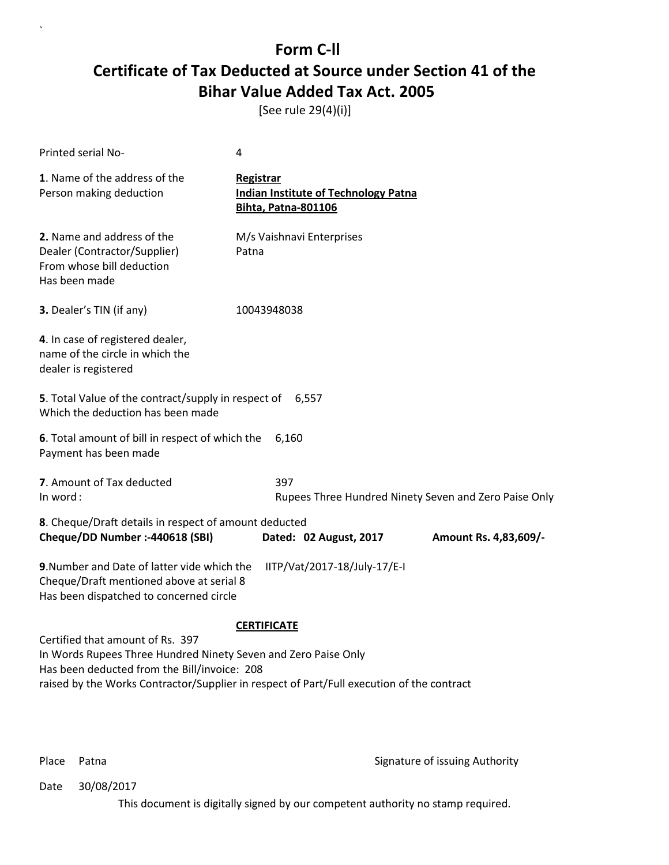[See rule 29(4)(i)]

| Printed serial No-                                                                                                                 | 4                                                                                             |
|------------------------------------------------------------------------------------------------------------------------------------|-----------------------------------------------------------------------------------------------|
| 1. Name of the address of the<br>Person making deduction                                                                           | <b>Registrar</b><br><b>Indian Institute of Technology Patna</b><br><b>Bihta, Patna-801106</b> |
| 2. Name and address of the<br>Dealer (Contractor/Supplier)<br>From whose bill deduction<br>Has been made                           | M/s Vaishnavi Enterprises<br>Patna                                                            |
| 3. Dealer's TIN (if any)                                                                                                           | 10043948038                                                                                   |
| 4. In case of registered dealer,<br>name of the circle in which the<br>dealer is registered                                        |                                                                                               |
| 5. Total Value of the contract/supply in respect of 6,557<br>Which the deduction has been made                                     |                                                                                               |
| 6. Total amount of bill in respect of which the<br>Payment has been made                                                           | 6,160                                                                                         |
| 7. Amount of Tax deducted<br>In word:                                                                                              | 397<br>Rupees Three Hundred Ninety Seven and Zero Paise Only                                  |
| 8. Cheque/Draft details in respect of amount deducted<br>Cheque/DD Number :- 440618 (SBI)                                          | Dated: 02 August, 2017<br>Amount Rs. 4,83,609/-                                               |
| 9. Number and Date of latter vide which the<br>Cheque/Draft mentioned above at serial 8<br>Has been dispatched to concerned circle | IITP/Vat/2017-18/July-17/E-I                                                                  |
| Certified that amount of Rs. 397                                                                                                   | <b>CERTIFICATE</b>                                                                            |

In Words Rupees Three Hundred Ninety Seven and Zero Paise Only Has been deducted from the Bill/invoice: 208 raised by the Works Contractor/Supplier in respect of Part/Full execution of the contract



`

Date 30/08/2017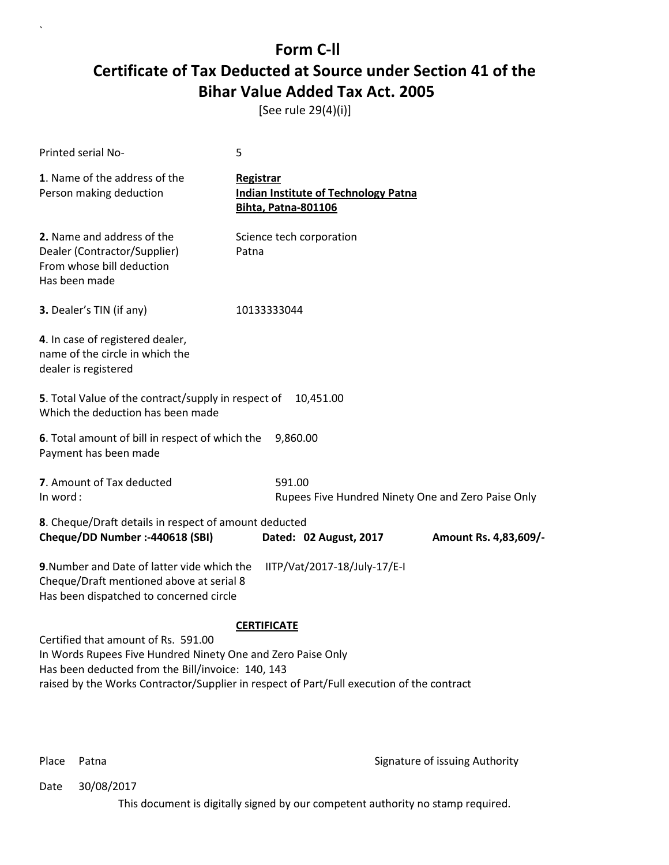[See rule 29(4)(i)]

| Printed serial No-                                                                                                                                      | 5                                                                                      |                       |
|---------------------------------------------------------------------------------------------------------------------------------------------------------|----------------------------------------------------------------------------------------|-----------------------|
| 1. Name of the address of the<br>Person making deduction                                                                                                | Registrar<br><b>Indian Institute of Technology Patna</b><br><b>Bihta, Patna-801106</b> |                       |
| 2. Name and address of the<br>Dealer (Contractor/Supplier)<br>From whose bill deduction<br>Has been made                                                | Science tech corporation<br>Patna                                                      |                       |
| 3. Dealer's TIN (if any)                                                                                                                                | 10133333044                                                                            |                       |
| 4. In case of registered dealer,<br>name of the circle in which the<br>dealer is registered                                                             |                                                                                        |                       |
| 5. Total Value of the contract/supply in respect of<br>Which the deduction has been made                                                                | 10,451.00                                                                              |                       |
| 6. Total amount of bill in respect of which the<br>Payment has been made                                                                                | 9,860.00                                                                               |                       |
| 7. Amount of Tax deducted<br>In word:                                                                                                                   | 591.00<br>Rupees Five Hundred Ninety One and Zero Paise Only                           |                       |
| 8. Cheque/Draft details in respect of amount deducted<br>Cheque/DD Number :- 440618 (SBI)                                                               | Dated: 02 August, 2017                                                                 | Amount Rs. 4,83,609/- |
| 9. Number and Date of latter vide which the<br>Cheque/Draft mentioned above at serial 8<br>Has been dispatched to concerned circle                      | IITP/Vat/2017-18/July-17/E-I                                                           |                       |
|                                                                                                                                                         | <b>CERTIFICATE</b>                                                                     |                       |
| Certified that amount of Rs. 591.00<br>In Words Rupees Five Hundred Ninety One and Zero Paise Only<br>Has been deducted from the Bill/invoice: 140, 143 |                                                                                        |                       |





Place Patna **Property** Place Patna Signature of issuing Authority

`

Date 30/08/2017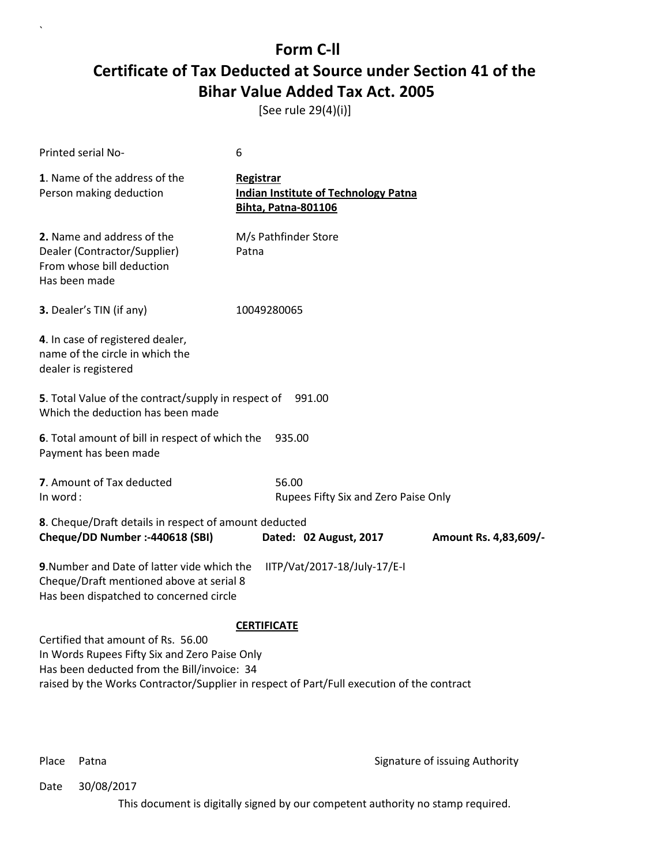[See rule 29(4)(i)]

| Printed serial No-                                                                                                                                                 | 6                                                                                         |                       |  |  |
|--------------------------------------------------------------------------------------------------------------------------------------------------------------------|-------------------------------------------------------------------------------------------|-----------------------|--|--|
| <b>1</b> . Name of the address of the<br>Person making deduction                                                                                                   | Registrar<br><b>Indian Institute of Technology Patna</b><br><b>Bihta, Patna-801106</b>    |                       |  |  |
| 2. Name and address of the<br>Dealer (Contractor/Supplier)<br>From whose bill deduction<br>Has been made                                                           | M/s Pathfinder Store<br>Patna                                                             |                       |  |  |
| 3. Dealer's TIN (if any)                                                                                                                                           | 10049280065                                                                               |                       |  |  |
| 4. In case of registered dealer,<br>name of the circle in which the<br>dealer is registered                                                                        |                                                                                           |                       |  |  |
| 5. Total Value of the contract/supply in respect of<br>Which the deduction has been made                                                                           | 991.00                                                                                    |                       |  |  |
| 6. Total amount of bill in respect of which the<br>Payment has been made                                                                                           | 935.00                                                                                    |                       |  |  |
| 7. Amount of Tax deducted<br>In word:                                                                                                                              | 56.00<br>Rupees Fifty Six and Zero Paise Only                                             |                       |  |  |
| 8. Cheque/Draft details in respect of amount deducted<br>Cheque/DD Number :- 440618 (SBI)                                                                          | Dated: 02 August, 2017                                                                    | Amount Rs. 4,83,609/- |  |  |
| 9. Number and Date of latter vide which the<br>IITP/Vat/2017-18/July-17/E-I<br>Cheque/Draft mentioned above at serial 8<br>Has been dispatched to concerned circle |                                                                                           |                       |  |  |
|                                                                                                                                                                    | <b>CERTIFICATE</b>                                                                        |                       |  |  |
| Certified that amount of Rs. 56.00<br>In Words Rupees Fifty Six and Zero Paise Only                                                                                |                                                                                           |                       |  |  |
| Has been deducted from the Bill/invoice: 34                                                                                                                        |                                                                                           |                       |  |  |
|                                                                                                                                                                    | raised by the Works Contractor/Supplier in respect of Part/Full execution of the contract |                       |  |  |

`

Place Patna **Property** Place Patna Signature of issuing Authority

PRADIP MAITY Digitally signed by PRADIP MAITY Date: 2017.09.01 12:33:59 +05'30'

Date 30/08/2017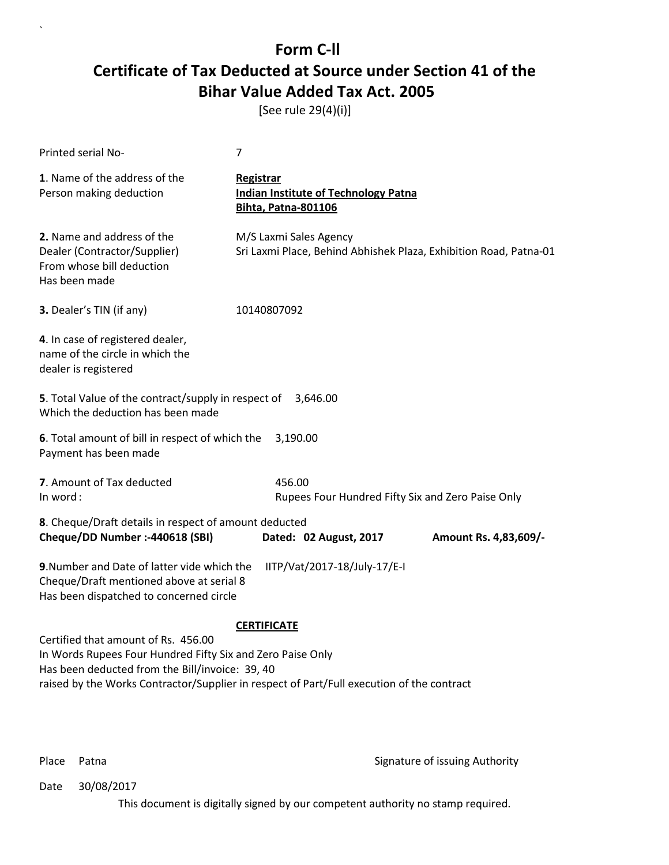[See rule 29(4)(i)]

| Printed serial No-                                                                                                                                   | 7                                                                                                               |                       |
|------------------------------------------------------------------------------------------------------------------------------------------------------|-----------------------------------------------------------------------------------------------------------------|-----------------------|
| <b>1</b> . Name of the address of the<br>Person making deduction                                                                                     | Registrar<br><b>Indian Institute of Technology Patna</b><br><b>Bihta, Patna-801106</b>                          |                       |
| 2. Name and address of the<br>Dealer (Contractor/Supplier)<br>From whose bill deduction<br>Has been made                                             | M/S Laxmi Sales Agency<br>Sri Laxmi Place, Behind Abhishek Plaza, Exhibition Road, Patna-01                     |                       |
| 3. Dealer's TIN (if any)                                                                                                                             | 10140807092                                                                                                     |                       |
| 4. In case of registered dealer,<br>name of the circle in which the<br>dealer is registered                                                          |                                                                                                                 |                       |
| 5. Total Value of the contract/supply in respect of 3,646.00<br>Which the deduction has been made                                                    |                                                                                                                 |                       |
| 6. Total amount of bill in respect of which the<br>Payment has been made                                                                             | 3,190.00                                                                                                        |                       |
| 7. Amount of Tax deducted<br>In word:                                                                                                                | 456.00<br>Rupees Four Hundred Fifty Six and Zero Paise Only                                                     |                       |
| 8. Cheque/Draft details in respect of amount deducted<br>Cheque/DD Number :- 440618 (SBI)                                                            | Dated: 02 August, 2017                                                                                          | Amount Rs. 4,83,609/- |
| 9. Number and Date of latter vide which the<br>Cheque/Draft mentioned above at serial 8<br>Has been dispatched to concerned circle                   | IITP/Vat/2017-18/July-17/E-I                                                                                    |                       |
| Certified that amount of Rs. 456.00<br>In Words Rupees Four Hundred Fifty Six and Zero Paise Only<br>Has been deducted from the Bill/invoice: 39, 40 | <b>CERTIFICATE</b><br>raised by the Works Contractor/Supplier in respect of Part/Full execution of the contract |                       |

`

Place Patna **Property** Place Patna Signature of issuing Authority

Date 30/08/2017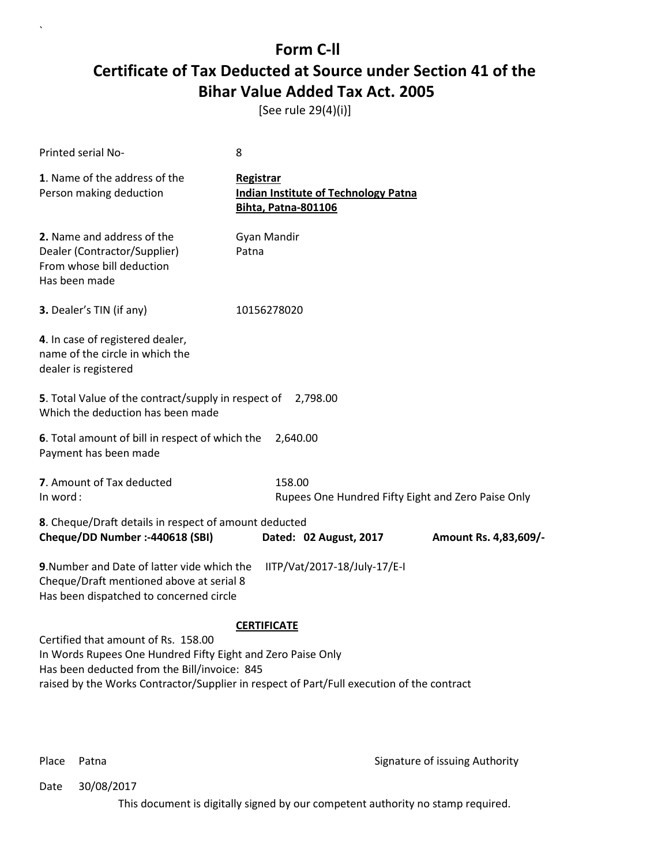[See rule 29(4)(i)]

| Printed serial No-                                                                                                                                 | 8                                                                                                               |                       |  |  |
|----------------------------------------------------------------------------------------------------------------------------------------------------|-----------------------------------------------------------------------------------------------------------------|-----------------------|--|--|
| 1. Name of the address of the<br>Person making deduction                                                                                           | Registrar<br><b>Indian Institute of Technology Patna</b><br><b>Bihta, Patna-801106</b>                          |                       |  |  |
| 2. Name and address of the<br>Dealer (Contractor/Supplier)<br>From whose bill deduction<br>Has been made                                           | Gyan Mandir<br>Patna                                                                                            |                       |  |  |
| 3. Dealer's TIN (if any)                                                                                                                           | 10156278020                                                                                                     |                       |  |  |
| 4. In case of registered dealer,<br>name of the circle in which the<br>dealer is registered                                                        |                                                                                                                 |                       |  |  |
| 5. Total Value of the contract/supply in respect of<br>Which the deduction has been made                                                           | 2,798.00                                                                                                        |                       |  |  |
| 6. Total amount of bill in respect of which the<br>Payment has been made                                                                           | 2,640.00                                                                                                        |                       |  |  |
| 7. Amount of Tax deducted<br>In word:                                                                                                              | 158.00<br>Rupees One Hundred Fifty Eight and Zero Paise Only                                                    |                       |  |  |
| 8. Cheque/Draft details in respect of amount deducted<br>Cheque/DD Number :- 440618 (SBI)                                                          | Dated: 02 August, 2017                                                                                          | Amount Rs. 4,83,609/- |  |  |
| 9. Number and Date of latter vide which the<br>Cheque/Draft mentioned above at serial 8<br>Has been dispatched to concerned circle                 | IITP/Vat/2017-18/July-17/E-I                                                                                    |                       |  |  |
| Certified that amount of Rs. 158.00<br>In Words Rupees One Hundred Fifty Eight and Zero Paise Only<br>Has been deducted from the Bill/invoice: 845 | <b>CERTIFICATE</b><br>raised by the Works Contractor/Supplier in respect of Part/Full execution of the contract |                       |  |  |

`

Place Patna **Property** Place Patna Signature of issuing Authority

Date 30/08/2017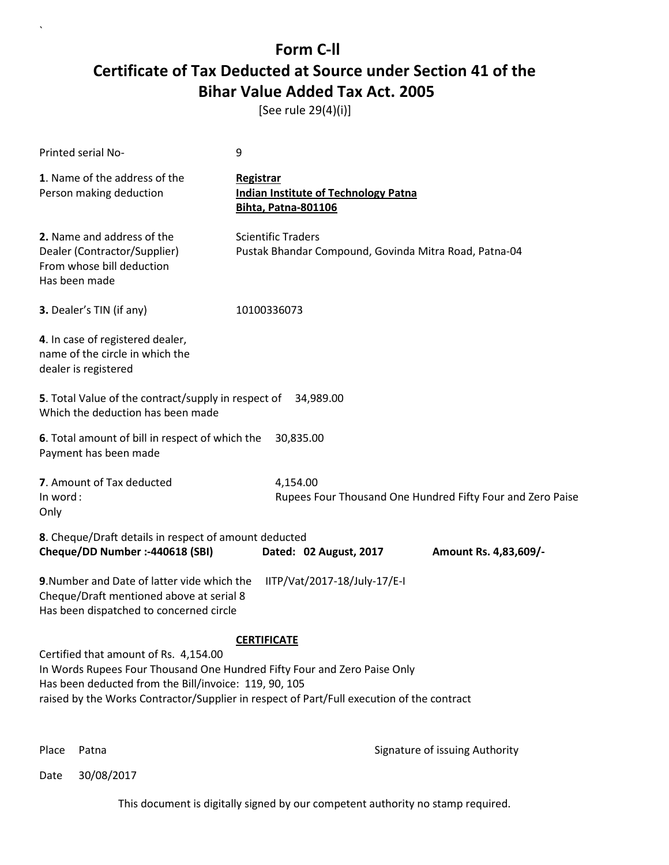[See rule 29(4)(i)]

| Printed serial No-                                                                                                                                                                                                                                                      | 9                                              |           |                                             |                                                            |  |
|-------------------------------------------------------------------------------------------------------------------------------------------------------------------------------------------------------------------------------------------------------------------------|------------------------------------------------|-----------|---------------------------------------------|------------------------------------------------------------|--|
| 1. Name of the address of the<br>Person making deduction                                                                                                                                                                                                                | <b>Registrar</b><br><b>Bihta, Patna-801106</b> |           | <b>Indian Institute of Technology Patna</b> |                                                            |  |
| 2. Name and address of the<br>Dealer (Contractor/Supplier)<br>From whose bill deduction<br>Has been made                                                                                                                                                                | <b>Scientific Traders</b>                      |           |                                             | Pustak Bhandar Compound, Govinda Mitra Road, Patna-04      |  |
| 3. Dealer's TIN (if any)                                                                                                                                                                                                                                                | 10100336073                                    |           |                                             |                                                            |  |
| 4. In case of registered dealer,<br>name of the circle in which the<br>dealer is registered                                                                                                                                                                             |                                                |           |                                             |                                                            |  |
| 5. Total Value of the contract/supply in respect of 34,989.00<br>Which the deduction has been made                                                                                                                                                                      |                                                |           |                                             |                                                            |  |
| 6. Total amount of bill in respect of which the<br>Payment has been made                                                                                                                                                                                                |                                                | 30,835.00 |                                             |                                                            |  |
| 7. Amount of Tax deducted<br>In word:<br>Only                                                                                                                                                                                                                           |                                                | 4,154.00  |                                             | Rupees Four Thousand One Hundred Fifty Four and Zero Paise |  |
| 8. Cheque/Draft details in respect of amount deducted<br>Cheque/DD Number :- 440618 (SBI)                                                                                                                                                                               |                                                |           | Dated: 02 August, 2017                      | Amount Rs. 4,83,609/-                                      |  |
| 9. Number and Date of latter vide which the<br>Cheque/Draft mentioned above at serial 8<br>Has been dispatched to concerned circle                                                                                                                                      |                                                |           | IITP/Vat/2017-18/July-17/E-I                |                                                            |  |
| Certified that amount of Rs. 4,154.00<br>In Words Rupees Four Thousand One Hundred Fifty Four and Zero Paise Only<br>Has been deducted from the Bill/invoice: 119, 90, 105<br>raised by the Works Contractor/Supplier in respect of Part/Full execution of the contract | <b>CERTIFICATE</b>                             |           |                                             |                                                            |  |

`

Place Patna **Property** Place Patna Signature of issuing Authority

Date 30/08/2017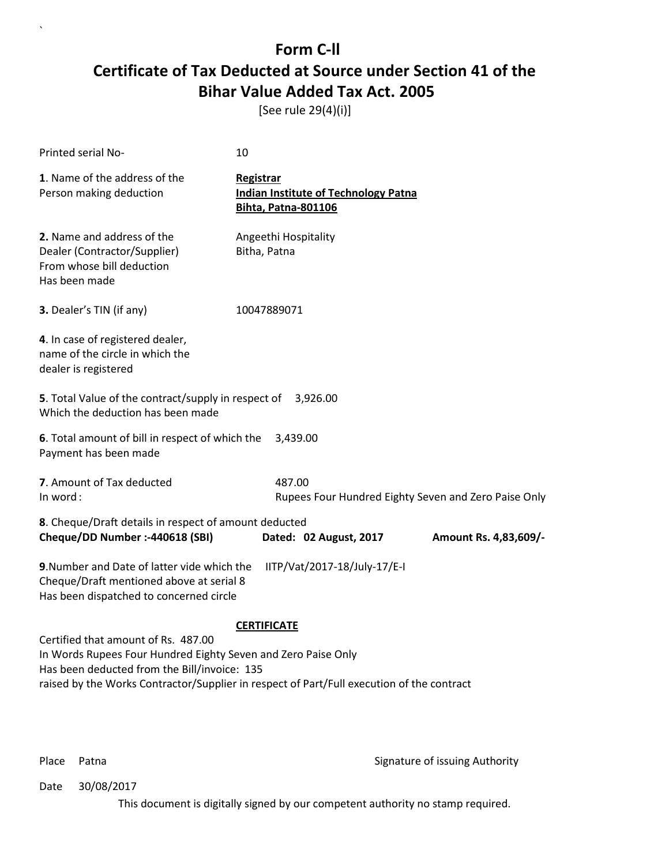[See rule 29(4)(i)]

| Printed serial No-                                                                                                                                   | 10                                                                                     |                       |
|------------------------------------------------------------------------------------------------------------------------------------------------------|----------------------------------------------------------------------------------------|-----------------------|
| 1. Name of the address of the<br>Person making deduction                                                                                             | Registrar<br><b>Indian Institute of Technology Patna</b><br><b>Bihta, Patna-801106</b> |                       |
| 2. Name and address of the<br>Dealer (Contractor/Supplier)<br>From whose bill deduction<br>Has been made                                             | Angeethi Hospitality<br>Bitha, Patna                                                   |                       |
| 3. Dealer's TIN (if any)                                                                                                                             | 10047889071                                                                            |                       |
| 4. In case of registered dealer,<br>name of the circle in which the<br>dealer is registered                                                          |                                                                                        |                       |
| 5. Total Value of the contract/supply in respect of<br>Which the deduction has been made                                                             | 3,926.00                                                                               |                       |
| 6. Total amount of bill in respect of which the<br>Payment has been made                                                                             | 3,439.00                                                                               |                       |
| 7. Amount of Tax deducted<br>In word:                                                                                                                | 487.00<br>Rupees Four Hundred Eighty Seven and Zero Paise Only                         |                       |
| 8. Cheque/Draft details in respect of amount deducted<br>Cheque/DD Number :- 440618 (SBI)                                                            | Dated: 02 August, 2017                                                                 | Amount Rs. 4,83,609/- |
| 9. Number and Date of latter vide which the<br>Cheque/Draft mentioned above at serial 8<br>Has been dispatched to concerned circle                   | IITP/Vat/2017-18/July-17/E-I                                                           |                       |
|                                                                                                                                                      | <b>CERTIFICATE</b>                                                                     |                       |
| Certified that amount of Rs. 487.00<br>In Words Rupees Four Hundred Eighty Seven and Zero Paise Only<br>Has been deducted from the Bill/invoice: 135 |                                                                                        |                       |

`

Place Patna **Property** Place Patna Signature of issuing Authority

Date 30/08/2017

This document is digitally signed by our competent authority no stamp required.

raised by the Works Contractor/Supplier in respect of Part/Full execution of the contract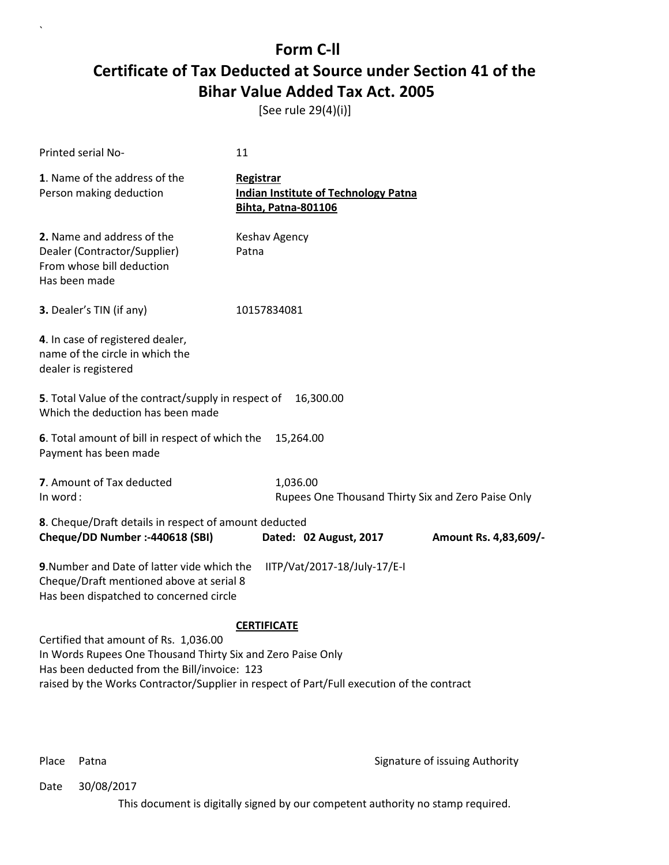[See rule 29(4)(i)]

| Printed serial No-                                                                                                                                                 | 11                                                                                                              |  |  |  |
|--------------------------------------------------------------------------------------------------------------------------------------------------------------------|-----------------------------------------------------------------------------------------------------------------|--|--|--|
| 1. Name of the address of the<br>Person making deduction                                                                                                           | Registrar<br><b>Indian Institute of Technology Patna</b><br><b>Bihta, Patna-801106</b>                          |  |  |  |
| 2. Name and address of the<br>Dealer (Contractor/Supplier)<br>From whose bill deduction<br>Has been made                                                           | Keshav Agency<br>Patna                                                                                          |  |  |  |
| 3. Dealer's TIN (if any)                                                                                                                                           | 10157834081                                                                                                     |  |  |  |
| 4. In case of registered dealer,<br>name of the circle in which the<br>dealer is registered                                                                        |                                                                                                                 |  |  |  |
| 5. Total Value of the contract/supply in respect of<br>Which the deduction has been made                                                                           | 16,300.00                                                                                                       |  |  |  |
| 6. Total amount of bill in respect of which the<br>Payment has been made                                                                                           | 15,264.00                                                                                                       |  |  |  |
| 7. Amount of Tax deducted<br>In word:                                                                                                                              | 1,036.00<br>Rupees One Thousand Thirty Six and Zero Paise Only                                                  |  |  |  |
| 8. Cheque/Draft details in respect of amount deducted<br>Cheque/DD Number :- 440618 (SBI)<br>Dated: 02 August, 2017<br>Amount Rs. 4,83,609/-                       |                                                                                                                 |  |  |  |
| 9. Number and Date of latter vide which the<br>IITP/Vat/2017-18/July-17/E-I<br>Cheque/Draft mentioned above at serial 8<br>Has been dispatched to concerned circle |                                                                                                                 |  |  |  |
| Certified that amount of Rs. 1,036.00<br>In Words Rupees One Thousand Thirty Six and Zero Paise Only<br>Has been deducted from the Bill/invoice: 123               | <b>CERTIFICATE</b><br>raised by the Works Contractor/Supplier in respect of Part/Full execution of the contract |  |  |  |

`

Place Patna **Property** Place Patna Signature of issuing Authority

Date 30/08/2017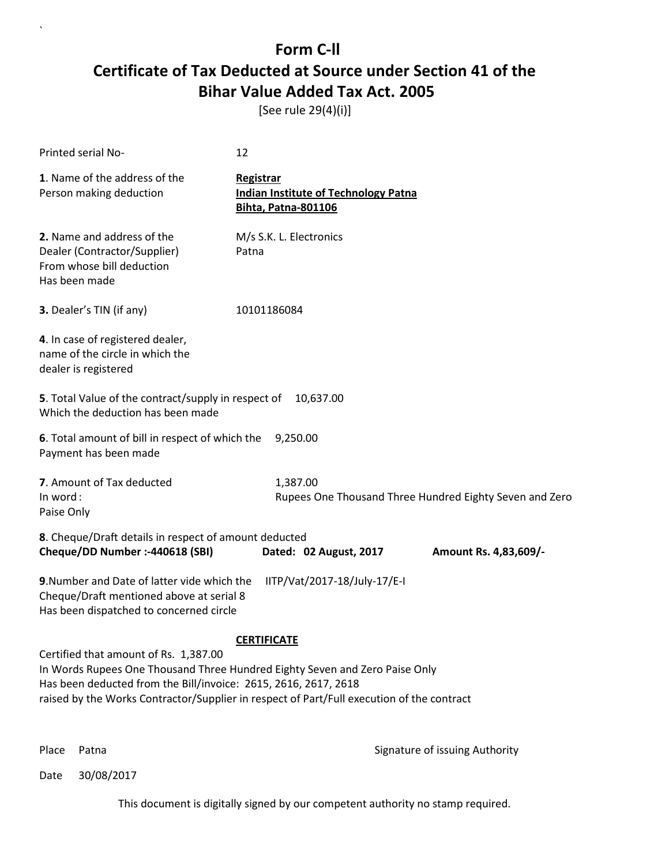[See rule 29(4)(i)]

| Printed serial No-                                                                                                                                                                                                                                                                                         | 12                                                                                            |                       |  |  |
|------------------------------------------------------------------------------------------------------------------------------------------------------------------------------------------------------------------------------------------------------------------------------------------------------------|-----------------------------------------------------------------------------------------------|-----------------------|--|--|
| 1. Name of the address of the<br>Person making deduction                                                                                                                                                                                                                                                   | <b>Registrar</b><br><b>Indian Institute of Technology Patna</b><br><b>Bihta, Patna-801106</b> |                       |  |  |
| 2. Name and address of the<br>Dealer (Contractor/Supplier)<br>From whose bill deduction<br>Has been made                                                                                                                                                                                                   | M/s S.K. L. Electronics<br>Patna                                                              |                       |  |  |
| 3. Dealer's TIN (if any)                                                                                                                                                                                                                                                                                   | 10101186084                                                                                   |                       |  |  |
| 4. In case of registered dealer,<br>name of the circle in which the<br>dealer is registered                                                                                                                                                                                                                |                                                                                               |                       |  |  |
| 5. Total Value of the contract/supply in respect of<br>Which the deduction has been made                                                                                                                                                                                                                   | 10,637.00                                                                                     |                       |  |  |
| 6. Total amount of bill in respect of which the<br>Payment has been made                                                                                                                                                                                                                                   | 9,250.00                                                                                      |                       |  |  |
| 7. Amount of Tax deducted<br>In word:<br>Paise Only                                                                                                                                                                                                                                                        | 1,387.00<br>Rupees One Thousand Three Hundred Eighty Seven and Zero                           |                       |  |  |
| 8. Cheque/Draft details in respect of amount deducted<br>Cheque/DD Number :- 440618 (SBI)                                                                                                                                                                                                                  | Dated: 02 August, 2017                                                                        | Amount Rs. 4,83,609/- |  |  |
| 9. Number and Date of latter vide which the<br>Cheque/Draft mentioned above at serial 8<br>Has been dispatched to concerned circle                                                                                                                                                                         | IITP/Vat/2017-18/July-17/E-I                                                                  |                       |  |  |
| <b>CERTIFICATE</b><br>Certified that amount of Rs. 1,387.00<br>In Words Rupees One Thousand Three Hundred Eighty Seven and Zero Paise Only<br>Has been deducted from the Bill/invoice: 2615, 2616, 2617, 2618<br>raised by the Works Contractor/Supplier in respect of Part/Full execution of the contract |                                                                                               |                       |  |  |

`

Place Patna **Property** Place Patna Signature of issuing Authority

Date 30/08/2017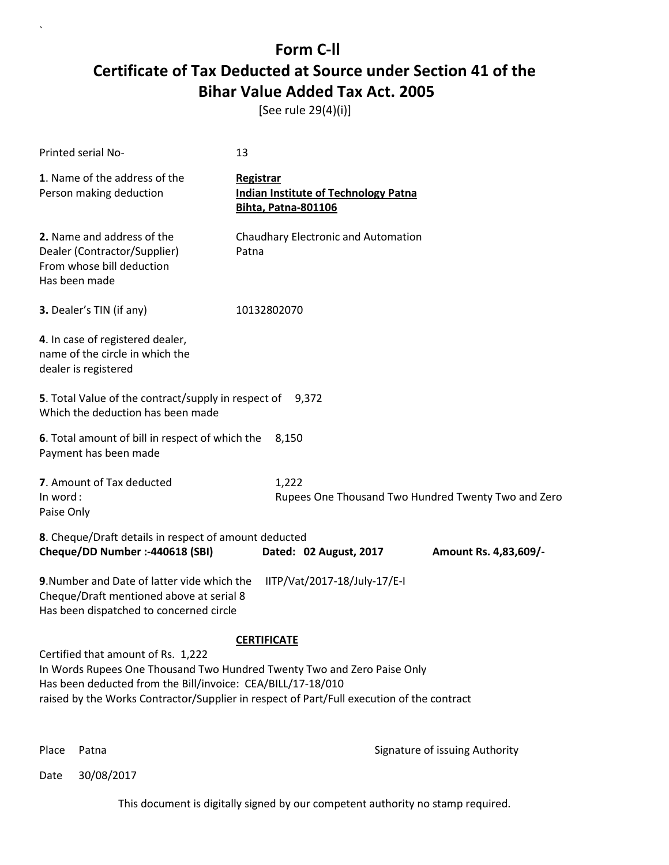[See rule 29(4)(i)]

| Printed serial No-                                                                                                                                                                                                                                                        | 13                                                                                     |                       |  |  |
|---------------------------------------------------------------------------------------------------------------------------------------------------------------------------------------------------------------------------------------------------------------------------|----------------------------------------------------------------------------------------|-----------------------|--|--|
| 1. Name of the address of the<br>Person making deduction                                                                                                                                                                                                                  | Registrar<br><b>Indian Institute of Technology Patna</b><br><b>Bihta, Patna-801106</b> |                       |  |  |
| 2. Name and address of the<br>Dealer (Contractor/Supplier)<br>From whose bill deduction<br>Has been made                                                                                                                                                                  | Chaudhary Electronic and Automation<br>Patna                                           |                       |  |  |
| 3. Dealer's TIN (if any)                                                                                                                                                                                                                                                  | 10132802070                                                                            |                       |  |  |
| 4. In case of registered dealer,<br>name of the circle in which the<br>dealer is registered                                                                                                                                                                               |                                                                                        |                       |  |  |
| 5. Total Value of the contract/supply in respect of<br>Which the deduction has been made                                                                                                                                                                                  | 9,372                                                                                  |                       |  |  |
| 6. Total amount of bill in respect of which the<br>Payment has been made                                                                                                                                                                                                  | 8,150                                                                                  |                       |  |  |
| 7. Amount of Tax deducted<br>In word:<br>Paise Only                                                                                                                                                                                                                       | 1,222<br>Rupees One Thousand Two Hundred Twenty Two and Zero                           |                       |  |  |
| 8. Cheque/Draft details in respect of amount deducted<br>Cheque/DD Number :- 440618 (SBI)                                                                                                                                                                                 | Dated: 02 August, 2017                                                                 | Amount Rs. 4,83,609/- |  |  |
| 9. Number and Date of latter vide which the<br>IITP/Vat/2017-18/July-17/E-I<br>Cheque/Draft mentioned above at serial 8<br>Has been dispatched to concerned circle                                                                                                        |                                                                                        |                       |  |  |
|                                                                                                                                                                                                                                                                           | <b>CERTIFICATE</b>                                                                     |                       |  |  |
| Certified that amount of Rs. 1,222<br>In Words Rupees One Thousand Two Hundred Twenty Two and Zero Paise Only<br>Has been deducted from the Bill/invoice: CEA/BILL/17-18/010<br>raised by the Works Contractor/Supplier in respect of Part/Full execution of the contract |                                                                                        |                       |  |  |

`

Place Patna **Property** Place Patna Signature of issuing Authority

Date 30/08/2017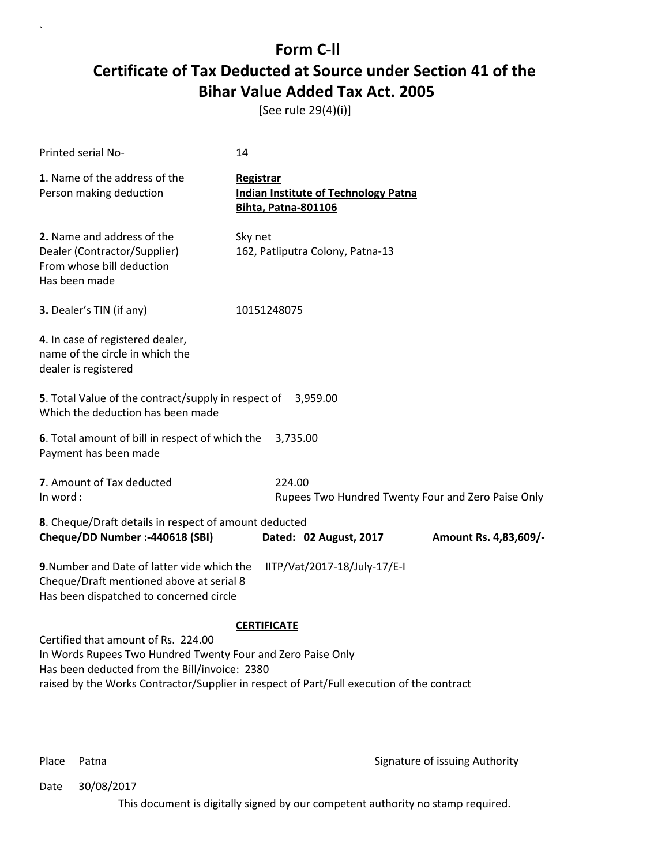[See rule 29(4)(i)]

| Printed serial No-                                                                                                                                                 | 14                                                                                     |  |  |  |
|--------------------------------------------------------------------------------------------------------------------------------------------------------------------|----------------------------------------------------------------------------------------|--|--|--|
| 1. Name of the address of the<br>Person making deduction                                                                                                           | Registrar<br><b>Indian Institute of Technology Patna</b><br><b>Bihta, Patna-801106</b> |  |  |  |
| 2. Name and address of the<br>Dealer (Contractor/Supplier)<br>From whose bill deduction<br>Has been made                                                           | Sky net<br>162, Patliputra Colony, Patna-13                                            |  |  |  |
| 3. Dealer's TIN (if any)                                                                                                                                           | 10151248075                                                                            |  |  |  |
| 4. In case of registered dealer,<br>name of the circle in which the<br>dealer is registered                                                                        |                                                                                        |  |  |  |
| 5. Total Value of the contract/supply in respect of<br>Which the deduction has been made                                                                           | 3,959.00                                                                               |  |  |  |
| 6. Total amount of bill in respect of which the<br>Payment has been made                                                                                           | 3,735.00                                                                               |  |  |  |
| 7. Amount of Tax deducted<br>In word:                                                                                                                              | 224.00<br>Rupees Two Hundred Twenty Four and Zero Paise Only                           |  |  |  |
| 8. Cheque/Draft details in respect of amount deducted<br>Cheque/DD Number :- 440618 (SBI)                                                                          | Dated: 02 August, 2017<br>Amount Rs. 4,83,609/-                                        |  |  |  |
| 9. Number and Date of latter vide which the<br>IITP/Vat/2017-18/July-17/E-I<br>Cheque/Draft mentioned above at serial 8<br>Has been dispatched to concerned circle |                                                                                        |  |  |  |
|                                                                                                                                                                    | <b>CERTIFICATE</b>                                                                     |  |  |  |
| Certified that amount of Rs. 224.00<br>In Words Rupees Two Hundred Twenty Four and Zero Paise Only<br>Has been deducted from the Bill/invoice: 2380                |                                                                                        |  |  |  |

`

Place Patna **Property** Place Patna Signature of issuing Authority

Date 30/08/2017

This document is digitally signed by our competent authority no stamp required.

raised by the Works Contractor/Supplier in respect of Part/Full execution of the contract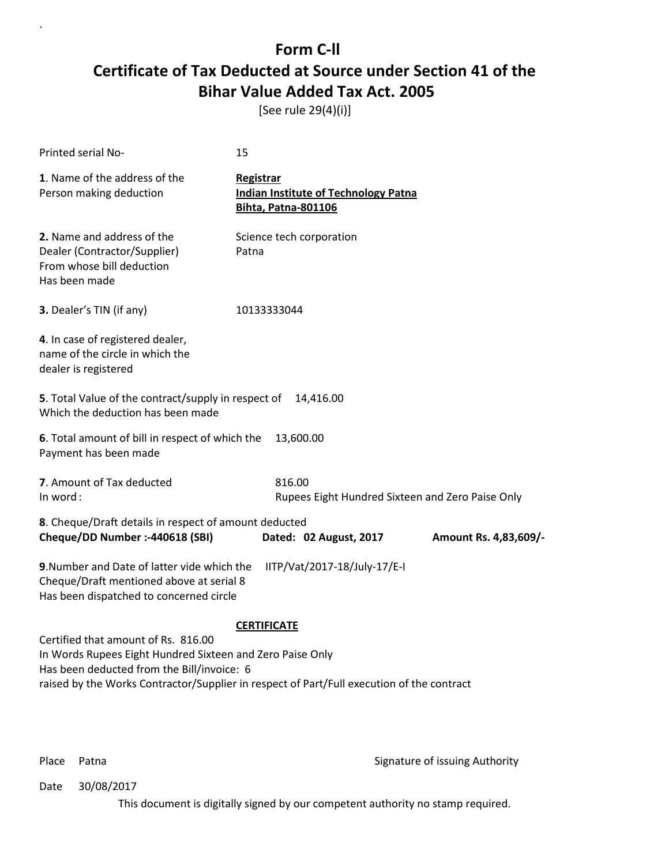[See rule 29(4)(i)]

| Printed serial No-                                                                                                                                                 | 15                                                                                            |                       |  |  |  |
|--------------------------------------------------------------------------------------------------------------------------------------------------------------------|-----------------------------------------------------------------------------------------------|-----------------------|--|--|--|
| 1. Name of the address of the<br>Person making deduction                                                                                                           | <b>Registrar</b><br><b>Indian Institute of Technology Patna</b><br><b>Bihta, Patna-801106</b> |                       |  |  |  |
| 2. Name and address of the<br>Dealer (Contractor/Supplier)<br>From whose bill deduction<br>Has been made                                                           | Science tech corporation<br>Patna                                                             |                       |  |  |  |
| 3. Dealer's TIN (if any)                                                                                                                                           | 10133333044                                                                                   |                       |  |  |  |
| 4. In case of registered dealer,<br>name of the circle in which the<br>dealer is registered                                                                        |                                                                                               |                       |  |  |  |
| 5. Total Value of the contract/supply in respect of<br>Which the deduction has been made                                                                           | 14,416.00                                                                                     |                       |  |  |  |
| 6. Total amount of bill in respect of which the<br>Payment has been made                                                                                           | 13,600.00                                                                                     |                       |  |  |  |
| 7. Amount of Tax deducted<br>In word:                                                                                                                              | 816.00<br>Rupees Eight Hundred Sixteen and Zero Paise Only                                    |                       |  |  |  |
| 8. Cheque/Draft details in respect of amount deducted<br>Cheque/DD Number :- 440618 (SBI)                                                                          | Dated: 02 August, 2017                                                                        | Amount Rs. 4,83,609/- |  |  |  |
| 9. Number and Date of latter vide which the<br>IITP/Vat/2017-18/July-17/E-I<br>Cheque/Draft mentioned above at serial 8<br>Has been dispatched to concerned circle |                                                                                               |                       |  |  |  |
|                                                                                                                                                                    | <b>CERTIFICATE</b>                                                                            |                       |  |  |  |
| Certified that amount of Rs. 816.00<br>In Words Rupees Eight Hundred Sixteen and Zero Paise Only                                                                   |                                                                                               |                       |  |  |  |
| Has been deducted from the Bill/invoice: 6                                                                                                                         |                                                                                               |                       |  |  |  |
| raised by the Works Contractor/Supplier in respect of Part/Full execution of the contract                                                                          |                                                                                               |                       |  |  |  |

`

Place Patna **Property** Place Patna Signature of issuing Authority

Date 30/08/2017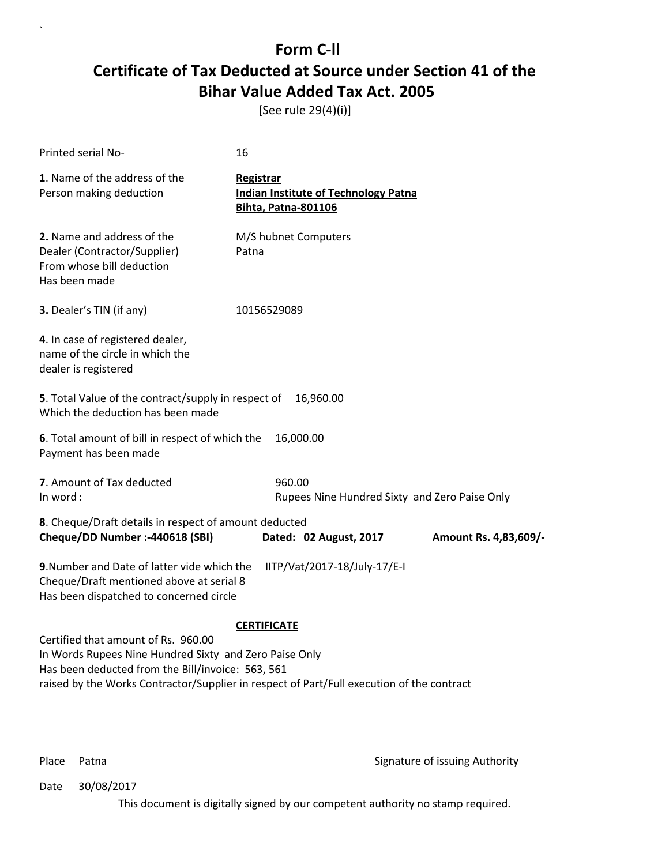[See rule 29(4)(i)]

| Printed serial No-                                                                                                                                                                                                                              | 16                                                                                            |                       |  |  |  |
|-------------------------------------------------------------------------------------------------------------------------------------------------------------------------------------------------------------------------------------------------|-----------------------------------------------------------------------------------------------|-----------------------|--|--|--|
| 1. Name of the address of the<br>Person making deduction                                                                                                                                                                                        | <b>Registrar</b><br><b>Indian Institute of Technology Patna</b><br><b>Bihta, Patna-801106</b> |                       |  |  |  |
| 2. Name and address of the<br>Dealer (Contractor/Supplier)<br>From whose bill deduction<br>Has been made                                                                                                                                        | M/S hubnet Computers<br>Patna                                                                 |                       |  |  |  |
| 3. Dealer's TIN (if any)                                                                                                                                                                                                                        | 10156529089                                                                                   |                       |  |  |  |
| 4. In case of registered dealer,<br>name of the circle in which the<br>dealer is registered                                                                                                                                                     |                                                                                               |                       |  |  |  |
| 5. Total Value of the contract/supply in respect of<br>Which the deduction has been made                                                                                                                                                        | 16,960.00                                                                                     |                       |  |  |  |
| 6. Total amount of bill in respect of which the<br>Payment has been made                                                                                                                                                                        | 16,000.00                                                                                     |                       |  |  |  |
| 7. Amount of Tax deducted<br>In word:                                                                                                                                                                                                           | 960.00<br>Rupees Nine Hundred Sixty and Zero Paise Only                                       |                       |  |  |  |
| 8. Cheque/Draft details in respect of amount deducted<br>Cheque/DD Number :- 440618 (SBI)                                                                                                                                                       | Dated: 02 August, 2017                                                                        | Amount Rs. 4,83,609/- |  |  |  |
| 9. Number and Date of latter vide which the<br>IITP/Vat/2017-18/July-17/E-I<br>Cheque/Draft mentioned above at serial 8<br>Has been dispatched to concerned circle                                                                              |                                                                                               |                       |  |  |  |
|                                                                                                                                                                                                                                                 | <b>CERTIFICATE</b>                                                                            |                       |  |  |  |
| Certified that amount of Rs. 960.00<br>In Words Rupees Nine Hundred Sixty and Zero Paise Only<br>Has been deducted from the Bill/invoice: 563, 561<br>raised by the Works Contractor/Supplier in respect of Part/Full execution of the contract |                                                                                               |                       |  |  |  |
|                                                                                                                                                                                                                                                 |                                                                                               |                       |  |  |  |

`

Place Patna **Property** Place Patna Signature of issuing Authority

Date 30/08/2017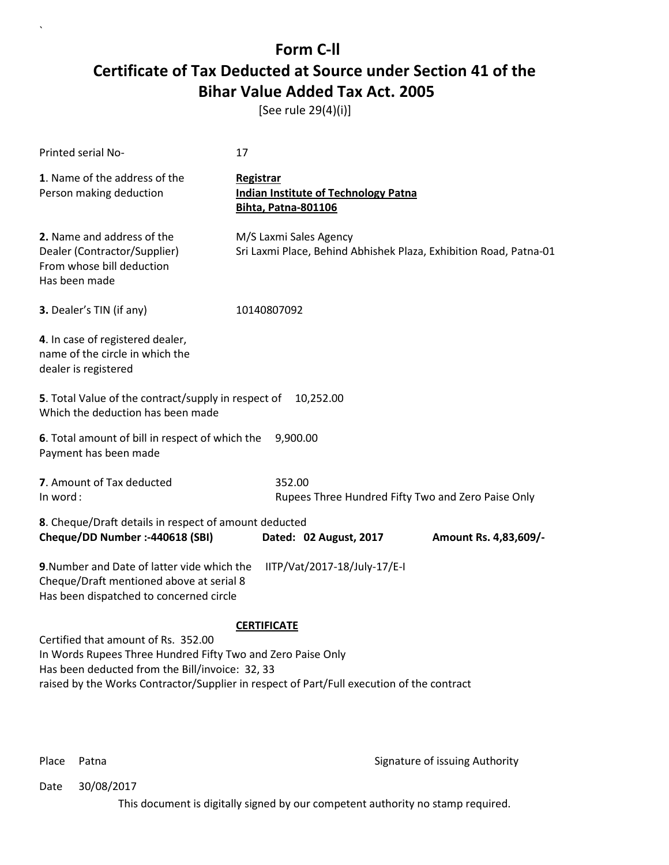[See rule 29(4)(i)]

| Printed serial No-                                                                                                                                                 | 17                                                                                          |                       |  |  |  |
|--------------------------------------------------------------------------------------------------------------------------------------------------------------------|---------------------------------------------------------------------------------------------|-----------------------|--|--|--|
| 1. Name of the address of the<br>Person making deduction                                                                                                           | Registrar<br><b>Indian Institute of Technology Patna</b><br><b>Bihta, Patna-801106</b>      |                       |  |  |  |
| 2. Name and address of the<br>Dealer (Contractor/Supplier)<br>From whose bill deduction<br>Has been made                                                           | M/S Laxmi Sales Agency<br>Sri Laxmi Place, Behind Abhishek Plaza, Exhibition Road, Patna-01 |                       |  |  |  |
| 3. Dealer's TIN (if any)                                                                                                                                           | 10140807092                                                                                 |                       |  |  |  |
| 4. In case of registered dealer,<br>name of the circle in which the<br>dealer is registered                                                                        |                                                                                             |                       |  |  |  |
| 5. Total Value of the contract/supply in respect of<br>Which the deduction has been made                                                                           | 10,252.00                                                                                   |                       |  |  |  |
| 6. Total amount of bill in respect of which the<br>Payment has been made                                                                                           | 9,900.00                                                                                    |                       |  |  |  |
| 7. Amount of Tax deducted<br>In word:                                                                                                                              | 352.00<br>Rupees Three Hundred Fifty Two and Zero Paise Only                                |                       |  |  |  |
| 8. Cheque/Draft details in respect of amount deducted<br>Cheque/DD Number :- 440618 (SBI)                                                                          | Dated: 02 August, 2017                                                                      | Amount Rs. 4,83,609/- |  |  |  |
| 9. Number and Date of latter vide which the<br>IITP/Vat/2017-18/July-17/E-I<br>Cheque/Draft mentioned above at serial 8<br>Has been dispatched to concerned circle |                                                                                             |                       |  |  |  |
|                                                                                                                                                                    | <b>CERTIFICATE</b>                                                                          |                       |  |  |  |
| Certified that amount of Rs. 352.00<br>In Words Rupees Three Hundred Fifty Two and Zero Paise Only                                                                 |                                                                                             |                       |  |  |  |
| Has been deducted from the Bill/invoice: 32, 33<br>raised by the Works Contractor/Supplier in respect of Part/Full execution of the contract                       |                                                                                             |                       |  |  |  |
|                                                                                                                                                                    |                                                                                             |                       |  |  |  |

`

Place Patna **Property** Place Patna Signature of issuing Authority

Date 30/08/2017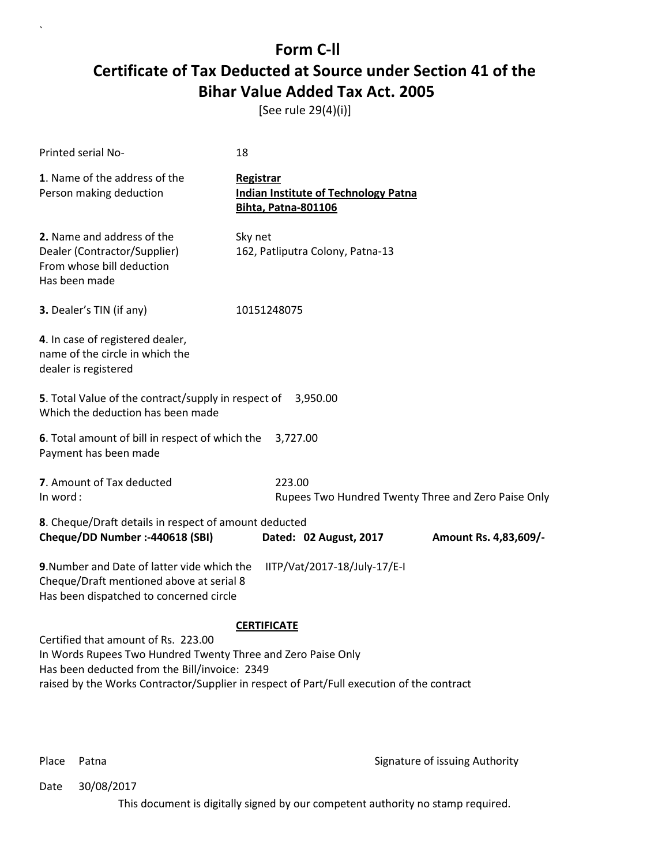[See rule 29(4)(i)]

| Printed serial No-                                                                                                                                                 | 18                                                                                     |                       |  |  |
|--------------------------------------------------------------------------------------------------------------------------------------------------------------------|----------------------------------------------------------------------------------------|-----------------------|--|--|
| 1. Name of the address of the<br>Person making deduction                                                                                                           | Registrar<br><b>Indian Institute of Technology Patna</b><br><b>Bihta, Patna-801106</b> |                       |  |  |
| 2. Name and address of the<br>Dealer (Contractor/Supplier)<br>From whose bill deduction<br>Has been made                                                           | Sky net<br>162, Patliputra Colony, Patna-13                                            |                       |  |  |
| 3. Dealer's TIN (if any)                                                                                                                                           | 10151248075                                                                            |                       |  |  |
| 4. In case of registered dealer,<br>name of the circle in which the<br>dealer is registered                                                                        |                                                                                        |                       |  |  |
| 5. Total Value of the contract/supply in respect of 3,950.00<br>Which the deduction has been made                                                                  |                                                                                        |                       |  |  |
| 6. Total amount of bill in respect of which the<br>Payment has been made                                                                                           | 3,727.00                                                                               |                       |  |  |
| 7. Amount of Tax deducted<br>In word:                                                                                                                              | 223.00<br>Rupees Two Hundred Twenty Three and Zero Paise Only                          |                       |  |  |
| 8. Cheque/Draft details in respect of amount deducted<br>Cheque/DD Number :- 440618 (SBI)                                                                          | Dated: 02 August, 2017                                                                 | Amount Rs. 4,83,609/- |  |  |
| 9. Number and Date of latter vide which the<br>IITP/Vat/2017-18/July-17/E-I<br>Cheque/Draft mentioned above at serial 8<br>Has been dispatched to concerned circle |                                                                                        |                       |  |  |
|                                                                                                                                                                    | <b>CERTIFICATE</b>                                                                     |                       |  |  |
| Certified that amount of Rs. 223.00<br>In Words Rupees Two Hundred Twenty Three and Zero Paise Only<br>Has been deducted from the Bill/invoice: 2349               |                                                                                        |                       |  |  |

`

Place Patna **Property** Place Patna Signature of issuing Authority

Date 30/08/2017

This document is digitally signed by our competent authority no stamp required.

raised by the Works Contractor/Supplier in respect of Part/Full execution of the contract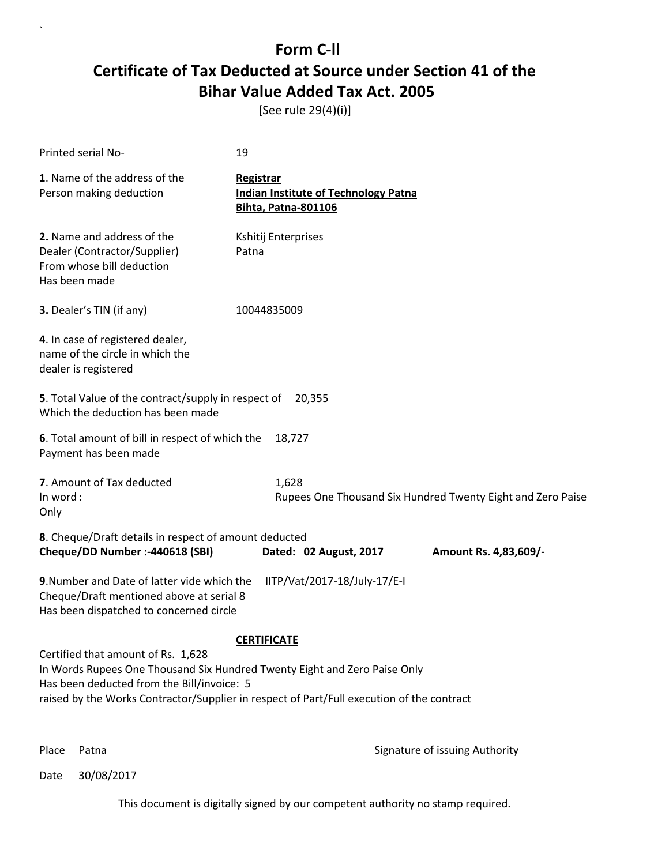[See rule 29(4)(i)]

| Printed serial No-                                                                                                                                            | 19                                                                                                              |                                                             |
|---------------------------------------------------------------------------------------------------------------------------------------------------------------|-----------------------------------------------------------------------------------------------------------------|-------------------------------------------------------------|
| 1. Name of the address of the<br>Person making deduction                                                                                                      | Registrar<br><b>Indian Institute of Technology Patna</b><br><b>Bihta, Patna-801106</b>                          |                                                             |
| 2. Name and address of the<br>Dealer (Contractor/Supplier)<br>From whose bill deduction<br>Has been made                                                      | Kshitij Enterprises<br>Patna                                                                                    |                                                             |
| 3. Dealer's TIN (if any)                                                                                                                                      | 10044835009                                                                                                     |                                                             |
| 4. In case of registered dealer,<br>name of the circle in which the<br>dealer is registered                                                                   |                                                                                                                 |                                                             |
| 5. Total Value of the contract/supply in respect of<br>Which the deduction has been made                                                                      | 20,355                                                                                                          |                                                             |
| 6. Total amount of bill in respect of which the<br>Payment has been made                                                                                      | 18,727                                                                                                          |                                                             |
| 7. Amount of Tax deducted<br>In word:<br>Only                                                                                                                 | 1,628                                                                                                           | Rupees One Thousand Six Hundred Twenty Eight and Zero Paise |
| 8. Cheque/Draft details in respect of amount deducted<br>Cheque/DD Number :- 440618 (SBI)                                                                     | Dated: 02 August, 2017                                                                                          | Amount Rs. 4,83,609/-                                       |
| 9. Number and Date of latter vide which the<br>Cheque/Draft mentioned above at serial 8<br>Has been dispatched to concerned circle                            | IITP/Vat/2017-18/July-17/E-I                                                                                    |                                                             |
| Certified that amount of Rs. 1,628<br>In Words Rupees One Thousand Six Hundred Twenty Eight and Zero Paise Only<br>Has been deducted from the Bill/invoice: 5 | <b>CERTIFICATE</b><br>raised by the Works Contractor/Supplier in respect of Part/Full execution of the contract |                                                             |

`

Place Patna **Property** Place Patna Signature of issuing Authority

Date 30/08/2017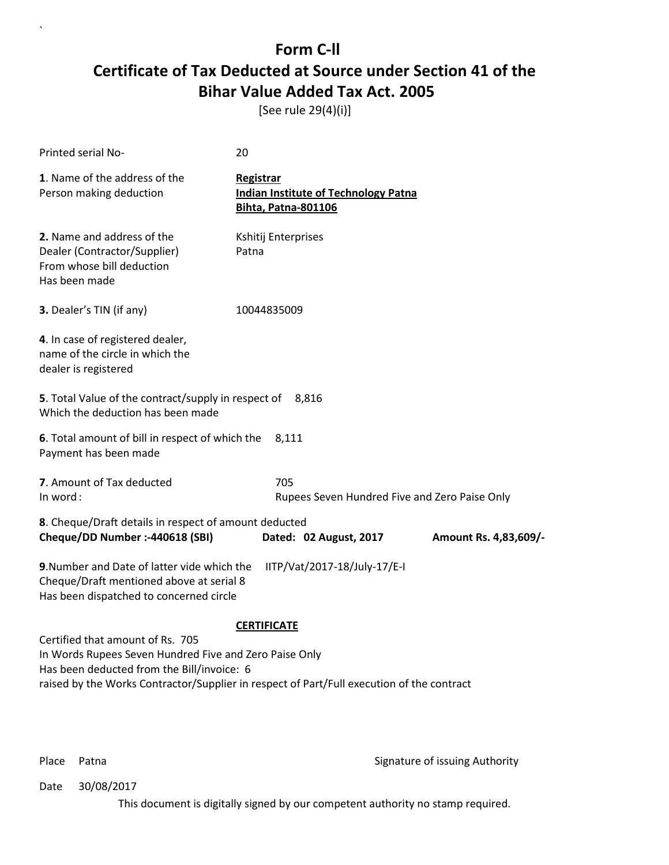[See rule 29(4)(i)]

| <b>Printed serial No-</b>                                                                                                                                          | 20                                                                                     |                       |  |  |  |
|--------------------------------------------------------------------------------------------------------------------------------------------------------------------|----------------------------------------------------------------------------------------|-----------------------|--|--|--|
| 1. Name of the address of the<br>Person making deduction                                                                                                           | Registrar<br><b>Indian Institute of Technology Patna</b><br><b>Bihta, Patna-801106</b> |                       |  |  |  |
| 2. Name and address of the<br>Dealer (Contractor/Supplier)<br>From whose bill deduction<br>Has been made                                                           | Kshitij Enterprises<br>Patna                                                           |                       |  |  |  |
| 3. Dealer's TIN (if any)                                                                                                                                           | 10044835009                                                                            |                       |  |  |  |
| 4. In case of registered dealer,<br>name of the circle in which the<br>dealer is registered                                                                        |                                                                                        |                       |  |  |  |
| 5. Total Value of the contract/supply in respect of<br>Which the deduction has been made                                                                           | 8,816                                                                                  |                       |  |  |  |
| 6. Total amount of bill in respect of which the<br>Payment has been made                                                                                           | 8,111                                                                                  |                       |  |  |  |
| 7. Amount of Tax deducted<br>In word:                                                                                                                              | 705<br>Rupees Seven Hundred Five and Zero Paise Only                                   |                       |  |  |  |
| 8. Cheque/Draft details in respect of amount deducted<br>Cheque/DD Number :- 440618 (SBI)                                                                          | Dated: 02 August, 2017                                                                 | Amount Rs. 4,83,609/- |  |  |  |
| 9. Number and Date of latter vide which the<br>IITP/Vat/2017-18/July-17/E-I<br>Cheque/Draft mentioned above at serial 8<br>Has been dispatched to concerned circle |                                                                                        |                       |  |  |  |
|                                                                                                                                                                    | <b>CERTIFICATE</b>                                                                     |                       |  |  |  |
| Certified that amount of Rs. 705                                                                                                                                   |                                                                                        |                       |  |  |  |
| In Words Rupees Seven Hundred Five and Zero Paise Only<br>Has been deducted from the Bill/invoice: 6                                                               |                                                                                        |                       |  |  |  |
| raised by the Works Contractor/Supplier in respect of Part/Full execution of the contract                                                                          |                                                                                        |                       |  |  |  |

`

Place Patna **Property** Place Patna Signature of issuing Authority

Date 30/08/2017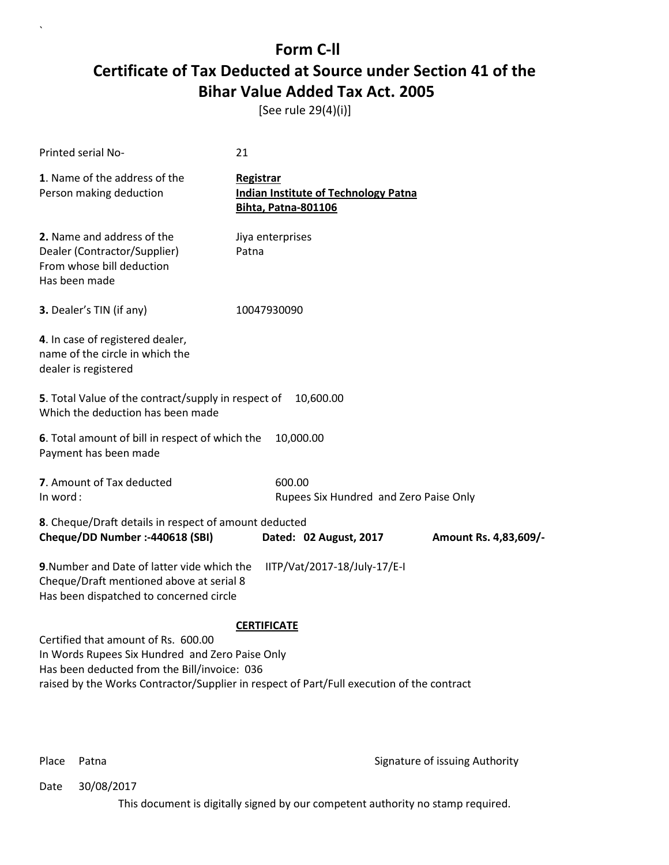[See rule 29(4)(i)]

| Printed serial No-                                                                                                                                                                                                                                        | 21                                                                                            |  |  |  |  |
|-----------------------------------------------------------------------------------------------------------------------------------------------------------------------------------------------------------------------------------------------------------|-----------------------------------------------------------------------------------------------|--|--|--|--|
| 1. Name of the address of the<br>Person making deduction                                                                                                                                                                                                  | <b>Registrar</b><br><b>Indian Institute of Technology Patna</b><br><b>Bihta, Patna-801106</b> |  |  |  |  |
| 2. Name and address of the<br>Dealer (Contractor/Supplier)<br>From whose bill deduction<br>Has been made                                                                                                                                                  | Jiya enterprises<br>Patna                                                                     |  |  |  |  |
| 3. Dealer's TIN (if any)                                                                                                                                                                                                                                  | 10047930090                                                                                   |  |  |  |  |
| 4. In case of registered dealer,<br>name of the circle in which the<br>dealer is registered                                                                                                                                                               |                                                                                               |  |  |  |  |
| 5. Total Value of the contract/supply in respect of<br>Which the deduction has been made                                                                                                                                                                  | 10,600.00                                                                                     |  |  |  |  |
| 6. Total amount of bill in respect of which the<br>Payment has been made                                                                                                                                                                                  | 10,000.00                                                                                     |  |  |  |  |
| 7. Amount of Tax deducted<br>In word:                                                                                                                                                                                                                     | 600.00<br>Rupees Six Hundred and Zero Paise Only                                              |  |  |  |  |
| 8. Cheque/Draft details in respect of amount deducted<br>Cheque/DD Number :- 440618 (SBI)<br>Dated: 02 August, 2017<br>Amount Rs. 4,83,609/-                                                                                                              |                                                                                               |  |  |  |  |
| 9. Number and Date of latter vide which the<br>IITP/Vat/2017-18/July-17/E-I<br>Cheque/Draft mentioned above at serial 8<br>Has been dispatched to concerned circle                                                                                        |                                                                                               |  |  |  |  |
| <b>CERTIFICATE</b><br>Certified that amount of Rs. 600.00<br>In Words Rupees Six Hundred and Zero Paise Only<br>Has been deducted from the Bill/invoice: 036<br>raised by the Works Contractor/Supplier in respect of Part/Full execution of the contract |                                                                                               |  |  |  |  |
| Place<br>Patna                                                                                                                                                                                                                                            | Signature of issuing Authority                                                                |  |  |  |  |

Date 30/08/2017

`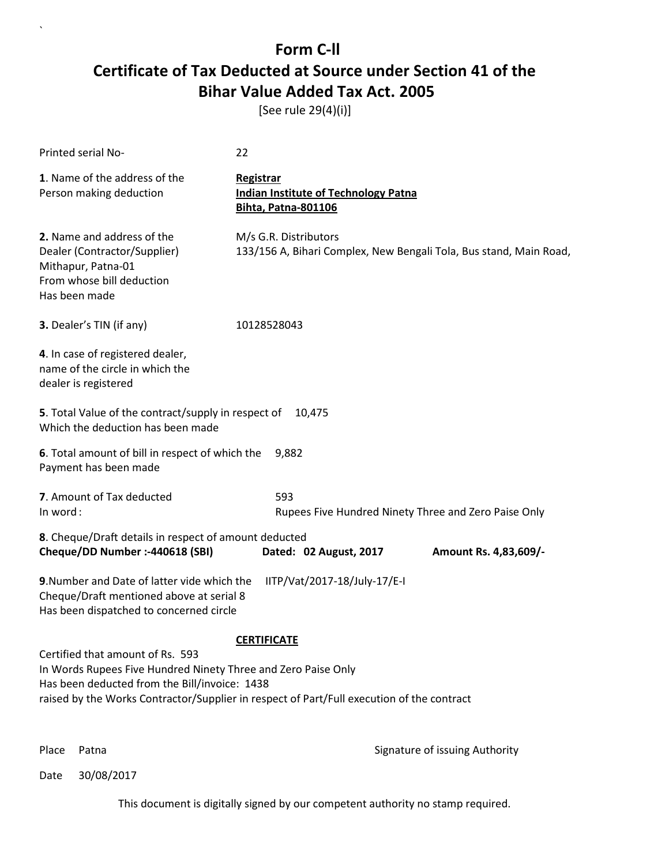[See rule 29(4)(i)]

| Printed serial No-                                                                                                                                                                                                                              | 22                                                                                            |                       |  |  |
|-------------------------------------------------------------------------------------------------------------------------------------------------------------------------------------------------------------------------------------------------|-----------------------------------------------------------------------------------------------|-----------------------|--|--|
| 1. Name of the address of the<br>Person making deduction                                                                                                                                                                                        | <b>Registrar</b><br><b>Indian Institute of Technology Patna</b><br><b>Bihta, Patna-801106</b> |                       |  |  |
| 2. Name and address of the<br>Dealer (Contractor/Supplier)<br>Mithapur, Patna-01<br>From whose bill deduction<br>Has been made                                                                                                                  | M/s G.R. Distributors<br>133/156 A, Bihari Complex, New Bengali Tola, Bus stand, Main Road,   |                       |  |  |
| 3. Dealer's TIN (if any)                                                                                                                                                                                                                        | 10128528043                                                                                   |                       |  |  |
| 4. In case of registered dealer,<br>name of the circle in which the<br>dealer is registered                                                                                                                                                     |                                                                                               |                       |  |  |
| 5. Total Value of the contract/supply in respect of<br>Which the deduction has been made                                                                                                                                                        | 10,475                                                                                        |                       |  |  |
| 6. Total amount of bill in respect of which the<br>Payment has been made                                                                                                                                                                        | 9,882                                                                                         |                       |  |  |
| 7. Amount of Tax deducted<br>In word:                                                                                                                                                                                                           | 593<br>Rupees Five Hundred Ninety Three and Zero Paise Only                                   |                       |  |  |
| 8. Cheque/Draft details in respect of amount deducted<br>Cheque/DD Number :- 440618 (SBI)                                                                                                                                                       | Dated: 02 August, 2017                                                                        | Amount Rs. 4,83,609/- |  |  |
| 9. Number and Date of latter vide which the<br>IITP/Vat/2017-18/July-17/E-I<br>Cheque/Draft mentioned above at serial 8<br>Has been dispatched to concerned circle                                                                              |                                                                                               |                       |  |  |
|                                                                                                                                                                                                                                                 | <b>CERTIFICATE</b>                                                                            |                       |  |  |
| Certified that amount of Rs. 593<br>In Words Rupees Five Hundred Ninety Three and Zero Paise Only<br>Has been deducted from the Bill/invoice: 1438<br>raised by the Works Contractor/Supplier in respect of Part/Full execution of the contract |                                                                                               |                       |  |  |
|                                                                                                                                                                                                                                                 |                                                                                               |                       |  |  |

`

Place Patna **Property** Place Patna Signature of issuing Authority

Date 30/08/2017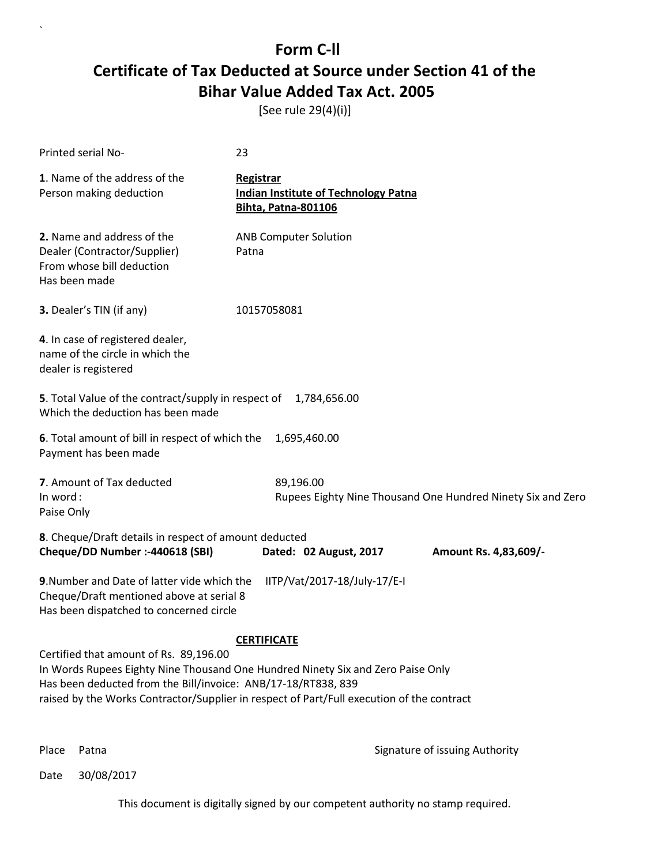[See rule 29(4)(i)]

| Printed serial No-                                                                                                                                                                                                                                                                                            | 23                                                                                            |                                                             |  |
|---------------------------------------------------------------------------------------------------------------------------------------------------------------------------------------------------------------------------------------------------------------------------------------------------------------|-----------------------------------------------------------------------------------------------|-------------------------------------------------------------|--|
| 1. Name of the address of the<br>Person making deduction                                                                                                                                                                                                                                                      | <b>Registrar</b><br><b>Indian Institute of Technology Patna</b><br><b>Bihta, Patna-801106</b> |                                                             |  |
| 2. Name and address of the<br>Dealer (Contractor/Supplier)<br>From whose bill deduction<br>Has been made                                                                                                                                                                                                      | <b>ANB Computer Solution</b><br>Patna                                                         |                                                             |  |
| 3. Dealer's TIN (if any)                                                                                                                                                                                                                                                                                      | 10157058081                                                                                   |                                                             |  |
| 4. In case of registered dealer,<br>name of the circle in which the<br>dealer is registered                                                                                                                                                                                                                   |                                                                                               |                                                             |  |
| 5. Total Value of the contract/supply in respect of 1,784,656.00<br>Which the deduction has been made                                                                                                                                                                                                         |                                                                                               |                                                             |  |
| 6. Total amount of bill in respect of which the<br>Payment has been made                                                                                                                                                                                                                                      | 1,695,460.00                                                                                  |                                                             |  |
| 7. Amount of Tax deducted<br>In word:<br>Paise Only                                                                                                                                                                                                                                                           | 89,196.00                                                                                     | Rupees Eighty Nine Thousand One Hundred Ninety Six and Zero |  |
| 8. Cheque/Draft details in respect of amount deducted<br>Cheque/DD Number :- 440618 (SBI)                                                                                                                                                                                                                     | Dated: 02 August, 2017                                                                        | Amount Rs. 4,83,609/-                                       |  |
| 9. Number and Date of latter vide which the<br>Cheque/Draft mentioned above at serial 8<br>Has been dispatched to concerned circle                                                                                                                                                                            | IITP/Vat/2017-18/July-17/E-I                                                                  |                                                             |  |
| <b>CERTIFICATE</b><br>Certified that amount of Rs. 89,196.00<br>In Words Rupees Eighty Nine Thousand One Hundred Ninety Six and Zero Paise Only<br>Has been deducted from the Bill/invoice: ANB/17-18/RT838, 839<br>raised by the Works Contractor/Supplier in respect of Part/Full execution of the contract |                                                                                               |                                                             |  |

`

Place Patna **Property** Place Patna Signature of issuing Authority

Date 30/08/2017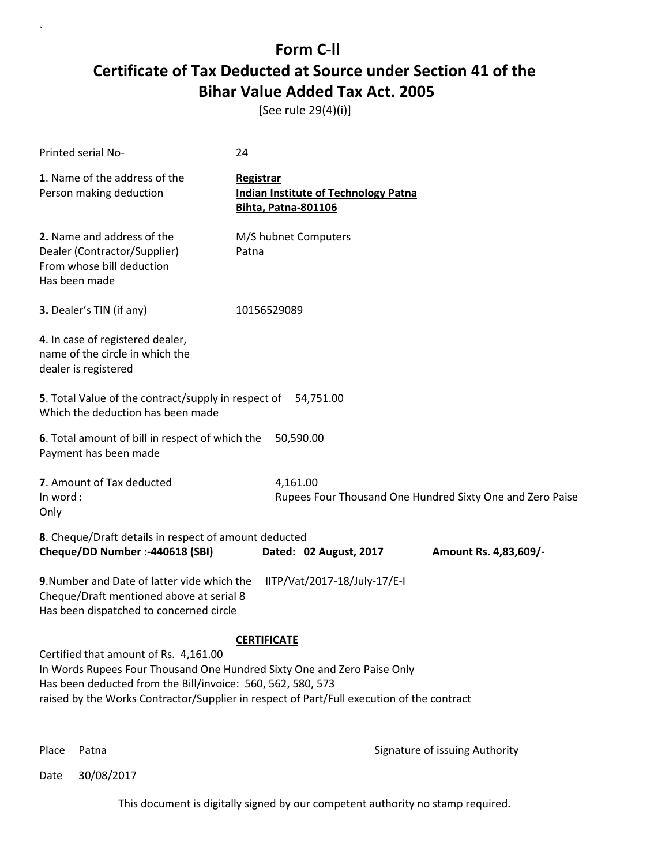[See rule 29(4)(i)]

| Printed serial No-                                                                                                                                                                                                                                                                                 | 24               |           |                                                                           |  |                                                           |  |
|----------------------------------------------------------------------------------------------------------------------------------------------------------------------------------------------------------------------------------------------------------------------------------------------------|------------------|-----------|---------------------------------------------------------------------------|--|-----------------------------------------------------------|--|
| 1. Name of the address of the<br>Person making deduction                                                                                                                                                                                                                                           | <b>Registrar</b> |           | <b>Indian Institute of Technology Patna</b><br><b>Bihta, Patna-801106</b> |  |                                                           |  |
| 2. Name and address of the<br>Dealer (Contractor/Supplier)<br>From whose bill deduction<br>Has been made                                                                                                                                                                                           | Patna            |           | M/S hubnet Computers                                                      |  |                                                           |  |
| 3. Dealer's TIN (if any)                                                                                                                                                                                                                                                                           | 10156529089      |           |                                                                           |  |                                                           |  |
| 4. In case of registered dealer,<br>name of the circle in which the<br>dealer is registered                                                                                                                                                                                                        |                  |           |                                                                           |  |                                                           |  |
| 5. Total Value of the contract/supply in respect of 54,751.00<br>Which the deduction has been made                                                                                                                                                                                                 |                  |           |                                                                           |  |                                                           |  |
| 6. Total amount of bill in respect of which the<br>Payment has been made                                                                                                                                                                                                                           |                  | 50,590.00 |                                                                           |  |                                                           |  |
| 7. Amount of Tax deducted<br>In word:<br>Only                                                                                                                                                                                                                                                      |                  | 4,161.00  |                                                                           |  | Rupees Four Thousand One Hundred Sixty One and Zero Paise |  |
| 8. Cheque/Draft details in respect of amount deducted<br>Cheque/DD Number :- 440618 (SBI)                                                                                                                                                                                                          |                  |           | Dated: 02 August, 2017                                                    |  | Amount Rs. 4,83,609/-                                     |  |
| 9. Number and Date of latter vide which the<br>Cheque/Draft mentioned above at serial 8<br>Has been dispatched to concerned circle                                                                                                                                                                 |                  |           | IITP/Vat/2017-18/July-17/E-I                                              |  |                                                           |  |
| <b>CERTIFICATE</b><br>Certified that amount of Rs. 4,161.00<br>In Words Rupees Four Thousand One Hundred Sixty One and Zero Paise Only<br>Has been deducted from the Bill/invoice: 560, 562, 580, 573<br>raised by the Works Contractor/Supplier in respect of Part/Full execution of the contract |                  |           |                                                                           |  |                                                           |  |

`

Place Patna **Property** Place Patna Signature of issuing Authority

Date 30/08/2017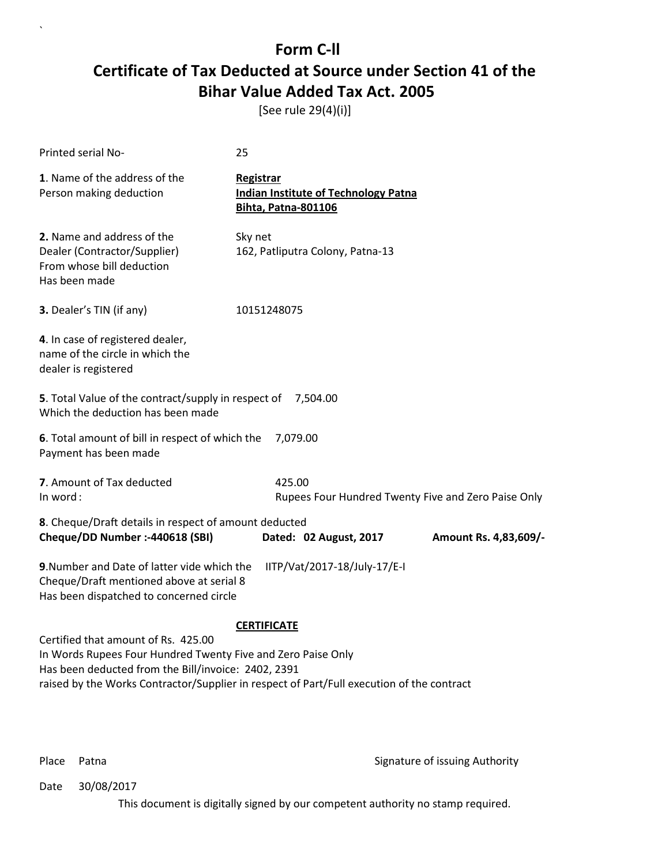[See rule 29(4)(i)]

| Printed serial No-                                                                                                                                                 | 25                                                                                     |                       |
|--------------------------------------------------------------------------------------------------------------------------------------------------------------------|----------------------------------------------------------------------------------------|-----------------------|
| 1. Name of the address of the<br>Person making deduction                                                                                                           | Registrar<br><b>Indian Institute of Technology Patna</b><br><b>Bihta, Patna-801106</b> |                       |
| <b>2.</b> Name and address of the<br>Dealer (Contractor/Supplier)<br>From whose bill deduction<br>Has been made                                                    | Sky net<br>162, Patliputra Colony, Patna-13                                            |                       |
| 3. Dealer's TIN (if any)                                                                                                                                           | 10151248075                                                                            |                       |
| 4. In case of registered dealer,<br>name of the circle in which the<br>dealer is registered                                                                        |                                                                                        |                       |
| 5. Total Value of the contract/supply in respect of 7,504.00<br>Which the deduction has been made                                                                  |                                                                                        |                       |
| 6. Total amount of bill in respect of which the<br>Payment has been made                                                                                           | 7,079.00                                                                               |                       |
| 7. Amount of Tax deducted<br>In word:                                                                                                                              | 425.00<br>Rupees Four Hundred Twenty Five and Zero Paise Only                          |                       |
| 8. Cheque/Draft details in respect of amount deducted<br>Cheque/DD Number :- 440618 (SBI)                                                                          | Dated: 02 August, 2017                                                                 | Amount Rs. 4,83,609/- |
| 9. Number and Date of latter vide which the<br>IITP/Vat/2017-18/July-17/E-I<br>Cheque/Draft mentioned above at serial 8<br>Has been dispatched to concerned circle |                                                                                        |                       |
|                                                                                                                                                                    | <b>CERTIFICATE</b>                                                                     |                       |
| Certified that amount of Rs. 425.00<br>In Words Rupees Four Hundred Twenty Five and Zero Paise Only                                                                |                                                                                        |                       |
| Has been deducted from the Bill/invoice: 2402, 2391                                                                                                                |                                                                                        |                       |
| raised by the Works Contractor/Supplier in respect of Part/Full execution of the contract                                                                          |                                                                                        |                       |

`

Place Patna **Property** Place Patna Signature of issuing Authority

Date 30/08/2017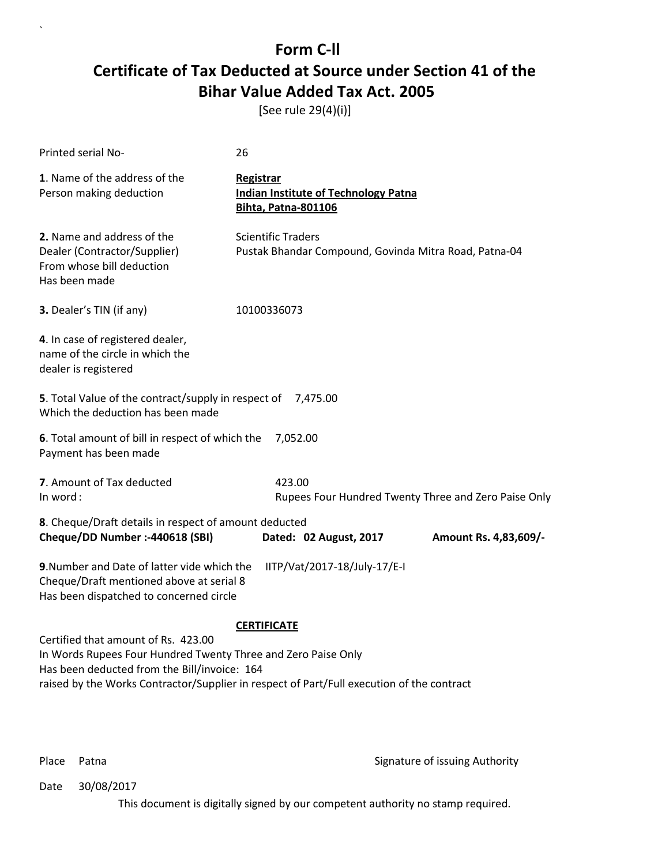[See rule 29(4)(i)]

| <b>Printed serial No-</b>                                                                                                                                          | 26                                                                                                              |  |
|--------------------------------------------------------------------------------------------------------------------------------------------------------------------|-----------------------------------------------------------------------------------------------------------------|--|
| 1. Name of the address of the<br>Person making deduction                                                                                                           | Registrar<br><b>Indian Institute of Technology Patna</b><br><b>Bihta, Patna-801106</b>                          |  |
| 2. Name and address of the<br>Dealer (Contractor/Supplier)<br>From whose bill deduction<br>Has been made                                                           | <b>Scientific Traders</b><br>Pustak Bhandar Compound, Govinda Mitra Road, Patna-04                              |  |
| 3. Dealer's TIN (if any)                                                                                                                                           | 10100336073                                                                                                     |  |
| 4. In case of registered dealer,<br>name of the circle in which the<br>dealer is registered                                                                        |                                                                                                                 |  |
| 5. Total Value of the contract/supply in respect of 7,475.00<br>Which the deduction has been made                                                                  |                                                                                                                 |  |
| 6. Total amount of bill in respect of which the<br>Payment has been made                                                                                           | 7,052.00                                                                                                        |  |
| 7. Amount of Tax deducted<br>In word:                                                                                                                              | 423.00<br>Rupees Four Hundred Twenty Three and Zero Paise Only                                                  |  |
| 8. Cheque/Draft details in respect of amount deducted<br>Cheque/DD Number :- 440618 (SBI)                                                                          | Dated: 02 August, 2017<br>Amount Rs. 4,83,609/-                                                                 |  |
| 9. Number and Date of latter vide which the<br>IITP/Vat/2017-18/July-17/E-I<br>Cheque/Draft mentioned above at serial 8<br>Has been dispatched to concerned circle |                                                                                                                 |  |
| Certified that amount of Rs. 423.00<br>In Words Rupees Four Hundred Twenty Three and Zero Paise Only<br>Has been deducted from the Bill/invoice: 164               | <b>CERTIFICATE</b><br>raised by the Works Contractor/Supplier in respect of Part/Full execution of the contract |  |

`

Place Patna **Property** Place Patna Signature of issuing Authority

Date 30/08/2017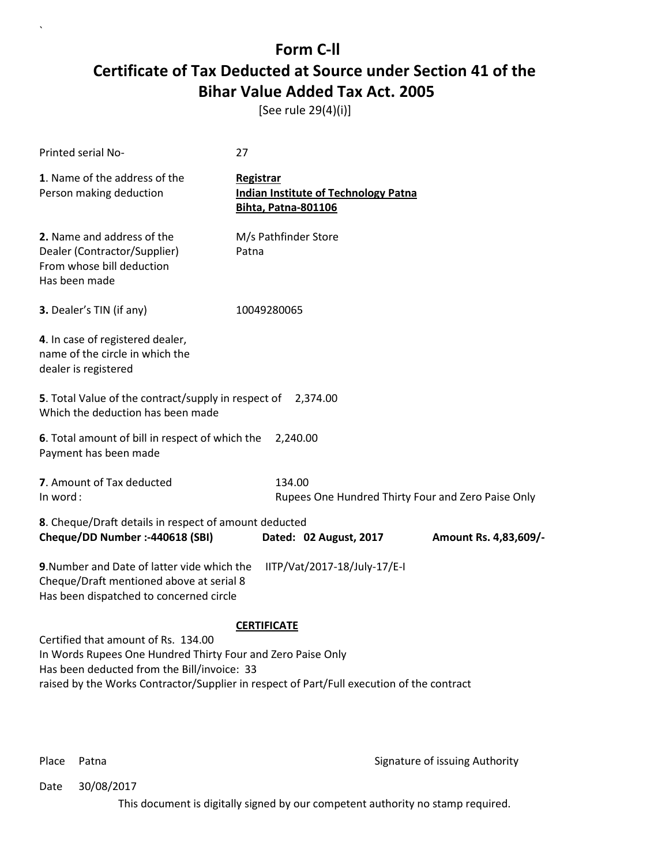[See rule 29(4)(i)]

| Printed serial No-                                                                                                                                                 | 27                                                                                     |  |  |
|--------------------------------------------------------------------------------------------------------------------------------------------------------------------|----------------------------------------------------------------------------------------|--|--|
| 1. Name of the address of the<br>Person making deduction                                                                                                           | Registrar<br><b>Indian Institute of Technology Patna</b><br><b>Bihta, Patna-801106</b> |  |  |
| 2. Name and address of the<br>Dealer (Contractor/Supplier)<br>From whose bill deduction<br>Has been made                                                           | M/s Pathfinder Store<br>Patna                                                          |  |  |
| 3. Dealer's TIN (if any)                                                                                                                                           | 10049280065                                                                            |  |  |
| 4. In case of registered dealer,<br>name of the circle in which the<br>dealer is registered                                                                        |                                                                                        |  |  |
| 5. Total Value of the contract/supply in respect of 2,374.00<br>Which the deduction has been made                                                                  |                                                                                        |  |  |
| 6. Total amount of bill in respect of which the<br>Payment has been made                                                                                           | 2,240.00                                                                               |  |  |
| 7. Amount of Tax deducted<br>In word:                                                                                                                              | 134.00<br>Rupees One Hundred Thirty Four and Zero Paise Only                           |  |  |
| 8. Cheque/Draft details in respect of amount deducted<br>Cheque/DD Number :- 440618 (SBI)<br>Dated: 02 August, 2017<br>Amount Rs. 4,83,609/-                       |                                                                                        |  |  |
| 9. Number and Date of latter vide which the<br>IITP/Vat/2017-18/July-17/E-I<br>Cheque/Draft mentioned above at serial 8<br>Has been dispatched to concerned circle |                                                                                        |  |  |
|                                                                                                                                                                    | <b>CERTIFICATE</b>                                                                     |  |  |
| Certified that amount of Rs. 134.00<br>In Words Rupees One Hundred Thirty Four and Zero Paise Only<br>Has been deducted from the Bill/invoice: 33                  |                                                                                        |  |  |

`

Place Patna **Property** Place Patna Signature of issuing Authority

Date 30/08/2017

This document is digitally signed by our competent authority no stamp required.

raised by the Works Contractor/Supplier in respect of Part/Full execution of the contract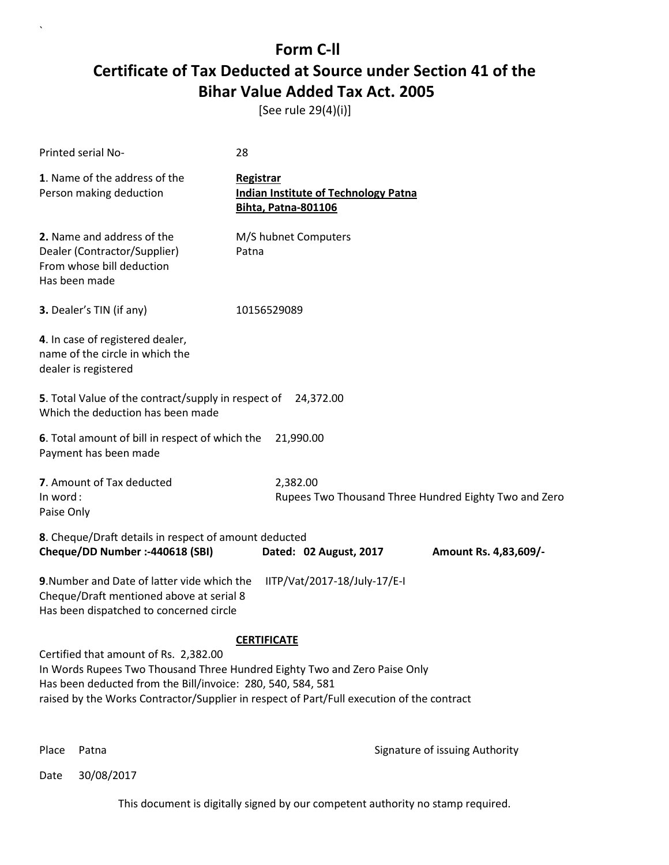[See rule 29(4)(i)]

| Printed serial No-                                                                                                                                                                                                                                                                                   | 28                                                                                     |                       |  |
|------------------------------------------------------------------------------------------------------------------------------------------------------------------------------------------------------------------------------------------------------------------------------------------------------|----------------------------------------------------------------------------------------|-----------------------|--|
| 1. Name of the address of the<br>Person making deduction                                                                                                                                                                                                                                             | Registrar<br><b>Indian Institute of Technology Patna</b><br><b>Bihta, Patna-801106</b> |                       |  |
| 2. Name and address of the<br>Dealer (Contractor/Supplier)<br>From whose bill deduction<br>Has been made                                                                                                                                                                                             | M/S hubnet Computers<br>Patna                                                          |                       |  |
| 3. Dealer's TIN (if any)                                                                                                                                                                                                                                                                             | 10156529089                                                                            |                       |  |
| 4. In case of registered dealer,<br>name of the circle in which the<br>dealer is registered                                                                                                                                                                                                          |                                                                                        |                       |  |
| 5. Total Value of the contract/supply in respect of<br>Which the deduction has been made                                                                                                                                                                                                             | 24,372.00                                                                              |                       |  |
| 6. Total amount of bill in respect of which the<br>Payment has been made                                                                                                                                                                                                                             | 21,990.00                                                                              |                       |  |
| 7. Amount of Tax deducted<br>In word:<br>Paise Only                                                                                                                                                                                                                                                  | 2,382.00<br>Rupees Two Thousand Three Hundred Eighty Two and Zero                      |                       |  |
| 8. Cheque/Draft details in respect of amount deducted<br>Cheque/DD Number :- 440618 (SBI)                                                                                                                                                                                                            | Dated: 02 August, 2017                                                                 | Amount Rs. 4,83,609/- |  |
| 9. Number and Date of latter vide which the<br>IITP/Vat/2017-18/July-17/E-I<br>Cheque/Draft mentioned above at serial 8<br>Has been dispatched to concerned circle                                                                                                                                   |                                                                                        |                       |  |
| <b>CERTIFICATE</b><br>Certified that amount of Rs. 2,382.00<br>In Words Rupees Two Thousand Three Hundred Eighty Two and Zero Paise Only<br>Has been deducted from the Bill/invoice: 280, 540, 584, 581<br>raised by the Works Contractor/Supplier in respect of Part/Full execution of the contract |                                                                                        |                       |  |

`

Place Patna **Property** Place Patna Signature of issuing Authority

Date 30/08/2017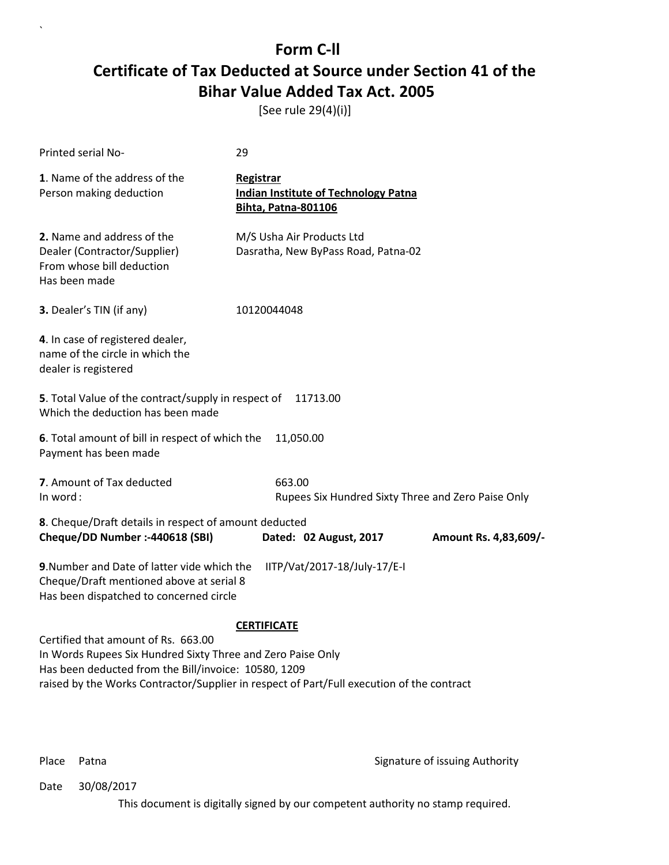[See rule 29(4)(i)]

| Printed serial No-                                                                                                                                                                                                                                                            | 29                                                                                     |                       |  |
|-------------------------------------------------------------------------------------------------------------------------------------------------------------------------------------------------------------------------------------------------------------------------------|----------------------------------------------------------------------------------------|-----------------------|--|
| 1. Name of the address of the<br>Person making deduction                                                                                                                                                                                                                      | Registrar<br><b>Indian Institute of Technology Patna</b><br><b>Bihta, Patna-801106</b> |                       |  |
| 2. Name and address of the<br>Dealer (Contractor/Supplier)<br>From whose bill deduction<br>Has been made                                                                                                                                                                      | M/S Usha Air Products Ltd<br>Dasratha, New ByPass Road, Patna-02                       |                       |  |
| 3. Dealer's TIN (if any)                                                                                                                                                                                                                                                      | 10120044048                                                                            |                       |  |
| 4. In case of registered dealer,<br>name of the circle in which the<br>dealer is registered                                                                                                                                                                                   |                                                                                        |                       |  |
| 5. Total Value of the contract/supply in respect of<br>Which the deduction has been made                                                                                                                                                                                      | 11713.00                                                                               |                       |  |
| 6. Total amount of bill in respect of which the<br>Payment has been made                                                                                                                                                                                                      | 11,050.00                                                                              |                       |  |
| 7. Amount of Tax deducted<br>In word:                                                                                                                                                                                                                                         | 663.00<br>Rupees Six Hundred Sixty Three and Zero Paise Only                           |                       |  |
| 8. Cheque/Draft details in respect of amount deducted<br>Cheque/DD Number :- 440618 (SBI)                                                                                                                                                                                     | Dated: 02 August, 2017                                                                 | Amount Rs. 4,83,609/- |  |
| 9. Number and Date of latter vide which the<br>IITP/Vat/2017-18/July-17/E-I<br>Cheque/Draft mentioned above at serial 8<br>Has been dispatched to concerned circle                                                                                                            |                                                                                        |                       |  |
| <b>CERTIFICATE</b><br>Certified that amount of Rs. 663.00<br>In Words Rupees Six Hundred Sixty Three and Zero Paise Only<br>Has been deducted from the Bill/invoice: 10580, 1209<br>raised by the Works Contractor/Supplier in respect of Part/Full execution of the contract |                                                                                        |                       |  |

`

Place Patna **Property** Place Patna Signature of issuing Authority

Date 30/08/2017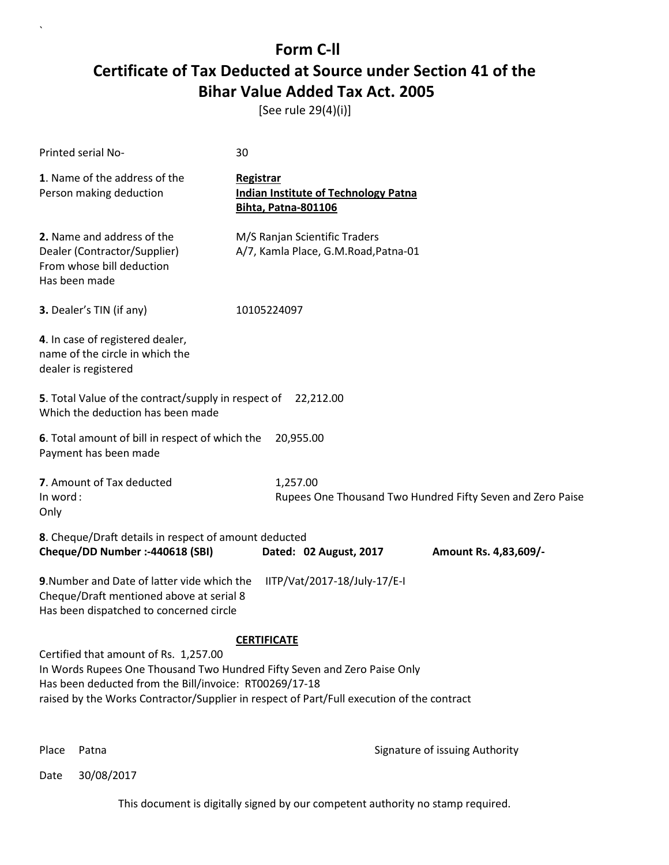[See rule 29(4)(i)]

| Printed serial No-                                                                                                                                                          | 30                                                                                                              |                                                            |
|-----------------------------------------------------------------------------------------------------------------------------------------------------------------------------|-----------------------------------------------------------------------------------------------------------------|------------------------------------------------------------|
| 1. Name of the address of the<br>Person making deduction                                                                                                                    | <b>Registrar</b><br><b>Indian Institute of Technology Patna</b><br><b>Bihta, Patna-801106</b>                   |                                                            |
| 2. Name and address of the<br>Dealer (Contractor/Supplier)<br>From whose bill deduction<br>Has been made                                                                    | M/S Ranjan Scientific Traders<br>A/7, Kamla Place, G.M.Road, Patna-01                                           |                                                            |
| 3. Dealer's TIN (if any)                                                                                                                                                    | 10105224097                                                                                                     |                                                            |
| 4. In case of registered dealer,<br>name of the circle in which the<br>dealer is registered                                                                                 |                                                                                                                 |                                                            |
| 5. Total Value of the contract/supply in respect of 22,212.00<br>Which the deduction has been made                                                                          |                                                                                                                 |                                                            |
| 6. Total amount of bill in respect of which the<br>Payment has been made                                                                                                    | 20,955.00                                                                                                       |                                                            |
| 7. Amount of Tax deducted<br>In word:<br>Only                                                                                                                               | 1,257.00                                                                                                        | Rupees One Thousand Two Hundred Fifty Seven and Zero Paise |
| 8. Cheque/Draft details in respect of amount deducted<br>Cheque/DD Number :- 440618 (SBI)                                                                                   | Dated: 02 August, 2017                                                                                          | Amount Rs. 4,83,609/-                                      |
| 9. Number and Date of latter vide which the<br>Cheque/Draft mentioned above at serial 8<br>Has been dispatched to concerned circle                                          | IITP/Vat/2017-18/July-17/E-I                                                                                    |                                                            |
| Certified that amount of Rs. 1,257.00<br>In Words Rupees One Thousand Two Hundred Fifty Seven and Zero Paise Only<br>Has been deducted from the Bill/invoice: RT00269/17-18 | <b>CERTIFICATE</b><br>raised by the Works Contractor/Supplier in respect of Part/Full execution of the contract |                                                            |

`

Place Patna **Property** Place Patna Signature of issuing Authority

Date 30/08/2017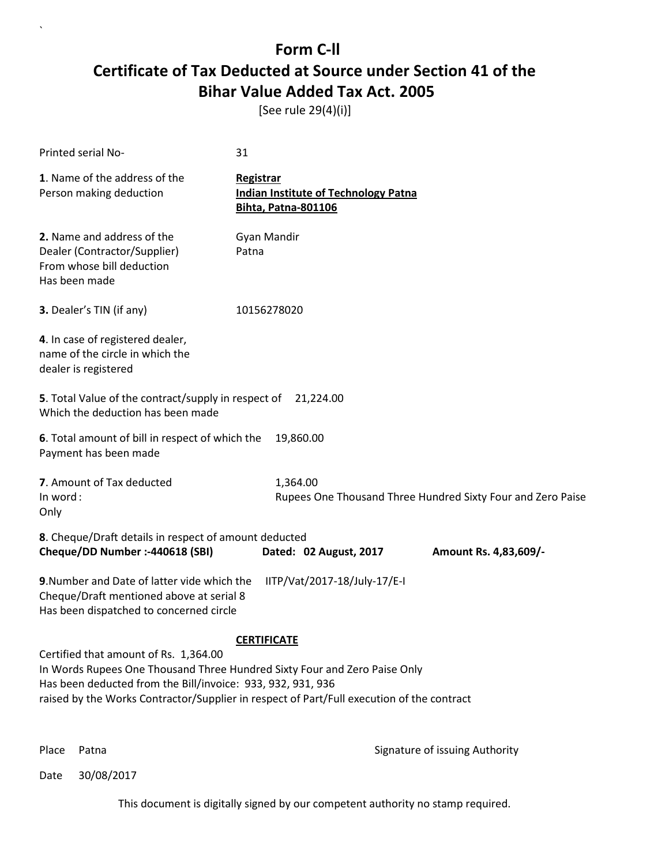[See rule 29(4)(i)]

| Printed serial No-                                                                                                                                                                | 31                                                                                                              |                                                             |
|-----------------------------------------------------------------------------------------------------------------------------------------------------------------------------------|-----------------------------------------------------------------------------------------------------------------|-------------------------------------------------------------|
| 1. Name of the address of the<br>Person making deduction                                                                                                                          | <b>Registrar</b><br><b>Indian Institute of Technology Patna</b><br><b>Bihta, Patna-801106</b>                   |                                                             |
| 2. Name and address of the<br>Dealer (Contractor/Supplier)<br>From whose bill deduction<br>Has been made                                                                          | Gyan Mandir<br>Patna                                                                                            |                                                             |
| 3. Dealer's TIN (if any)                                                                                                                                                          | 10156278020                                                                                                     |                                                             |
| 4. In case of registered dealer,<br>name of the circle in which the<br>dealer is registered                                                                                       |                                                                                                                 |                                                             |
| 5. Total Value of the contract/supply in respect of<br>Which the deduction has been made                                                                                          | 21,224.00                                                                                                       |                                                             |
| 6. Total amount of bill in respect of which the<br>Payment has been made                                                                                                          | 19,860.00                                                                                                       |                                                             |
| 7. Amount of Tax deducted<br>In word:<br>Only                                                                                                                                     | 1,364.00                                                                                                        | Rupees One Thousand Three Hundred Sixty Four and Zero Paise |
| 8. Cheque/Draft details in respect of amount deducted<br>Cheque/DD Number :- 440618 (SBI)                                                                                         | Dated: 02 August, 2017                                                                                          | Amount Rs. 4,83,609/-                                       |
| 9. Number and Date of latter vide which the<br>Cheque/Draft mentioned above at serial 8<br>Has been dispatched to concerned circle                                                | IITP/Vat/2017-18/July-17/E-I                                                                                    |                                                             |
| Certified that amount of Rs. 1,364.00<br>In Words Rupees One Thousand Three Hundred Sixty Four and Zero Paise Only<br>Has been deducted from the Bill/invoice: 933, 932, 931, 936 | <b>CERTIFICATE</b><br>raised by the Works Contractor/Supplier in respect of Part/Full execution of the contract |                                                             |

`

Place Patna **Property** Place Patna Signature of issuing Authority

Date 30/08/2017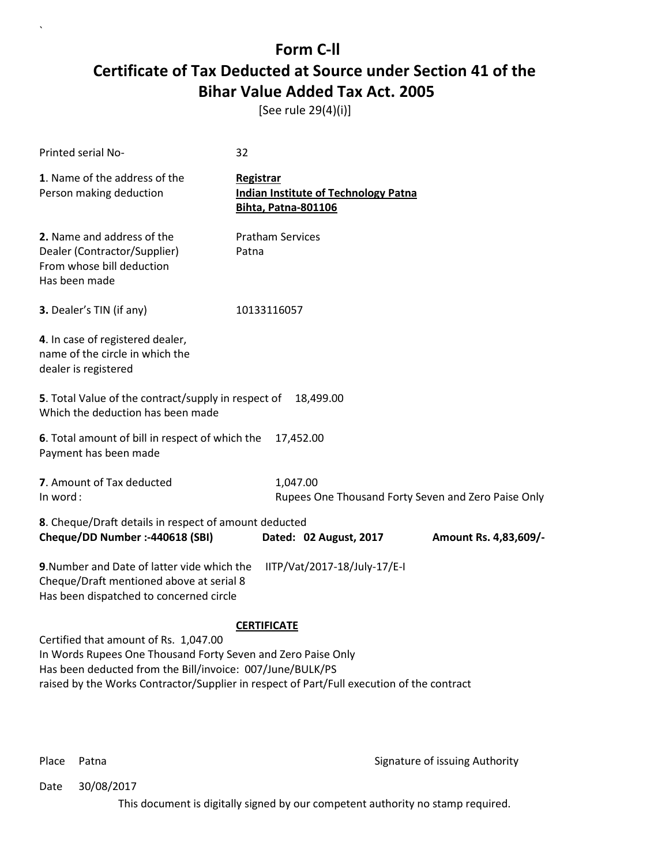[See rule 29(4)(i)]

| Printed serial No-                                                                                                                                                                                                                                                                    | 32                                                                                            |                                                     |  |
|---------------------------------------------------------------------------------------------------------------------------------------------------------------------------------------------------------------------------------------------------------------------------------------|-----------------------------------------------------------------------------------------------|-----------------------------------------------------|--|
| 1. Name of the address of the<br>Person making deduction                                                                                                                                                                                                                              | <b>Registrar</b><br><b>Indian Institute of Technology Patna</b><br><b>Bihta, Patna-801106</b> |                                                     |  |
| 2. Name and address of the<br>Dealer (Contractor/Supplier)<br>From whose bill deduction<br>Has been made                                                                                                                                                                              | <b>Pratham Services</b><br>Patna                                                              |                                                     |  |
| 3. Dealer's TIN (if any)                                                                                                                                                                                                                                                              | 10133116057                                                                                   |                                                     |  |
| 4. In case of registered dealer,<br>name of the circle in which the<br>dealer is registered                                                                                                                                                                                           |                                                                                               |                                                     |  |
| 5. Total Value of the contract/supply in respect of<br>Which the deduction has been made                                                                                                                                                                                              | 18,499.00                                                                                     |                                                     |  |
| 6. Total amount of bill in respect of which the<br>Payment has been made                                                                                                                                                                                                              | 17,452.00                                                                                     |                                                     |  |
| 7. Amount of Tax deducted<br>In word:                                                                                                                                                                                                                                                 | 1,047.00                                                                                      | Rupees One Thousand Forty Seven and Zero Paise Only |  |
| 8. Cheque/Draft details in respect of amount deducted<br>Cheque/DD Number :- 440618 (SBI)                                                                                                                                                                                             | Dated: 02 August, 2017                                                                        | Amount Rs. 4,83,609/-                               |  |
| 9. Number and Date of latter vide which the<br>IITP/Vat/2017-18/July-17/E-I<br>Cheque/Draft mentioned above at serial 8<br>Has been dispatched to concerned circle                                                                                                                    |                                                                                               |                                                     |  |
| <b>CERTIFICATE</b><br>Certified that amount of Rs. 1,047.00<br>In Words Rupees One Thousand Forty Seven and Zero Paise Only<br>Has been deducted from the Bill/invoice: 007/June/BULK/PS<br>raised by the Works Contractor/Supplier in respect of Part/Full execution of the contract |                                                                                               |                                                     |  |

`

Place Patna **Property** Place Patna Signature of issuing Authority

Date 30/08/2017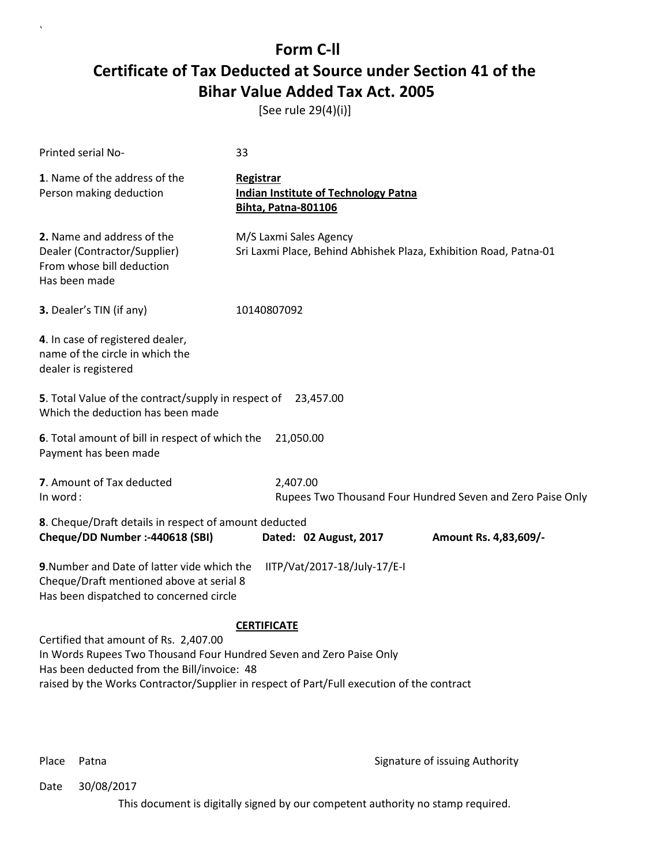[See rule 29(4)(i)]

| Printed serial No-                                                                                                                       | 33                                                                                            |                                                            |
|------------------------------------------------------------------------------------------------------------------------------------------|-----------------------------------------------------------------------------------------------|------------------------------------------------------------|
| 1. Name of the address of the<br>Person making deduction                                                                                 | <b>Registrar</b><br><b>Indian Institute of Technology Patna</b><br><b>Bihta, Patna-801106</b> |                                                            |
| 2. Name and address of the<br>Dealer (Contractor/Supplier)<br>From whose bill deduction<br>Has been made                                 | M/S Laxmi Sales Agency<br>Sri Laxmi Place, Behind Abhishek Plaza, Exhibition Road, Patna-01   |                                                            |
| 3. Dealer's TIN (if any)                                                                                                                 | 10140807092                                                                                   |                                                            |
| 4. In case of registered dealer,<br>name of the circle in which the<br>dealer is registered                                              |                                                                                               |                                                            |
| 5. Total Value of the contract/supply in respect of 23,457.00<br>Which the deduction has been made                                       |                                                                                               |                                                            |
| 6. Total amount of bill in respect of which the<br>Payment has been made                                                                 | 21,050.00                                                                                     |                                                            |
| 7. Amount of Tax deducted<br>In word:                                                                                                    | 2,407.00                                                                                      | Rupees Two Thousand Four Hundred Seven and Zero Paise Only |
| 8. Cheque/Draft details in respect of amount deducted<br>Cheque/DD Number :- 440618 (SBI)                                                | Dated: 02 August, 2017                                                                        | Amount Rs. 4,83,609/-                                      |
| 9. Number and Date of latter vide which the<br>Cheque/Draft mentioned above at serial 8<br>Has been dispatched to concerned circle       | IITP/Vat/2017-18/July-17/E-I                                                                  |                                                            |
|                                                                                                                                          | <b>CERTIFICATE</b>                                                                            |                                                            |
| Certified that amount of Rs. 2,407.00<br>In Words Rupees Two Thousand Four Hundred Seven and Zero Paise Only                             |                                                                                               |                                                            |
| Has been deducted from the Bill/invoice: 48<br>raised by the Works Contractor/Supplier in respect of Part/Full execution of the contract |                                                                                               |                                                            |
|                                                                                                                                          |                                                                                               |                                                            |
|                                                                                                                                          |                                                                                               |                                                            |
|                                                                                                                                          |                                                                                               |                                                            |

`

Place Patna **Property** Place Patna Signature of issuing Authority

Date 30/08/2017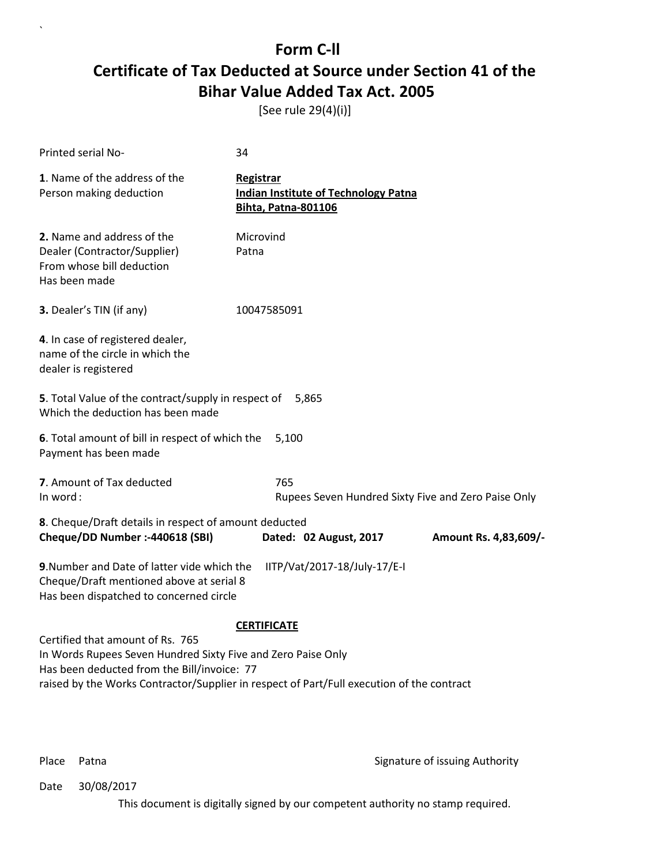[See rule 29(4)(i)]

| Printed serial No-                                                                                                                                                 | 34                                                                                     |  |  |
|--------------------------------------------------------------------------------------------------------------------------------------------------------------------|----------------------------------------------------------------------------------------|--|--|
| 1. Name of the address of the<br>Person making deduction                                                                                                           | Registrar<br><b>Indian Institute of Technology Patna</b><br><b>Bihta, Patna-801106</b> |  |  |
| 2. Name and address of the<br>Dealer (Contractor/Supplier)<br>From whose bill deduction<br>Has been made                                                           | Microvind<br>Patna                                                                     |  |  |
| 3. Dealer's TIN (if any)                                                                                                                                           | 10047585091                                                                            |  |  |
| 4. In case of registered dealer,<br>name of the circle in which the<br>dealer is registered                                                                        |                                                                                        |  |  |
| 5. Total Value of the contract/supply in respect of 5,865<br>Which the deduction has been made                                                                     |                                                                                        |  |  |
| 6. Total amount of bill in respect of which the<br>Payment has been made                                                                                           | 5,100                                                                                  |  |  |
| 7. Amount of Tax deducted<br>In word:                                                                                                                              | 765<br>Rupees Seven Hundred Sixty Five and Zero Paise Only                             |  |  |
| 8. Cheque/Draft details in respect of amount deducted<br>Cheque/DD Number :- 440618 (SBI)<br>Dated: 02 August, 2017<br>Amount Rs. 4,83,609/-                       |                                                                                        |  |  |
| 9. Number and Date of latter vide which the<br>IITP/Vat/2017-18/July-17/E-I<br>Cheque/Draft mentioned above at serial 8<br>Has been dispatched to concerned circle |                                                                                        |  |  |
|                                                                                                                                                                    | <b>CERTIFICATE</b>                                                                     |  |  |
| Certified that amount of Rs. 765<br>In Words Rupees Seven Hundred Sixty Five and Zero Paise Only<br>Has been deducted from the Bill/invoice: 77                    |                                                                                        |  |  |

`

Place Patna **Property** Place Patna Signature of issuing Authority

Date 30/08/2017

This document is digitally signed by our competent authority no stamp required.

raised by the Works Contractor/Supplier in respect of Part/Full execution of the contract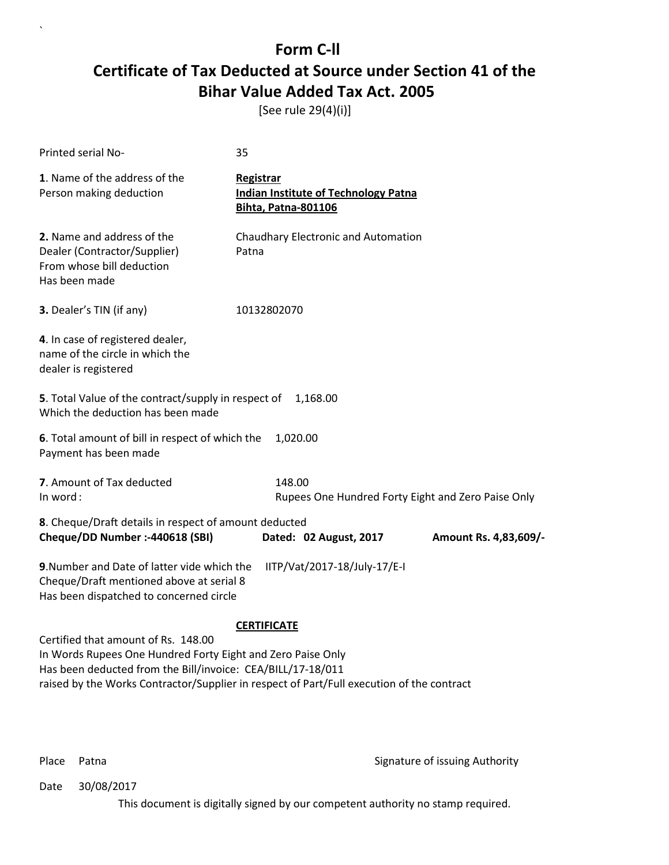[See rule 29(4)(i)]

| Printed serial No-                                                                                                                                                 | 35                                                                                        |                       |
|--------------------------------------------------------------------------------------------------------------------------------------------------------------------|-------------------------------------------------------------------------------------------|-----------------------|
| 1. Name of the address of the<br>Person making deduction                                                                                                           | Registrar<br><b>Indian Institute of Technology Patna</b><br><b>Bihta, Patna-801106</b>    |                       |
| 2. Name and address of the<br>Dealer (Contractor/Supplier)<br>From whose bill deduction<br>Has been made                                                           | Chaudhary Electronic and Automation<br>Patna                                              |                       |
| 3. Dealer's TIN (if any)                                                                                                                                           | 10132802070                                                                               |                       |
| 4. In case of registered dealer,<br>name of the circle in which the<br>dealer is registered                                                                        |                                                                                           |                       |
| 5. Total Value of the contract/supply in respect of<br>Which the deduction has been made                                                                           | 1,168.00                                                                                  |                       |
| 6. Total amount of bill in respect of which the<br>Payment has been made                                                                                           | 1,020.00                                                                                  |                       |
| 7. Amount of Tax deducted<br>In word:                                                                                                                              | 148.00<br>Rupees One Hundred Forty Eight and Zero Paise Only                              |                       |
| 8. Cheque/Draft details in respect of amount deducted<br>Cheque/DD Number :- 440618 (SBI)                                                                          | Dated: 02 August, 2017                                                                    | Amount Rs. 4,83,609/- |
| 9. Number and Date of latter vide which the<br>IITP/Vat/2017-18/July-17/E-I<br>Cheque/Draft mentioned above at serial 8<br>Has been dispatched to concerned circle |                                                                                           |                       |
|                                                                                                                                                                    | <b>CERTIFICATE</b>                                                                        |                       |
| Certified that amount of Rs. 148.00<br>In Words Rupees One Hundred Forty Eight and Zero Paise Only                                                                 |                                                                                           |                       |
| Has been deducted from the Bill/invoice: CEA/BILL/17-18/011                                                                                                        |                                                                                           |                       |
|                                                                                                                                                                    | raised by the Works Contractor/Supplier in respect of Part/Full execution of the contract |                       |

`

Place Patna **Property** Place Patna Signature of issuing Authority

Date 30/08/2017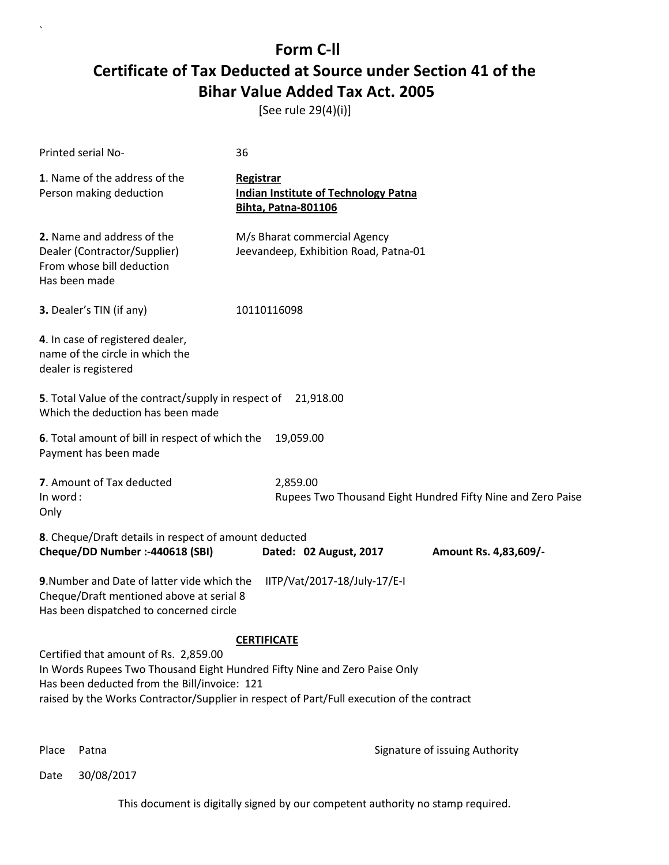[See rule 29(4)(i)]

| Printed serial No-                                                                                                                                                                                                                                                                    | 36                                                                                            |                                                             |
|---------------------------------------------------------------------------------------------------------------------------------------------------------------------------------------------------------------------------------------------------------------------------------------|-----------------------------------------------------------------------------------------------|-------------------------------------------------------------|
| 1. Name of the address of the<br>Person making deduction                                                                                                                                                                                                                              | <b>Registrar</b><br><b>Indian Institute of Technology Patna</b><br><b>Bihta, Patna-801106</b> |                                                             |
| 2. Name and address of the<br>Dealer (Contractor/Supplier)<br>From whose bill deduction<br>Has been made                                                                                                                                                                              | M/s Bharat commercial Agency<br>Jeevandeep, Exhibition Road, Patna-01                         |                                                             |
| 3. Dealer's TIN (if any)                                                                                                                                                                                                                                                              | 10110116098                                                                                   |                                                             |
| 4. In case of registered dealer,<br>name of the circle in which the<br>dealer is registered                                                                                                                                                                                           |                                                                                               |                                                             |
| 5. Total Value of the contract/supply in respect of<br>Which the deduction has been made                                                                                                                                                                                              | 21,918.00                                                                                     |                                                             |
| 6. Total amount of bill in respect of which the<br>Payment has been made                                                                                                                                                                                                              | 19,059.00                                                                                     |                                                             |
| 7. Amount of Tax deducted<br>In word:<br>Only                                                                                                                                                                                                                                         | 2,859.00                                                                                      | Rupees Two Thousand Eight Hundred Fifty Nine and Zero Paise |
| 8. Cheque/Draft details in respect of amount deducted<br>Cheque/DD Number :- 440618 (SBI)                                                                                                                                                                                             | Dated: 02 August, 2017                                                                        | Amount Rs. 4,83,609/-                                       |
| 9. Number and Date of latter vide which the<br>Cheque/Draft mentioned above at serial 8<br>Has been dispatched to concerned circle                                                                                                                                                    | IITP/Vat/2017-18/July-17/E-I                                                                  |                                                             |
| <b>CERTIFICATE</b><br>Certified that amount of Rs. 2,859.00<br>In Words Rupees Two Thousand Eight Hundred Fifty Nine and Zero Paise Only<br>Has been deducted from the Bill/invoice: 121<br>raised by the Works Contractor/Supplier in respect of Part/Full execution of the contract |                                                                                               |                                                             |

`

Place Patna **Property** Place Patna Signature of issuing Authority

Date 30/08/2017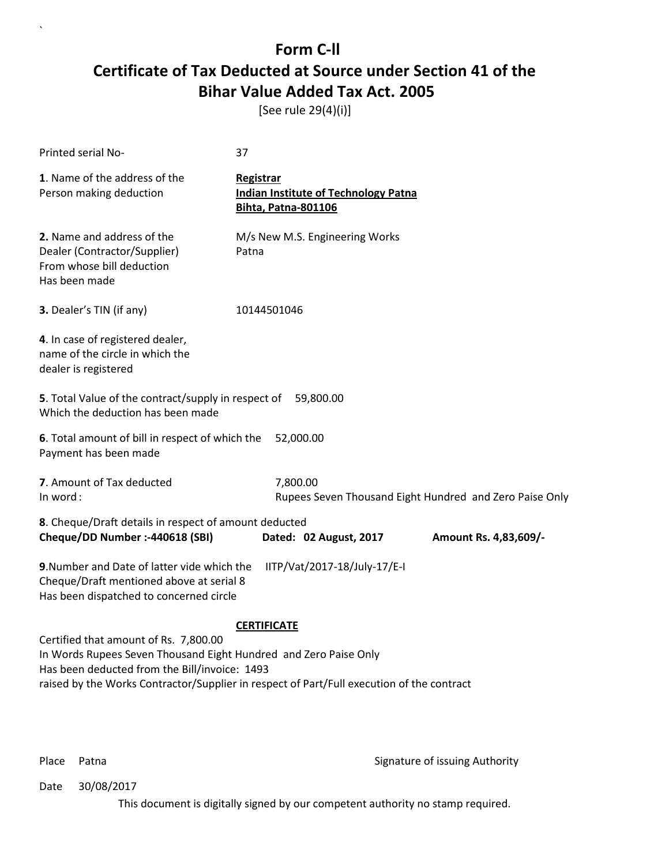[See rule 29(4)(i)]

| Printed serial No-                                                                                                                                                                                                                                                            | 37                                                                                     |                       |
|-------------------------------------------------------------------------------------------------------------------------------------------------------------------------------------------------------------------------------------------------------------------------------|----------------------------------------------------------------------------------------|-----------------------|
| 1. Name of the address of the<br>Person making deduction                                                                                                                                                                                                                      | Registrar<br><b>Indian Institute of Technology Patna</b><br><b>Bihta, Patna-801106</b> |                       |
| 2. Name and address of the<br>Dealer (Contractor/Supplier)<br>From whose bill deduction<br>Has been made                                                                                                                                                                      | M/s New M.S. Engineering Works<br>Patna                                                |                       |
| 3. Dealer's TIN (if any)                                                                                                                                                                                                                                                      | 10144501046                                                                            |                       |
| 4. In case of registered dealer,<br>name of the circle in which the<br>dealer is registered                                                                                                                                                                                   |                                                                                        |                       |
| 5. Total Value of the contract/supply in respect of 59,800.00<br>Which the deduction has been made                                                                                                                                                                            |                                                                                        |                       |
| 6. Total amount of bill in respect of which the<br>Payment has been made                                                                                                                                                                                                      | 52,000.00                                                                              |                       |
| 7. Amount of Tax deducted<br>In word:                                                                                                                                                                                                                                         | 7,800.00<br>Rupees Seven Thousand Eight Hundred and Zero Paise Only                    |                       |
| 8. Cheque/Draft details in respect of amount deducted<br>Cheque/DD Number :- 440618 (SBI)                                                                                                                                                                                     | Dated: 02 August, 2017                                                                 | Amount Rs. 4,83,609/- |
| 9. Number and Date of latter vide which the<br>Cheque/Draft mentioned above at serial 8<br>Has been dispatched to concerned circle                                                                                                                                            | IITP/Vat/2017-18/July-17/E-I                                                           |                       |
| <b>CERTIFICATE</b><br>Certified that amount of Rs. 7,800.00<br>In Words Rupees Seven Thousand Eight Hundred and Zero Paise Only<br>Has been deducted from the Bill/invoice: 1493<br>raised by the Works Contractor/Supplier in respect of Part/Full execution of the contract |                                                                                        |                       |

`

Place Patna **Property** Place Patna Signature of issuing Authority

Date 30/08/2017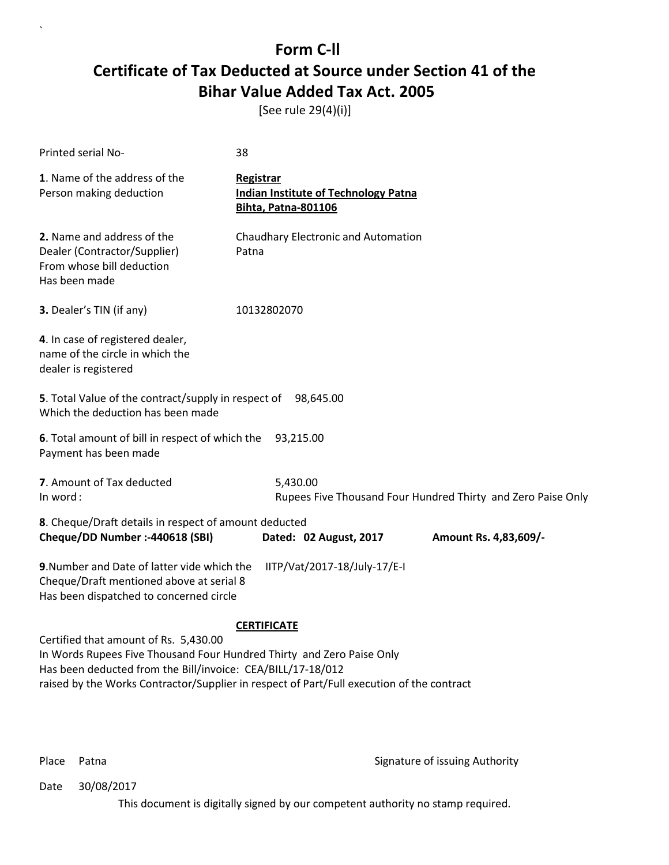[See rule 29(4)(i)]

| Printed serial No-                                                                                                                                                                                                                                                                               | 38                                                                                     |  |
|--------------------------------------------------------------------------------------------------------------------------------------------------------------------------------------------------------------------------------------------------------------------------------------------------|----------------------------------------------------------------------------------------|--|
| 1. Name of the address of the<br>Person making deduction                                                                                                                                                                                                                                         | Registrar<br><b>Indian Institute of Technology Patna</b><br><b>Bihta, Patna-801106</b> |  |
| 2. Name and address of the<br>Dealer (Contractor/Supplier)<br>From whose bill deduction<br>Has been made                                                                                                                                                                                         | <b>Chaudhary Electronic and Automation</b><br>Patna                                    |  |
| 3. Dealer's TIN (if any)                                                                                                                                                                                                                                                                         | 10132802070                                                                            |  |
| 4. In case of registered dealer,<br>name of the circle in which the<br>dealer is registered                                                                                                                                                                                                      |                                                                                        |  |
| 5. Total Value of the contract/supply in respect of 98,645.00<br>Which the deduction has been made                                                                                                                                                                                               |                                                                                        |  |
| 6. Total amount of bill in respect of which the<br>Payment has been made                                                                                                                                                                                                                         | 93,215.00                                                                              |  |
| 7. Amount of Tax deducted<br>In word:                                                                                                                                                                                                                                                            | 5,430.00<br>Rupees Five Thousand Four Hundred Thirty and Zero Paise Only               |  |
| 8. Cheque/Draft details in respect of amount deducted<br>Cheque/DD Number :- 440618 (SBI)                                                                                                                                                                                                        | Dated: 02 August, 2017<br>Amount Rs. 4,83,609/-                                        |  |
| 9. Number and Date of latter vide which the<br>IITP/Vat/2017-18/July-17/E-I<br>Cheque/Draft mentioned above at serial 8<br>Has been dispatched to concerned circle                                                                                                                               |                                                                                        |  |
| <b>CERTIFICATE</b><br>Certified that amount of Rs. 5,430.00<br>In Words Rupees Five Thousand Four Hundred Thirty and Zero Paise Only<br>Has been deducted from the Bill/invoice: CEA/BILL/17-18/012<br>raised by the Works Contractor/Supplier in respect of Part/Full execution of the contract |                                                                                        |  |

`

Place Patna **Property** Place Patna Signature of issuing Authority

Date 30/08/2017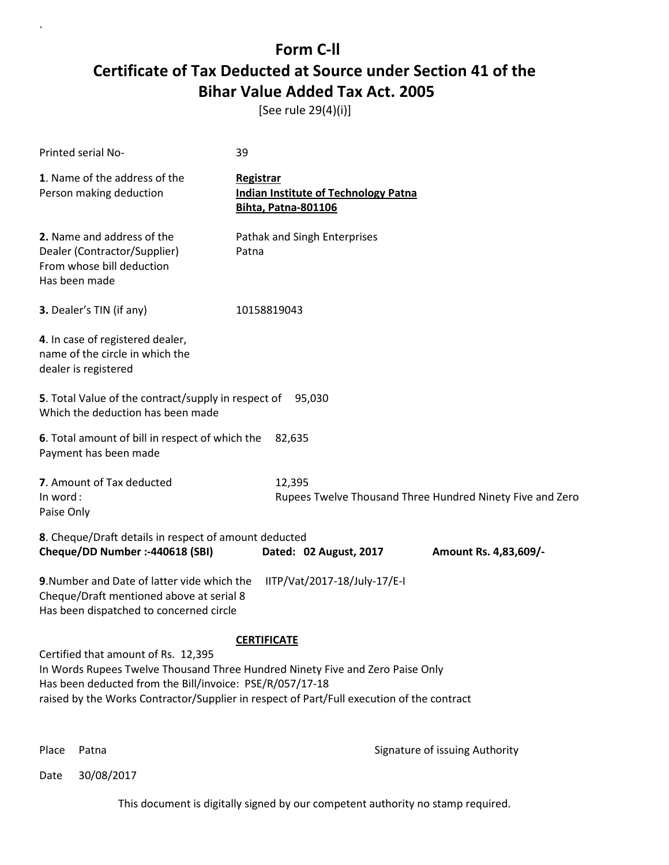[See rule 29(4)(i)]

| Printed serial No-                                                                                                                                                                                                                                                                                  | 39                                                                                            |                       |
|-----------------------------------------------------------------------------------------------------------------------------------------------------------------------------------------------------------------------------------------------------------------------------------------------------|-----------------------------------------------------------------------------------------------|-----------------------|
| 1. Name of the address of the<br>Person making deduction                                                                                                                                                                                                                                            | <b>Registrar</b><br><b>Indian Institute of Technology Patna</b><br><b>Bihta, Patna-801106</b> |                       |
| 2. Name and address of the<br>Dealer (Contractor/Supplier)<br>From whose bill deduction<br>Has been made                                                                                                                                                                                            | Pathak and Singh Enterprises<br>Patna                                                         |                       |
| 3. Dealer's TIN (if any)                                                                                                                                                                                                                                                                            | 10158819043                                                                                   |                       |
| 4. In case of registered dealer,<br>name of the circle in which the<br>dealer is registered                                                                                                                                                                                                         |                                                                                               |                       |
| 5. Total Value of the contract/supply in respect of<br>Which the deduction has been made                                                                                                                                                                                                            | 95,030                                                                                        |                       |
| 6. Total amount of bill in respect of which the<br>Payment has been made                                                                                                                                                                                                                            | 82,635                                                                                        |                       |
| 7. Amount of Tax deducted<br>In word:<br>Paise Only                                                                                                                                                                                                                                                 | 12,395<br>Rupees Twelve Thousand Three Hundred Ninety Five and Zero                           |                       |
| 8. Cheque/Draft details in respect of amount deducted<br>Cheque/DD Number :- 440618 (SBI)                                                                                                                                                                                                           | Dated: 02 August, 2017                                                                        | Amount Rs. 4,83,609/- |
| 9. Number and Date of latter vide which the<br>Cheque/Draft mentioned above at serial 8<br>Has been dispatched to concerned circle                                                                                                                                                                  | IITP/Vat/2017-18/July-17/E-I                                                                  |                       |
| <b>CERTIFICATE</b><br>Certified that amount of Rs. 12,395<br>In Words Rupees Twelve Thousand Three Hundred Ninety Five and Zero Paise Only<br>Has been deducted from the Bill/invoice: PSE/R/057/17-18<br>raised by the Works Contractor/Supplier in respect of Part/Full execution of the contract |                                                                                               |                       |

`

Place Patna **Property** Place Patna Signature of issuing Authority

Date 30/08/2017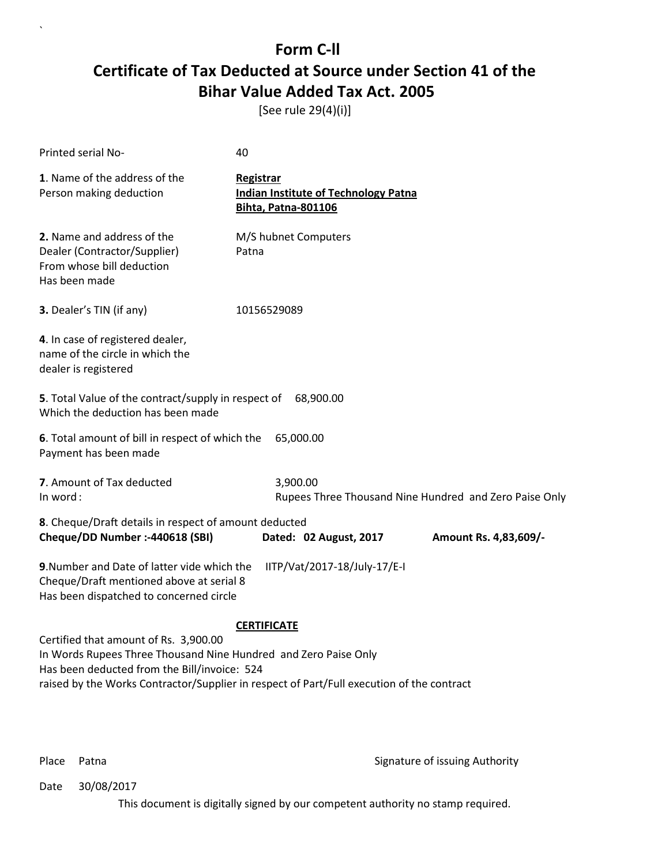[See rule 29(4)(i)]

| <b>Printed serial No-</b>                                                                                                                                                                                                                             | 40                                                                                     |                       |
|-------------------------------------------------------------------------------------------------------------------------------------------------------------------------------------------------------------------------------------------------------|----------------------------------------------------------------------------------------|-----------------------|
| 1. Name of the address of the<br>Person making deduction                                                                                                                                                                                              | Registrar<br><b>Indian Institute of Technology Patna</b><br><b>Bihta, Patna-801106</b> |                       |
| 2. Name and address of the<br>Dealer (Contractor/Supplier)<br>From whose bill deduction<br>Has been made                                                                                                                                              | M/S hubnet Computers<br>Patna                                                          |                       |
| 3. Dealer's TIN (if any)                                                                                                                                                                                                                              | 10156529089                                                                            |                       |
| 4. In case of registered dealer,<br>name of the circle in which the<br>dealer is registered                                                                                                                                                           |                                                                                        |                       |
| 5. Total Value of the contract/supply in respect of 68,900.00<br>Which the deduction has been made                                                                                                                                                    |                                                                                        |                       |
| 6. Total amount of bill in respect of which the<br>Payment has been made                                                                                                                                                                              | 65,000.00                                                                              |                       |
| 7. Amount of Tax deducted<br>In word:                                                                                                                                                                                                                 | 3,900.00<br>Rupees Three Thousand Nine Hundred and Zero Paise Only                     |                       |
| 8. Cheque/Draft details in respect of amount deducted<br>Cheque/DD Number :- 440618 (SBI)                                                                                                                                                             | Dated: 02 August, 2017                                                                 | Amount Rs. 4,83,609/- |
| 9. Number and Date of latter vide which the<br>Cheque/Draft mentioned above at serial 8<br>Has been dispatched to concerned circle                                                                                                                    | IITP/Vat/2017-18/July-17/E-I                                                           |                       |
|                                                                                                                                                                                                                                                       | <b>CERTIFICATE</b>                                                                     |                       |
| Certified that amount of Rs. 3,900.00<br>In Words Rupees Three Thousand Nine Hundred and Zero Paise Only<br>Has been deducted from the Bill/invoice: 524<br>raised by the Works Contractor/Supplier in respect of Part/Full execution of the contract |                                                                                        |                       |

`

Place Patna **Property** Place Patna Signature of issuing Authority

Date 30/08/2017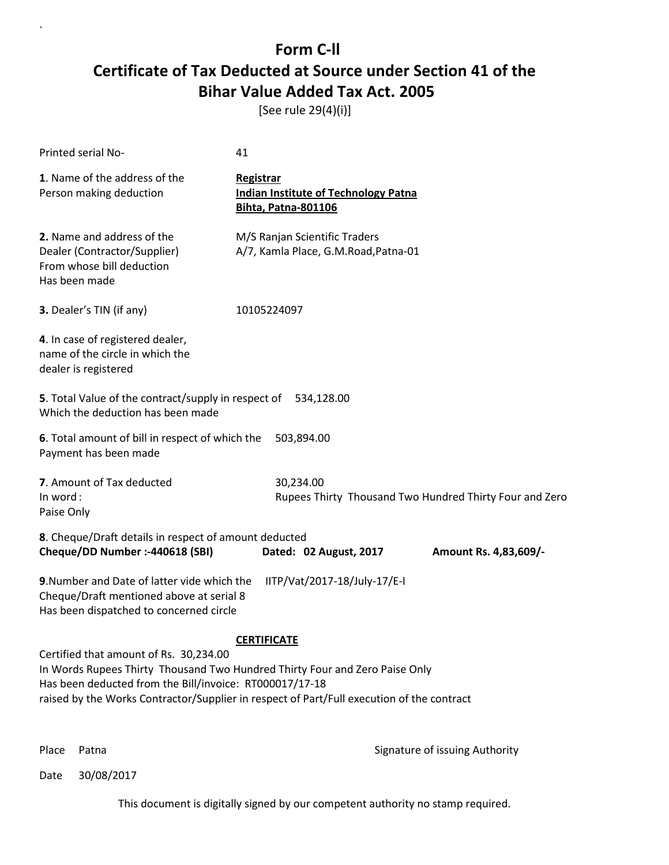[See rule 29(4)(i)]

| Printed serial No-                                                                                                                                                                                                                                                                                  | 41                                                                                     |                                                         |
|-----------------------------------------------------------------------------------------------------------------------------------------------------------------------------------------------------------------------------------------------------------------------------------------------------|----------------------------------------------------------------------------------------|---------------------------------------------------------|
| 1. Name of the address of the<br>Person making deduction                                                                                                                                                                                                                                            | Registrar<br><b>Indian Institute of Technology Patna</b><br><b>Bihta, Patna-801106</b> |                                                         |
| 2. Name and address of the<br>Dealer (Contractor/Supplier)<br>From whose bill deduction<br>Has been made                                                                                                                                                                                            | M/S Ranjan Scientific Traders<br>A/7, Kamla Place, G.M.Road, Patna-01                  |                                                         |
| 3. Dealer's TIN (if any)                                                                                                                                                                                                                                                                            | 10105224097                                                                            |                                                         |
| 4. In case of registered dealer,<br>name of the circle in which the<br>dealer is registered                                                                                                                                                                                                         |                                                                                        |                                                         |
| 5. Total Value of the contract/supply in respect of<br>Which the deduction has been made                                                                                                                                                                                                            | 534,128.00                                                                             |                                                         |
| 6. Total amount of bill in respect of which the<br>Payment has been made                                                                                                                                                                                                                            | 503,894.00                                                                             |                                                         |
| 7. Amount of Tax deducted<br>In word:<br>Paise Only                                                                                                                                                                                                                                                 | 30,234.00                                                                              | Rupees Thirty Thousand Two Hundred Thirty Four and Zero |
| 8. Cheque/Draft details in respect of amount deducted<br>Cheque/DD Number :- 440618 (SBI)                                                                                                                                                                                                           | Dated: 02 August, 2017                                                                 | Amount Rs. 4,83,609/-                                   |
| 9. Number and Date of latter vide which the<br>IITP/Vat/2017-18/July-17/E-I<br>Cheque/Draft mentioned above at serial 8<br>Has been dispatched to concerned circle                                                                                                                                  |                                                                                        |                                                         |
| <b>CERTIFICATE</b><br>Certified that amount of Rs. 30,234.00<br>In Words Rupees Thirty Thousand Two Hundred Thirty Four and Zero Paise Only<br>Has been deducted from the Bill/invoice: RT000017/17-18<br>raised by the Works Contractor/Supplier in respect of Part/Full execution of the contract |                                                                                        |                                                         |

`

Place Patna **Property** Place Patna Signature of issuing Authority

Date 30/08/2017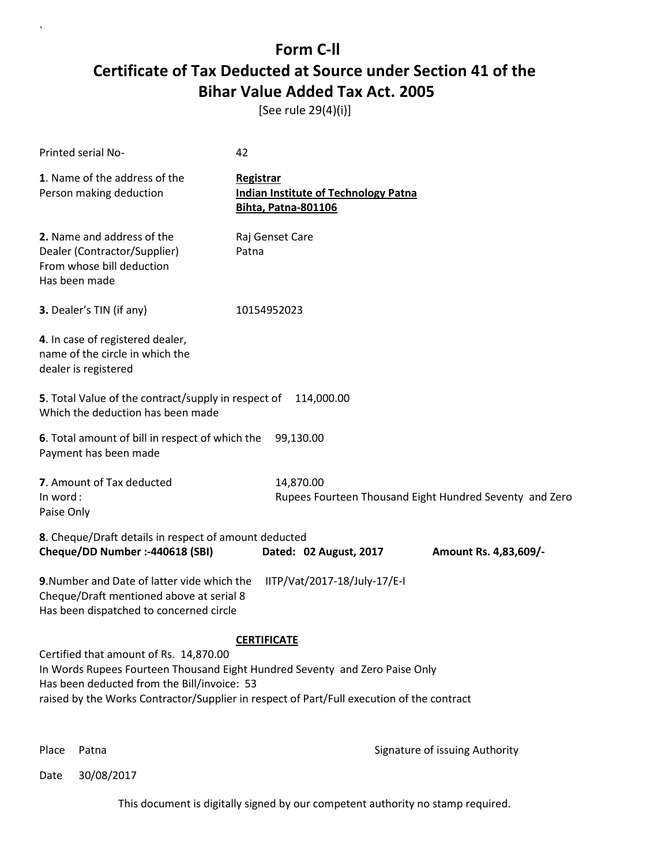[See rule 29(4)(i)]

| Printed serial No-                                                                                                                          | 42                                                                                            |                       |
|---------------------------------------------------------------------------------------------------------------------------------------------|-----------------------------------------------------------------------------------------------|-----------------------|
| 1. Name of the address of the<br>Person making deduction                                                                                    | <b>Registrar</b><br><b>Indian Institute of Technology Patna</b><br><b>Bihta, Patna-801106</b> |                       |
| 2. Name and address of the<br>Dealer (Contractor/Supplier)<br>From whose bill deduction<br>Has been made                                    | Raj Genset Care<br>Patna                                                                      |                       |
| 3. Dealer's TIN (if any)                                                                                                                    | 10154952023                                                                                   |                       |
| 4. In case of registered dealer,<br>name of the circle in which the<br>dealer is registered                                                 |                                                                                               |                       |
| 5. Total Value of the contract/supply in respect of<br>114,000.00<br>Which the deduction has been made                                      |                                                                                               |                       |
| 6. Total amount of bill in respect of which the<br>Payment has been made                                                                    | 99,130.00                                                                                     |                       |
| 7. Amount of Tax deducted<br>In word:<br>Paise Only                                                                                         | 14,870.00<br>Rupees Fourteen Thousand Eight Hundred Seventy and Zero                          |                       |
| 8. Cheque/Draft details in respect of amount deducted<br>Cheque/DD Number :- 440618 (SBI)                                                   | Dated: 02 August, 2017                                                                        | Amount Rs. 4,83,609/- |
| 9. Number and Date of latter vide which the<br>Cheque/Draft mentioned above at serial 8<br>Has been dispatched to concerned circle          | IITP/Vat/2017-18/July-17/E-I                                                                  |                       |
| <b>CERTIFICATE</b><br>Certified that amount of Rs. 14,870.00<br>In Words Rupees Fourteen Thousand Eight Hundred Seventy and Zero Paise Only |                                                                                               |                       |
| Has been deducted from the Bill/invoice: 53<br>raised by the Works Contractor/Supplier in respect of Part/Full execution of the contract    |                                                                                               |                       |

`

Place Patna **Property** Place Patna Signature of issuing Authority

Date 30/08/2017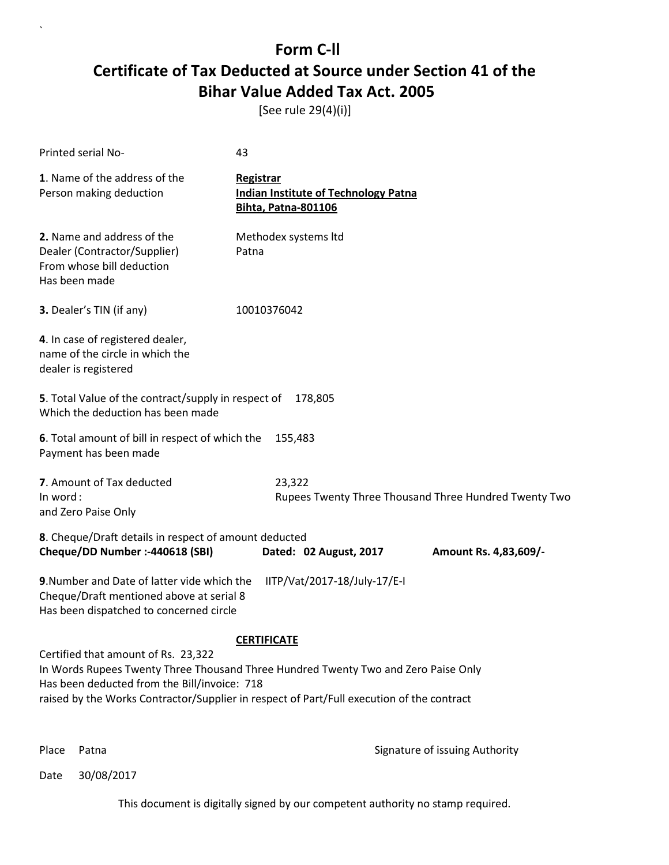[See rule 29(4)(i)]

| Printed serial No-                                                                                                                                                                                                                                                                           | 43                                                                                     |                       |
|----------------------------------------------------------------------------------------------------------------------------------------------------------------------------------------------------------------------------------------------------------------------------------------------|----------------------------------------------------------------------------------------|-----------------------|
| 1. Name of the address of the<br>Person making deduction                                                                                                                                                                                                                                     | Registrar<br><b>Indian Institute of Technology Patna</b><br><b>Bihta, Patna-801106</b> |                       |
| 2. Name and address of the<br>Dealer (Contractor/Supplier)<br>From whose bill deduction<br>Has been made                                                                                                                                                                                     | Methodex systems Itd<br>Patna                                                          |                       |
| 3. Dealer's TIN (if any)                                                                                                                                                                                                                                                                     | 10010376042                                                                            |                       |
| 4. In case of registered dealer,<br>name of the circle in which the<br>dealer is registered                                                                                                                                                                                                  |                                                                                        |                       |
| 5. Total Value of the contract/supply in respect of<br>Which the deduction has been made                                                                                                                                                                                                     | 178,805                                                                                |                       |
| 6. Total amount of bill in respect of which the<br>Payment has been made                                                                                                                                                                                                                     | 155,483                                                                                |                       |
| 7. Amount of Tax deducted<br>In word:<br>and Zero Paise Only                                                                                                                                                                                                                                 | 23,322<br>Rupees Twenty Three Thousand Three Hundred Twenty Two                        |                       |
| 8. Cheque/Draft details in respect of amount deducted<br>Cheque/DD Number :- 440618 (SBI)                                                                                                                                                                                                    | Dated: 02 August, 2017                                                                 | Amount Rs. 4,83,609/- |
| 9. Number and Date of latter vide which the<br>Cheque/Draft mentioned above at serial 8<br>Has been dispatched to concerned circle                                                                                                                                                           | IITP/Vat/2017-18/July-17/E-I                                                           |                       |
| <b>CERTIFICATE</b><br>Certified that amount of Rs. 23,322<br>In Words Rupees Twenty Three Thousand Three Hundred Twenty Two and Zero Paise Only<br>Has been deducted from the Bill/invoice: 718<br>raised by the Works Contractor/Supplier in respect of Part/Full execution of the contract |                                                                                        |                       |

`

Place Patna **Property** Place Patna Signature of issuing Authority

Date 30/08/2017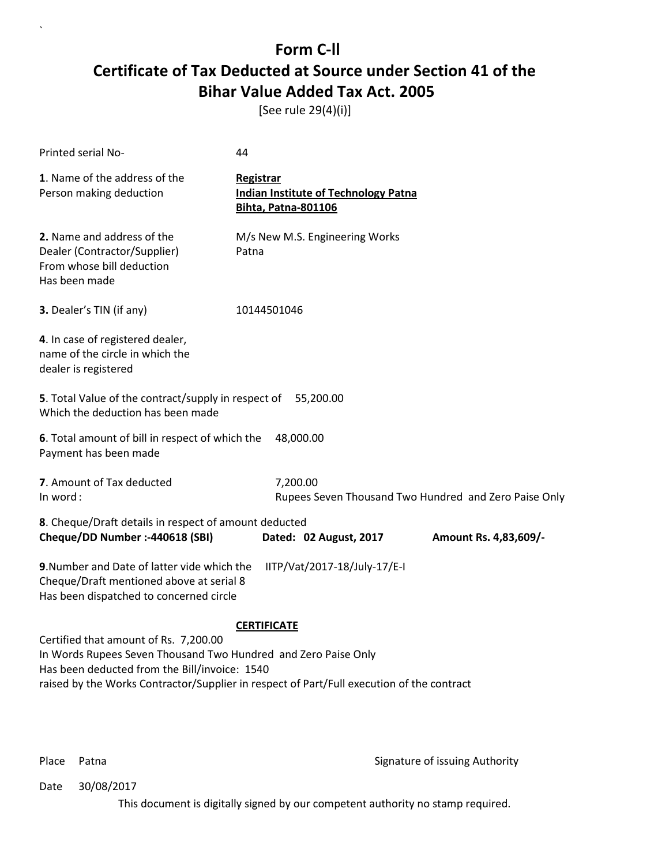[See rule 29(4)(i)]

| Printed serial No-                                                                                                                                                                                                                                                          | 44                                                                                     |                       |
|-----------------------------------------------------------------------------------------------------------------------------------------------------------------------------------------------------------------------------------------------------------------------------|----------------------------------------------------------------------------------------|-----------------------|
| 1. Name of the address of the<br>Person making deduction                                                                                                                                                                                                                    | Registrar<br><b>Indian Institute of Technology Patna</b><br><b>Bihta, Patna-801106</b> |                       |
| 2. Name and address of the<br>Dealer (Contractor/Supplier)<br>From whose bill deduction<br>Has been made                                                                                                                                                                    | M/s New M.S. Engineering Works<br>Patna                                                |                       |
| 3. Dealer's TIN (if any)                                                                                                                                                                                                                                                    | 10144501046                                                                            |                       |
| 4. In case of registered dealer,<br>name of the circle in which the<br>dealer is registered                                                                                                                                                                                 |                                                                                        |                       |
| 5. Total Value of the contract/supply in respect of 55,200.00<br>Which the deduction has been made                                                                                                                                                                          |                                                                                        |                       |
| 6. Total amount of bill in respect of which the<br>Payment has been made                                                                                                                                                                                                    | 48,000.00                                                                              |                       |
| 7. Amount of Tax deducted<br>In word:                                                                                                                                                                                                                                       | 7,200.00<br>Rupees Seven Thousand Two Hundred and Zero Paise Only                      |                       |
| 8. Cheque/Draft details in respect of amount deducted<br>Cheque/DD Number :- 440618 (SBI)                                                                                                                                                                                   | Dated: 02 August, 2017                                                                 | Amount Rs. 4,83,609/- |
| 9. Number and Date of latter vide which the<br>Cheque/Draft mentioned above at serial 8<br>Has been dispatched to concerned circle                                                                                                                                          | IITP/Vat/2017-18/July-17/E-I                                                           |                       |
| <b>CERTIFICATE</b><br>Certified that amount of Rs. 7,200.00<br>In Words Rupees Seven Thousand Two Hundred and Zero Paise Only<br>Has been deducted from the Bill/invoice: 1540<br>raised by the Works Contractor/Supplier in respect of Part/Full execution of the contract |                                                                                        |                       |

`

Place Patna **Property** Place Patna Signature of issuing Authority

Date 30/08/2017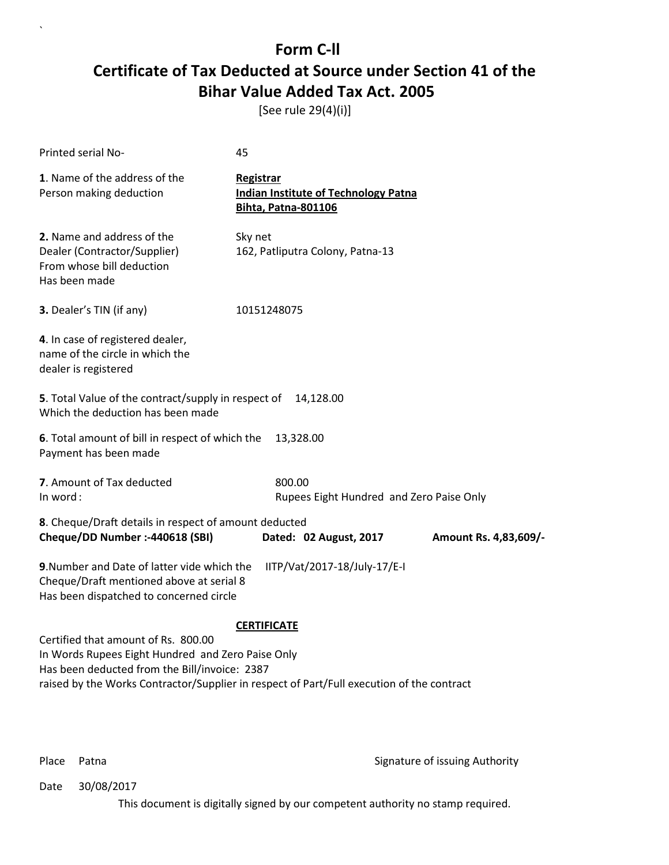[See rule 29(4)(i)]

| Printed serial No-                                                                                                                        | 45                                                                                                              |                       |
|-------------------------------------------------------------------------------------------------------------------------------------------|-----------------------------------------------------------------------------------------------------------------|-----------------------|
| 1. Name of the address of the<br>Person making deduction                                                                                  | Registrar<br><b>Indian Institute of Technology Patna</b><br><b>Bihta, Patna-801106</b>                          |                       |
| 2. Name and address of the<br>Dealer (Contractor/Supplier)<br>From whose bill deduction<br>Has been made                                  | Sky net<br>162, Patliputra Colony, Patna-13                                                                     |                       |
| 3. Dealer's TIN (if any)                                                                                                                  | 10151248075                                                                                                     |                       |
| 4. In case of registered dealer,<br>name of the circle in which the<br>dealer is registered                                               |                                                                                                                 |                       |
| 5. Total Value of the contract/supply in respect of<br>14,128.00<br>Which the deduction has been made                                     |                                                                                                                 |                       |
| 6. Total amount of bill in respect of which the<br>Payment has been made                                                                  | 13,328.00                                                                                                       |                       |
| 7. Amount of Tax deducted<br>In word:                                                                                                     | 800.00<br>Rupees Eight Hundred and Zero Paise Only                                                              |                       |
| 8. Cheque/Draft details in respect of amount deducted<br>Cheque/DD Number :- 440618 (SBI)                                                 | Dated: 02 August, 2017                                                                                          | Amount Rs. 4,83,609/- |
| 9. Number and Date of latter vide which the<br>Cheque/Draft mentioned above at serial 8<br>Has been dispatched to concerned circle        | IITP/Vat/2017-18/July-17/E-I                                                                                    |                       |
| Certified that amount of Rs. 800.00<br>In Words Rupees Eight Hundred and Zero Paise Only<br>Has been deducted from the Bill/invoice: 2387 | <b>CERTIFICATE</b><br>raised by the Works Contractor/Supplier in respect of Part/Full execution of the contract |                       |

`

Place Patna **Property** Place Patna Signature of issuing Authority

Date 30/08/2017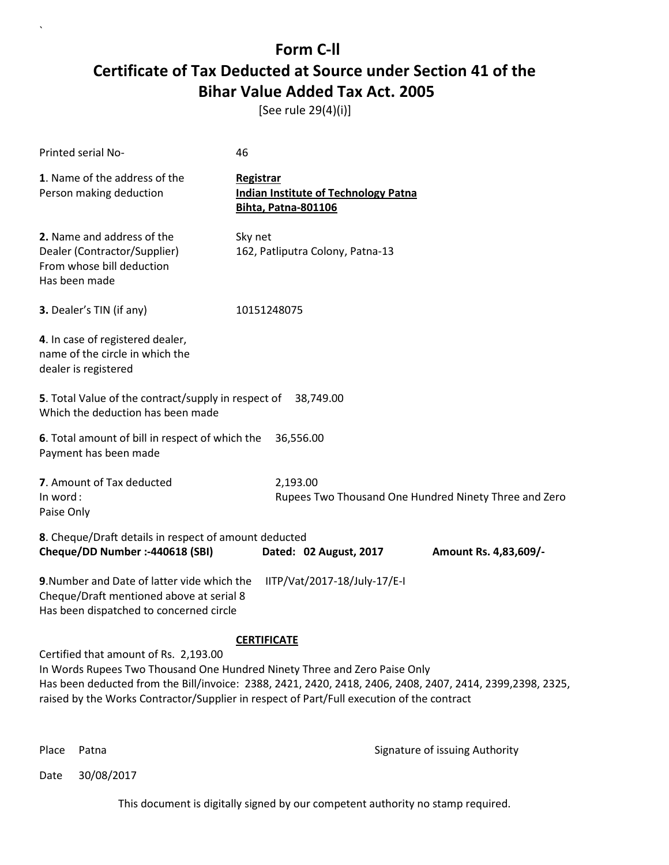[See rule 29(4)(i)]

| Printed serial No-                                                                                                                                                                                                                                                                                                                                 | 46                                                                                     |                       |
|----------------------------------------------------------------------------------------------------------------------------------------------------------------------------------------------------------------------------------------------------------------------------------------------------------------------------------------------------|----------------------------------------------------------------------------------------|-----------------------|
| 1. Name of the address of the<br>Person making deduction                                                                                                                                                                                                                                                                                           | Registrar<br><b>Indian Institute of Technology Patna</b><br><b>Bihta, Patna-801106</b> |                       |
| 2. Name and address of the<br>Dealer (Contractor/Supplier)<br>From whose bill deduction<br>Has been made                                                                                                                                                                                                                                           | Sky net<br>162, Patliputra Colony, Patna-13                                            |                       |
| 3. Dealer's TIN (if any)                                                                                                                                                                                                                                                                                                                           | 10151248075                                                                            |                       |
| 4. In case of registered dealer,<br>name of the circle in which the<br>dealer is registered                                                                                                                                                                                                                                                        |                                                                                        |                       |
| 5. Total Value of the contract/supply in respect of<br>Which the deduction has been made                                                                                                                                                                                                                                                           | 38,749.00                                                                              |                       |
| 6. Total amount of bill in respect of which the<br>Payment has been made                                                                                                                                                                                                                                                                           | 36,556.00                                                                              |                       |
| 7. Amount of Tax deducted<br>In word:<br>Paise Only                                                                                                                                                                                                                                                                                                | 2,193.00<br>Rupees Two Thousand One Hundred Ninety Three and Zero                      |                       |
| 8. Cheque/Draft details in respect of amount deducted<br>Cheque/DD Number :- 440618 (SBI)                                                                                                                                                                                                                                                          | Dated: 02 August, 2017                                                                 | Amount Rs. 4,83,609/- |
| 9. Number and Date of latter vide which the<br>Cheque/Draft mentioned above at serial 8<br>Has been dispatched to concerned circle                                                                                                                                                                                                                 | IITP/Vat/2017-18/July-17/E-I                                                           |                       |
| <b>CERTIFICATE</b><br>Certified that amount of Rs. 2,193.00<br>In Words Rupees Two Thousand One Hundred Ninety Three and Zero Paise Only<br>Has been deducted from the Bill/invoice: 2388, 2421, 2420, 2418, 2406, 2408, 2407, 2414, 2399,2398, 2325,<br>raised by the Works Contractor/Supplier in respect of Part/Full execution of the contract |                                                                                        |                       |

`

Place Patna **Property** Place Patna Signature of issuing Authority

Date 30/08/2017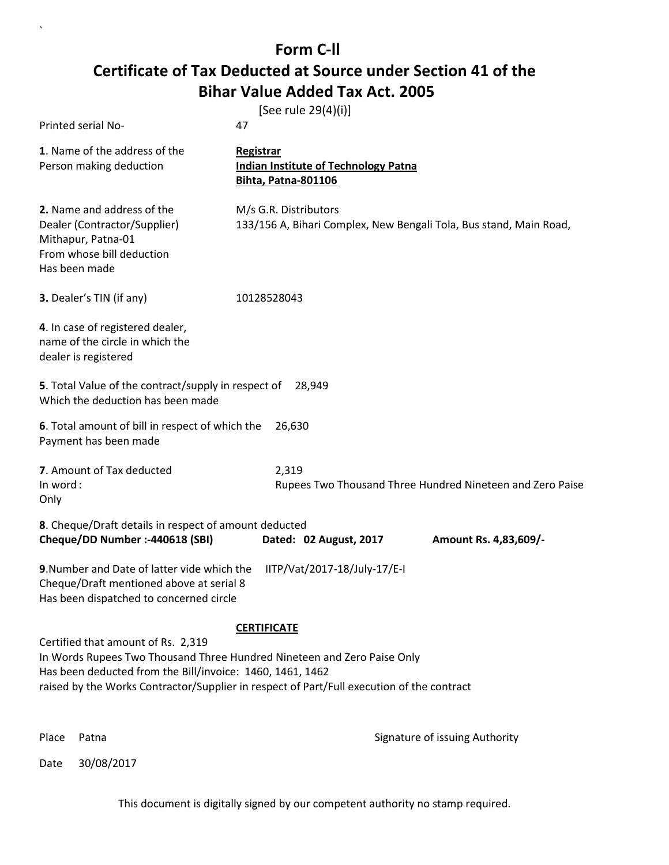`

|                                                                                                                                    | [See rule 29(4)(i)]                                                                                                                                                  |                                                                    |
|------------------------------------------------------------------------------------------------------------------------------------|----------------------------------------------------------------------------------------------------------------------------------------------------------------------|--------------------------------------------------------------------|
| Printed serial No-                                                                                                                 | 47                                                                                                                                                                   |                                                                    |
| 1. Name of the address of the<br>Person making deduction                                                                           | Registrar<br><b>Indian Institute of Technology Patna</b><br>Bihta, Patna-801106                                                                                      |                                                                    |
| 2. Name and address of the<br>Dealer (Contractor/Supplier)<br>Mithapur, Patna-01<br>From whose bill deduction<br>Has been made     | M/s G.R. Distributors                                                                                                                                                | 133/156 A, Bihari Complex, New Bengali Tola, Bus stand, Main Road, |
| 3. Dealer's TIN (if any)                                                                                                           | 10128528043                                                                                                                                                          |                                                                    |
| 4. In case of registered dealer,<br>name of the circle in which the<br>dealer is registered                                        |                                                                                                                                                                      |                                                                    |
| 5. Total Value of the contract/supply in respect of<br>Which the deduction has been made                                           | 28,949                                                                                                                                                               |                                                                    |
| 6. Total amount of bill in respect of which the<br>Payment has been made                                                           | 26,630                                                                                                                                                               |                                                                    |
| 7. Amount of Tax deducted<br>In word:<br>Only                                                                                      | 2,319                                                                                                                                                                | Rupees Two Thousand Three Hundred Nineteen and Zero Paise          |
| 8. Cheque/Draft details in respect of amount deducted<br>Cheque/DD Number :- 440618 (SBI)                                          | Dated: 02 August, 2017                                                                                                                                               | Amount Rs. 4,83,609/-                                              |
| 9. Number and Date of latter vide which the<br>Cheque/Draft mentioned above at serial 8<br>Has been dispatched to concerned circle | IITP/Vat/2017-18/July-17/E-I                                                                                                                                         |                                                                    |
|                                                                                                                                    | <b>CERTIFICATE</b>                                                                                                                                                   |                                                                    |
| Certified that amount of Rs. 2,319<br>Has been deducted from the Bill/invoice: 1460, 1461, 1462                                    | In Words Rupees Two Thousand Three Hundred Nineteen and Zero Paise Only<br>raised by the Works Contractor/Supplier in respect of Part/Full execution of the contract |                                                                    |
| Place<br>Patna                                                                                                                     |                                                                                                                                                                      | Signature of issuing Authority                                     |
| 30/08/2017<br>Date                                                                                                                 |                                                                                                                                                                      |                                                                    |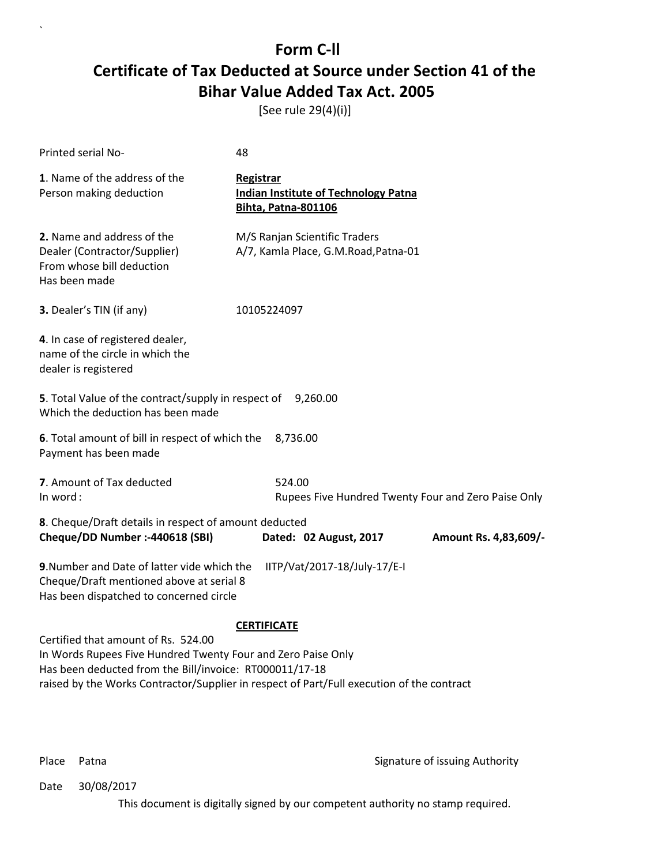[See rule 29(4)(i)]

| Printed serial No-                                                                                                                                                                                                                                          | 48                                                                                            |  |
|-------------------------------------------------------------------------------------------------------------------------------------------------------------------------------------------------------------------------------------------------------------|-----------------------------------------------------------------------------------------------|--|
| 1. Name of the address of the<br>Person making deduction                                                                                                                                                                                                    | <b>Registrar</b><br><b>Indian Institute of Technology Patna</b><br><b>Bihta, Patna-801106</b> |  |
| 2. Name and address of the<br>Dealer (Contractor/Supplier)<br>From whose bill deduction<br>Has been made                                                                                                                                                    | M/S Ranjan Scientific Traders<br>A/7, Kamla Place, G.M.Road, Patna-01                         |  |
| 3. Dealer's TIN (if any)                                                                                                                                                                                                                                    | 10105224097                                                                                   |  |
| 4. In case of registered dealer,<br>name of the circle in which the<br>dealer is registered                                                                                                                                                                 |                                                                                               |  |
| 5. Total Value of the contract/supply in respect of 9,260.00<br>Which the deduction has been made                                                                                                                                                           |                                                                                               |  |
| 6. Total amount of bill in respect of which the<br>Payment has been made                                                                                                                                                                                    | 8,736.00                                                                                      |  |
| 7. Amount of Tax deducted<br>In word:                                                                                                                                                                                                                       | 524.00<br>Rupees Five Hundred Twenty Four and Zero Paise Only                                 |  |
| 8. Cheque/Draft details in respect of amount deducted<br>Cheque/DD Number :- 440618 (SBI)                                                                                                                                                                   | Dated: 02 August, 2017<br>Amount Rs. 4,83,609/-                                               |  |
| 9. Number and Date of latter vide which the<br>IITP/Vat/2017-18/July-17/E-I<br>Cheque/Draft mentioned above at serial 8<br>Has been dispatched to concerned circle                                                                                          |                                                                                               |  |
| <b>CERTIFICATE</b>                                                                                                                                                                                                                                          |                                                                                               |  |
| Certified that amount of Rs. 524.00<br>In Words Rupees Five Hundred Twenty Four and Zero Paise Only<br>Has been deducted from the Bill/invoice: RT000011/17-18<br>raised by the Works Contractor/Supplier in respect of Part/Full execution of the contract |                                                                                               |  |
|                                                                                                                                                                                                                                                             |                                                                                               |  |

`

Place Patna **Property** Place Patna Signature of issuing Authority

Date 30/08/2017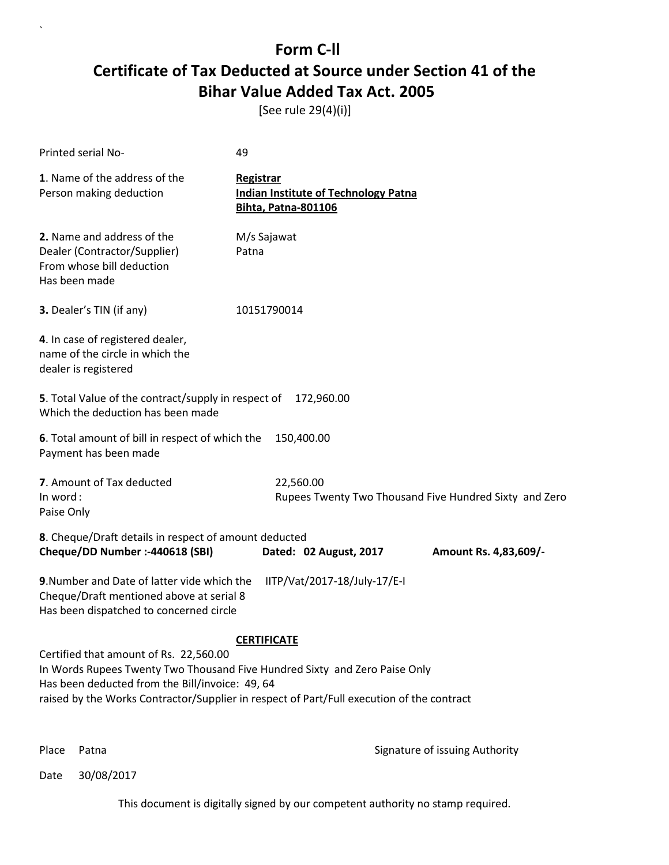[See rule 29(4)(i)]

| 49                                                                                                                                                                                                                                                                   |                                                                                                                                                                                                                                                                                                                  |  |
|----------------------------------------------------------------------------------------------------------------------------------------------------------------------------------------------------------------------------------------------------------------------|------------------------------------------------------------------------------------------------------------------------------------------------------------------------------------------------------------------------------------------------------------------------------------------------------------------|--|
| <b>Registrar</b><br><b>Indian Institute of Technology Patna</b><br><b>Bihta, Patna-801106</b>                                                                                                                                                                        |                                                                                                                                                                                                                                                                                                                  |  |
| M/s Sajawat<br>Patna                                                                                                                                                                                                                                                 |                                                                                                                                                                                                                                                                                                                  |  |
| 10151790014                                                                                                                                                                                                                                                          |                                                                                                                                                                                                                                                                                                                  |  |
|                                                                                                                                                                                                                                                                      |                                                                                                                                                                                                                                                                                                                  |  |
|                                                                                                                                                                                                                                                                      |                                                                                                                                                                                                                                                                                                                  |  |
| 150,400.00                                                                                                                                                                                                                                                           |                                                                                                                                                                                                                                                                                                                  |  |
| 22,560.00<br>Rupees Twenty Two Thousand Five Hundred Sixty and Zero                                                                                                                                                                                                  |                                                                                                                                                                                                                                                                                                                  |  |
| Dated: 02 August, 2017                                                                                                                                                                                                                                               | Amount Rs. 4,83,609/-                                                                                                                                                                                                                                                                                            |  |
| IITP/Vat/2017-18/July-17/E-I                                                                                                                                                                                                                                         |                                                                                                                                                                                                                                                                                                                  |  |
| <b>CERTIFICATE</b>                                                                                                                                                                                                                                                   |                                                                                                                                                                                                                                                                                                                  |  |
| Certified that amount of Rs. 22,560.00<br>In Words Rupees Twenty Two Thousand Five Hundred Sixty and Zero Paise Only<br>Has been deducted from the Bill/invoice: 49, 64<br>raised by the Works Contractor/Supplier in respect of Part/Full execution of the contract |                                                                                                                                                                                                                                                                                                                  |  |
|                                                                                                                                                                                                                                                                      | 5. Total Value of the contract/supply in respect of 172,960.00<br>6. Total amount of bill in respect of which the<br>8. Cheque/Draft details in respect of amount deducted<br>9. Number and Date of latter vide which the<br>Cheque/Draft mentioned above at serial 8<br>Has been dispatched to concerned circle |  |

`

Place Patna **Property** Place Patna Signature of issuing Authority

Date 30/08/2017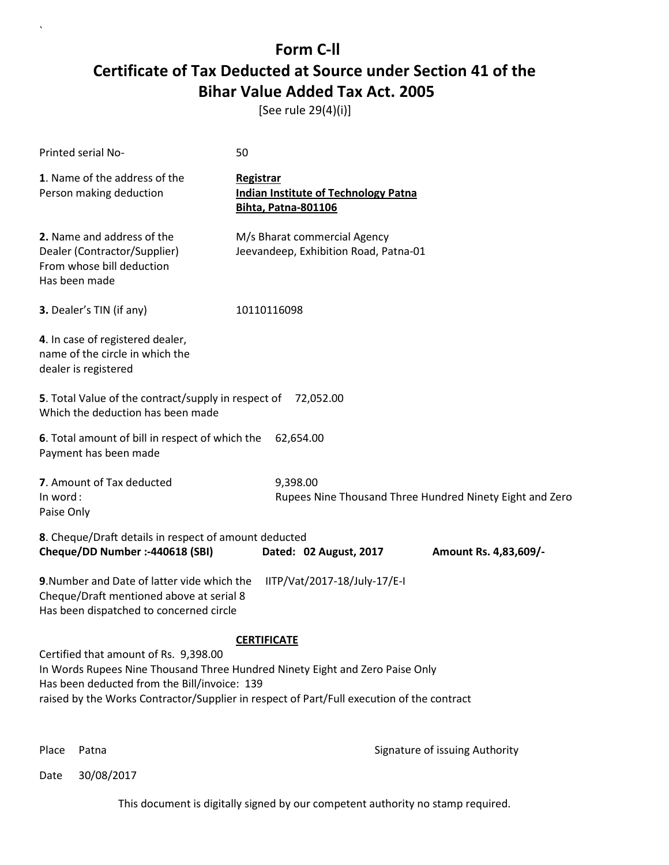[See rule 29(4)(i)]

| Printed serial No-                                                                                                                                                                                                                                                 | 50                                                                                            |                                                          |
|--------------------------------------------------------------------------------------------------------------------------------------------------------------------------------------------------------------------------------------------------------------------|-----------------------------------------------------------------------------------------------|----------------------------------------------------------|
| 1. Name of the address of the<br>Person making deduction                                                                                                                                                                                                           | <b>Registrar</b><br><b>Indian Institute of Technology Patna</b><br><b>Bihta, Patna-801106</b> |                                                          |
| 2. Name and address of the<br>Dealer (Contractor/Supplier)<br>From whose bill deduction<br>Has been made                                                                                                                                                           | M/s Bharat commercial Agency<br>Jeevandeep, Exhibition Road, Patna-01                         |                                                          |
| 3. Dealer's TIN (if any)                                                                                                                                                                                                                                           | 10110116098                                                                                   |                                                          |
| 4. In case of registered dealer,<br>name of the circle in which the<br>dealer is registered                                                                                                                                                                        |                                                                                               |                                                          |
| 5. Total Value of the contract/supply in respect of 72,052.00<br>Which the deduction has been made                                                                                                                                                                 |                                                                                               |                                                          |
| 6. Total amount of bill in respect of which the<br>Payment has been made                                                                                                                                                                                           | 62,654.00                                                                                     |                                                          |
| 7. Amount of Tax deducted<br>In word:<br>Paise Only                                                                                                                                                                                                                | 9,398.00                                                                                      | Rupees Nine Thousand Three Hundred Ninety Eight and Zero |
| 8. Cheque/Draft details in respect of amount deducted<br>Cheque/DD Number :- 440618 (SBI)                                                                                                                                                                          | Dated: 02 August, 2017                                                                        | Amount Rs. 4,83,609/-                                    |
| 9. Number and Date of latter vide which the<br>Cheque/Draft mentioned above at serial 8<br>Has been dispatched to concerned circle                                                                                                                                 | IITP/Vat/2017-18/July-17/E-I                                                                  |                                                          |
| Certified that amount of Rs. 9,398.00<br>In Words Rupees Nine Thousand Three Hundred Ninety Eight and Zero Paise Only<br>Has been deducted from the Bill/invoice: 139<br>raised by the Works Contractor/Supplier in respect of Part/Full execution of the contract | <b>CERTIFICATE</b>                                                                            |                                                          |

`

Place Patna **Property** Place Patna Signature of issuing Authority

Date 30/08/2017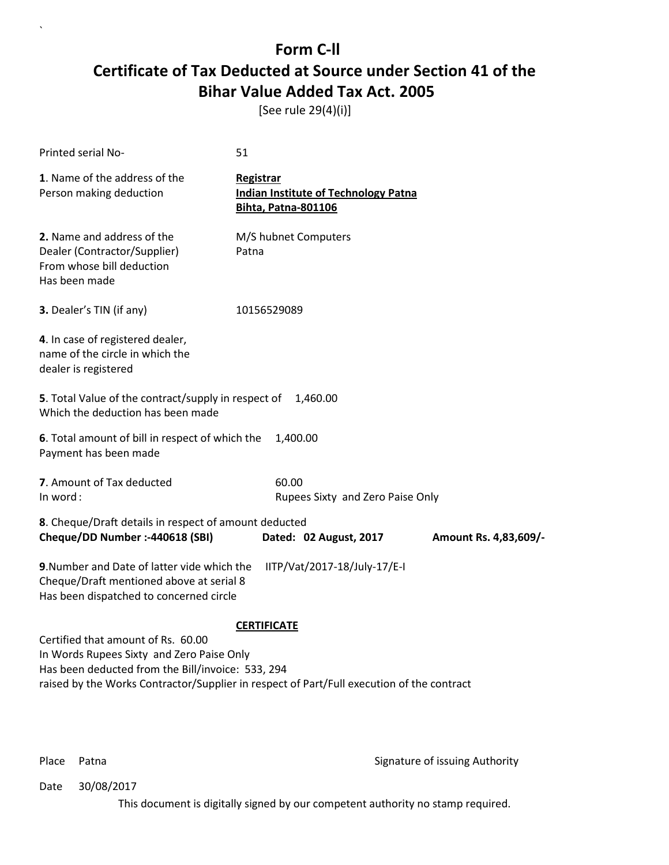[See rule 29(4)(i)]

| 51                                                                                     |                                                                                                                                                                                                                                                                                                                                                                                                                                                                                                                                          |
|----------------------------------------------------------------------------------------|------------------------------------------------------------------------------------------------------------------------------------------------------------------------------------------------------------------------------------------------------------------------------------------------------------------------------------------------------------------------------------------------------------------------------------------------------------------------------------------------------------------------------------------|
| Registrar<br><b>Indian Institute of Technology Patna</b><br><b>Bihta, Patna-801106</b> |                                                                                                                                                                                                                                                                                                                                                                                                                                                                                                                                          |
| M/S hubnet Computers<br>Patna                                                          |                                                                                                                                                                                                                                                                                                                                                                                                                                                                                                                                          |
| 10156529089                                                                            |                                                                                                                                                                                                                                                                                                                                                                                                                                                                                                                                          |
|                                                                                        |                                                                                                                                                                                                                                                                                                                                                                                                                                                                                                                                          |
| 1.460.00                                                                               |                                                                                                                                                                                                                                                                                                                                                                                                                                                                                                                                          |
| 1,400.00                                                                               |                                                                                                                                                                                                                                                                                                                                                                                                                                                                                                                                          |
| 60.00                                                                                  |                                                                                                                                                                                                                                                                                                                                                                                                                                                                                                                                          |
| Dated: 02 August, 2017                                                                 | Amount Rs. 4,83,609/-                                                                                                                                                                                                                                                                                                                                                                                                                                                                                                                    |
| IITP/Vat/2017-18/July-17/E-I                                                           |                                                                                                                                                                                                                                                                                                                                                                                                                                                                                                                                          |
| <b>CERTIFICATE</b>                                                                     |                                                                                                                                                                                                                                                                                                                                                                                                                                                                                                                                          |
|                                                                                        |                                                                                                                                                                                                                                                                                                                                                                                                                                                                                                                                          |
|                                                                                        |                                                                                                                                                                                                                                                                                                                                                                                                                                                                                                                                          |
|                                                                                        |                                                                                                                                                                                                                                                                                                                                                                                                                                                                                                                                          |
|                                                                                        | 5. Total Value of the contract/supply in respect of<br>6. Total amount of bill in respect of which the<br>Rupees Sixty and Zero Paise Only<br>8. Cheque/Draft details in respect of amount deducted<br>9. Number and Date of latter vide which the<br>Cheque/Draft mentioned above at serial 8<br>Has been dispatched to concerned circle<br>In Words Rupees Sixty and Zero Paise Only<br>Has been deducted from the Bill/invoice: 533, 294<br>raised by the Works Contractor/Supplier in respect of Part/Full execution of the contract |

`

Place Patna **Property** Place Patna Signature of issuing Authority

Date 30/08/2017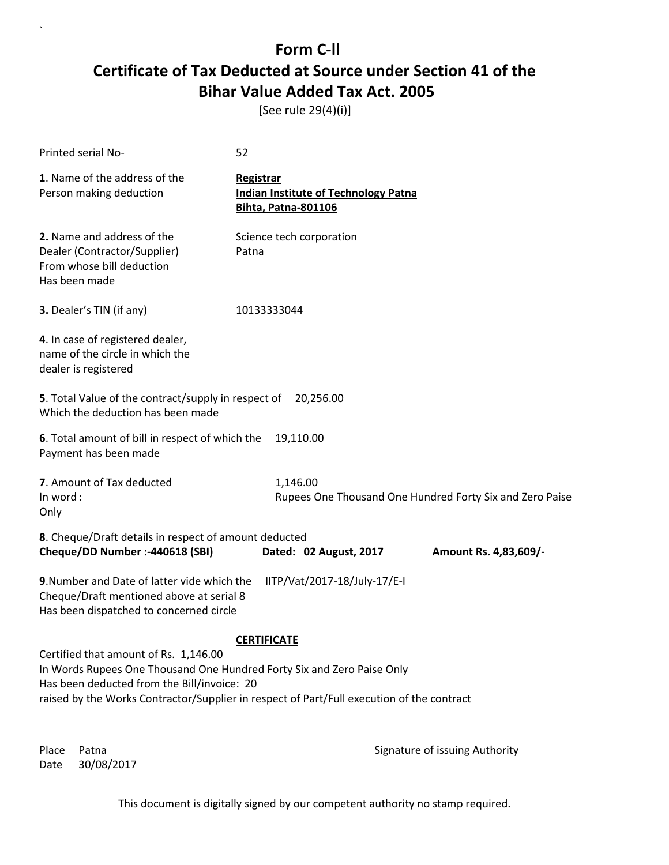[See rule 29(4)(i)]

| Printed serial No-                                                                                                                                                                                                                                                                | 52                                                                                     |                                                          |  |  |
|-----------------------------------------------------------------------------------------------------------------------------------------------------------------------------------------------------------------------------------------------------------------------------------|----------------------------------------------------------------------------------------|----------------------------------------------------------|--|--|
| 1. Name of the address of the<br>Person making deduction                                                                                                                                                                                                                          | Registrar<br><b>Indian Institute of Technology Patna</b><br><b>Bihta, Patna-801106</b> |                                                          |  |  |
| 2. Name and address of the<br>Dealer (Contractor/Supplier)<br>From whose bill deduction<br>Has been made                                                                                                                                                                          | Science tech corporation<br>Patna                                                      |                                                          |  |  |
| 3. Dealer's TIN (if any)                                                                                                                                                                                                                                                          | 10133333044                                                                            |                                                          |  |  |
| 4. In case of registered dealer,<br>name of the circle in which the<br>dealer is registered                                                                                                                                                                                       |                                                                                        |                                                          |  |  |
| Which the deduction has been made                                                                                                                                                                                                                                                 | 5. Total Value of the contract/supply in respect of 20,256.00                          |                                                          |  |  |
| 6. Total amount of bill in respect of which the<br>Payment has been made                                                                                                                                                                                                          | 19,110.00                                                                              |                                                          |  |  |
| 7. Amount of Tax deducted                                                                                                                                                                                                                                                         | 1,146.00                                                                               |                                                          |  |  |
| In word:<br>Only                                                                                                                                                                                                                                                                  |                                                                                        | Rupees One Thousand One Hundred Forty Six and Zero Paise |  |  |
| 8. Cheque/Draft details in respect of amount deducted<br>Cheque/DD Number :- 440618 (SBI)                                                                                                                                                                                         | Dated: 02 August, 2017                                                                 | Amount Rs. 4,83,609/-                                    |  |  |
| 9. Number and Date of latter vide which the<br>Cheque/Draft mentioned above at serial 8<br>Has been dispatched to concerned circle                                                                                                                                                | IITP/Vat/2017-18/July-17/E-I                                                           |                                                          |  |  |
| <b>CERTIFICATE</b><br>Certified that amount of Rs. 1,146.00<br>In Words Rupees One Thousand One Hundred Forty Six and Zero Paise Only<br>Has been deducted from the Bill/invoice: 20<br>raised by the Works Contractor/Supplier in respect of Part/Full execution of the contract |                                                                                        |                                                          |  |  |

Date 30/08/2017

`

Place Patna **Property** Place Patna Signature of issuing Authority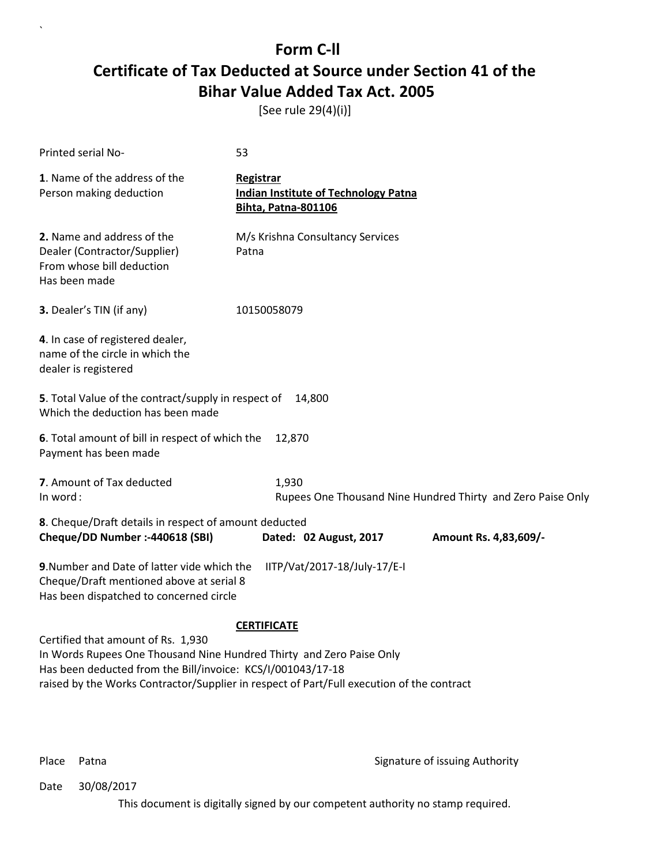[See rule 29(4)(i)]

| Printed serial No-                                                                                                                                                        | 53                                                                                                              |
|---------------------------------------------------------------------------------------------------------------------------------------------------------------------------|-----------------------------------------------------------------------------------------------------------------|
| 1. Name of the address of the<br>Person making deduction                                                                                                                  | Registrar<br><b>Indian Institute of Technology Patna</b><br><b>Bihta, Patna-801106</b>                          |
| 2. Name and address of the<br>Dealer (Contractor/Supplier)<br>From whose bill deduction<br>Has been made                                                                  | M/s Krishna Consultancy Services<br>Patna                                                                       |
| 3. Dealer's TIN (if any)                                                                                                                                                  | 10150058079                                                                                                     |
| 4. In case of registered dealer,<br>name of the circle in which the<br>dealer is registered                                                                               |                                                                                                                 |
| 5. Total Value of the contract/supply in respect of<br>Which the deduction has been made                                                                                  | 14,800                                                                                                          |
| 6. Total amount of bill in respect of which the<br>Payment has been made                                                                                                  | 12,870                                                                                                          |
| 7. Amount of Tax deducted<br>In word:                                                                                                                                     | 1,930<br>Rupees One Thousand Nine Hundred Thirty and Zero Paise Only                                            |
| 8. Cheque/Draft details in respect of amount deducted<br>Cheque/DD Number :- 440618 (SBI)                                                                                 | Dated: 02 August, 2017<br>Amount Rs. 4,83,609/-                                                                 |
| 9. Number and Date of latter vide which the<br>Cheque/Draft mentioned above at serial 8<br>Has been dispatched to concerned circle                                        | IITP/Vat/2017-18/July-17/E-I                                                                                    |
| Certified that amount of Rs. 1,930<br>In Words Rupees One Thousand Nine Hundred Thirty and Zero Paise Only<br>Has been deducted from the Bill/invoice: KCS/I/001043/17-18 | <b>CERTIFICATE</b><br>raised by the Works Contractor/Supplier in respect of Part/Full execution of the contract |

`

Place Patna **Property** Place Patna Signature of issuing Authority

Date 30/08/2017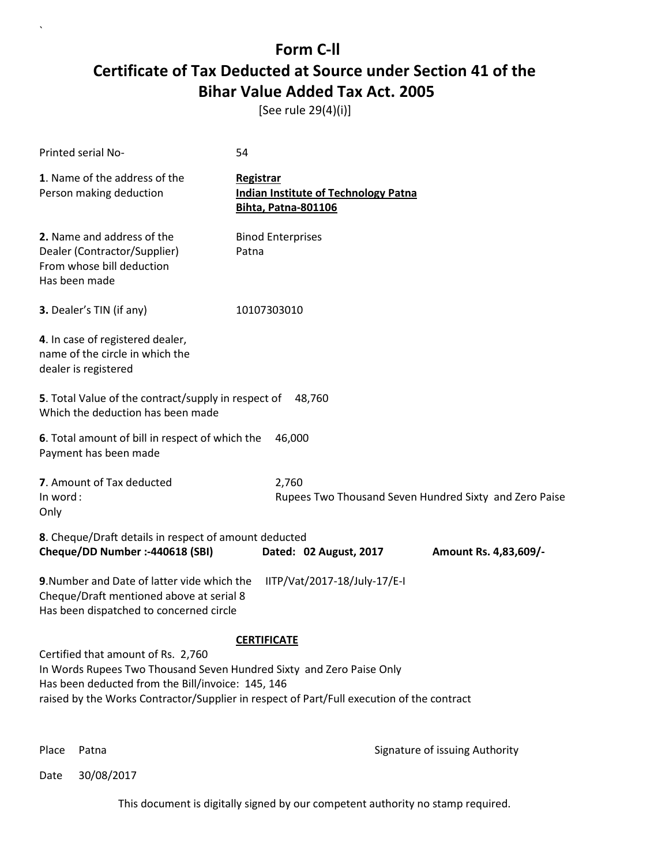[See rule 29(4)(i)]

| Printed serial No-                                                                                                                                                                                                                                           | 54                                                                                            |                       |
|--------------------------------------------------------------------------------------------------------------------------------------------------------------------------------------------------------------------------------------------------------------|-----------------------------------------------------------------------------------------------|-----------------------|
| 1. Name of the address of the<br>Person making deduction                                                                                                                                                                                                     | <b>Registrar</b><br><b>Indian Institute of Technology Patna</b><br><b>Bihta, Patna-801106</b> |                       |
| 2. Name and address of the<br>Dealer (Contractor/Supplier)<br>From whose bill deduction<br>Has been made                                                                                                                                                     | <b>Binod Enterprises</b><br>Patna                                                             |                       |
| 3. Dealer's TIN (if any)                                                                                                                                                                                                                                     | 10107303010                                                                                   |                       |
| 4. In case of registered dealer,<br>name of the circle in which the<br>dealer is registered                                                                                                                                                                  |                                                                                               |                       |
| 5. Total Value of the contract/supply in respect of 48,760<br>Which the deduction has been made                                                                                                                                                              |                                                                                               |                       |
| 6. Total amount of bill in respect of which the<br>Payment has been made                                                                                                                                                                                     | 46,000                                                                                        |                       |
| 7. Amount of Tax deducted<br>In word:<br>Only                                                                                                                                                                                                                | 2,760<br>Rupees Two Thousand Seven Hundred Sixty and Zero Paise                               |                       |
| 8. Cheque/Draft details in respect of amount deducted<br>Cheque/DD Number :- 440618 (SBI)                                                                                                                                                                    | Dated: 02 August, 2017                                                                        | Amount Rs. 4,83,609/- |
| 9. Number and Date of latter vide which the<br>Cheque/Draft mentioned above at serial 8<br>Has been dispatched to concerned circle                                                                                                                           | IITP/Vat/2017-18/July-17/E-I                                                                  |                       |
| Certified that amount of Rs. 2,760<br>In Words Rupees Two Thousand Seven Hundred Sixty and Zero Paise Only<br>Has been deducted from the Bill/invoice: 145, 146<br>raised by the Works Contractor/Supplier in respect of Part/Full execution of the contract | <b>CERTIFICATE</b>                                                                            |                       |

`

Place Patna **Property** Place Patna Signature of issuing Authority

Date 30/08/2017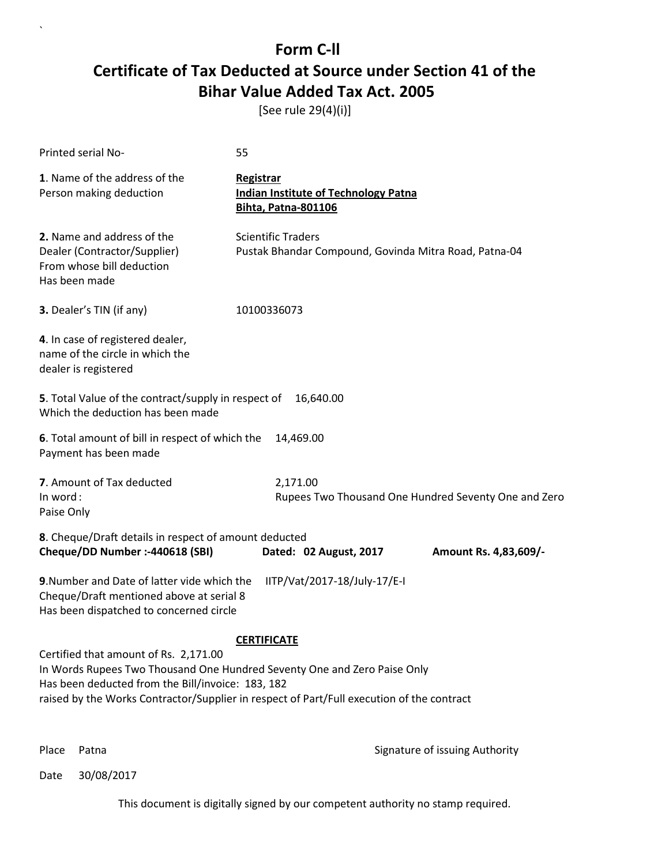[See rule 29(4)(i)]

| Printed serial No-                                                                                                                                                                                                                                                                        | 55                                                                                     |                       |  |
|-------------------------------------------------------------------------------------------------------------------------------------------------------------------------------------------------------------------------------------------------------------------------------------------|----------------------------------------------------------------------------------------|-----------------------|--|
| 1. Name of the address of the<br>Person making deduction                                                                                                                                                                                                                                  | Registrar<br><b>Indian Institute of Technology Patna</b><br><b>Bihta, Patna-801106</b> |                       |  |
| 2. Name and address of the<br>Dealer (Contractor/Supplier)<br>From whose bill deduction<br>Has been made                                                                                                                                                                                  | <b>Scientific Traders</b><br>Pustak Bhandar Compound, Govinda Mitra Road, Patna-04     |                       |  |
| 3. Dealer's TIN (if any)                                                                                                                                                                                                                                                                  | 10100336073                                                                            |                       |  |
| 4. In case of registered dealer,<br>name of the circle in which the<br>dealer is registered                                                                                                                                                                                               |                                                                                        |                       |  |
| 5. Total Value of the contract/supply in respect of<br>Which the deduction has been made                                                                                                                                                                                                  | 16,640.00                                                                              |                       |  |
| 6. Total amount of bill in respect of which the<br>Payment has been made                                                                                                                                                                                                                  | 14,469.00                                                                              |                       |  |
| 7. Amount of Tax deducted<br>In word:<br>Paise Only                                                                                                                                                                                                                                       | 2,171.00<br>Rupees Two Thousand One Hundred Seventy One and Zero                       |                       |  |
| 8. Cheque/Draft details in respect of amount deducted<br>Cheque/DD Number :- 440618 (SBI)                                                                                                                                                                                                 | Dated: 02 August, 2017                                                                 | Amount Rs. 4,83,609/- |  |
| 9. Number and Date of latter vide which the<br>IITP/Vat/2017-18/July-17/E-I<br>Cheque/Draft mentioned above at serial 8<br>Has been dispatched to concerned circle                                                                                                                        |                                                                                        |                       |  |
| <b>CERTIFICATE</b><br>Certified that amount of Rs. 2,171.00<br>In Words Rupees Two Thousand One Hundred Seventy One and Zero Paise Only<br>Has been deducted from the Bill/invoice: 183, 182<br>raised by the Works Contractor/Supplier in respect of Part/Full execution of the contract |                                                                                        |                       |  |

`

Place Patna **Property** Place Patna Signature of issuing Authority

Date 30/08/2017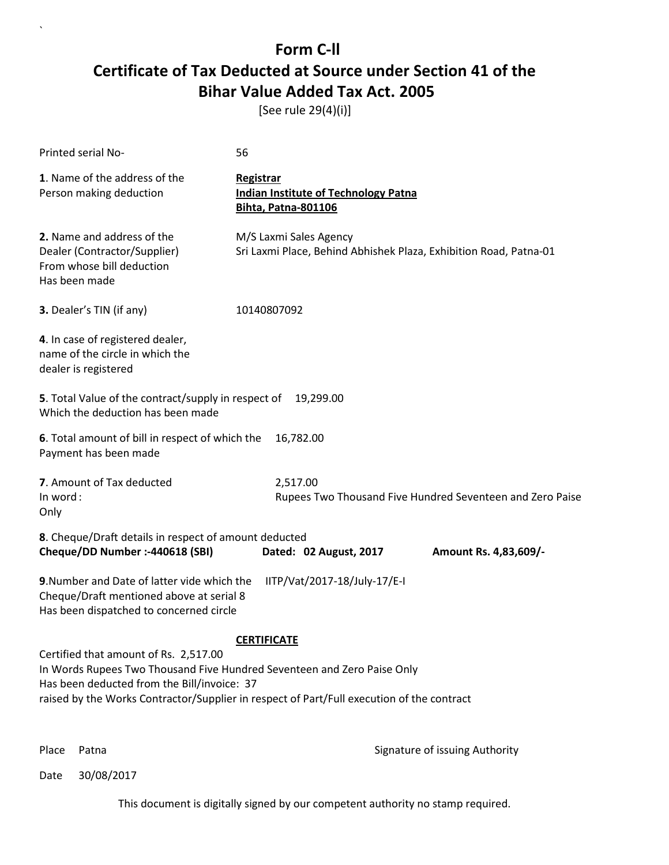[See rule 29(4)(i)]

| Printed serial No-                                                                                                                                                                                                                                                                 | 56                                             |                                             |                                                                   |
|------------------------------------------------------------------------------------------------------------------------------------------------------------------------------------------------------------------------------------------------------------------------------------|------------------------------------------------|---------------------------------------------|-------------------------------------------------------------------|
| 1. Name of the address of the<br>Person making deduction                                                                                                                                                                                                                           | <b>Registrar</b><br><b>Bihta, Patna-801106</b> | <b>Indian Institute of Technology Patna</b> |                                                                   |
| 2. Name and address of the<br>Dealer (Contractor/Supplier)<br>From whose bill deduction<br>Has been made                                                                                                                                                                           |                                                | M/S Laxmi Sales Agency                      | Sri Laxmi Place, Behind Abhishek Plaza, Exhibition Road, Patna-01 |
| 3. Dealer's TIN (if any)                                                                                                                                                                                                                                                           | 10140807092                                    |                                             |                                                                   |
| 4. In case of registered dealer,<br>name of the circle in which the<br>dealer is registered                                                                                                                                                                                        |                                                |                                             |                                                                   |
| 5. Total Value of the contract/supply in respect of<br>Which the deduction has been made                                                                                                                                                                                           |                                                | 19,299.00                                   |                                                                   |
| 6. Total amount of bill in respect of which the<br>Payment has been made                                                                                                                                                                                                           |                                                | 16,782.00                                   |                                                                   |
| 7. Amount of Tax deducted<br>In word:<br>Only                                                                                                                                                                                                                                      |                                                | 2,517.00                                    | Rupees Two Thousand Five Hundred Seventeen and Zero Paise         |
| 8. Cheque/Draft details in respect of amount deducted<br>Cheque/DD Number :- 440618 (SBI)                                                                                                                                                                                          |                                                | Dated: 02 August, 2017                      | Amount Rs. 4,83,609/-                                             |
| 9. Number and Date of latter vide which the<br>Cheque/Draft mentioned above at serial 8<br>Has been dispatched to concerned circle                                                                                                                                                 |                                                | IITP/Vat/2017-18/July-17/E-I                |                                                                   |
| <b>CERTIFICATE</b><br>Certified that amount of Rs. 2,517.00<br>In Words Rupees Two Thousand Five Hundred Seventeen and Zero Paise Only<br>Has been deducted from the Bill/invoice: 37<br>raised by the Works Contractor/Supplier in respect of Part/Full execution of the contract |                                                |                                             |                                                                   |

`

Place Patna **Property** Place Patna Signature of issuing Authority

Date 30/08/2017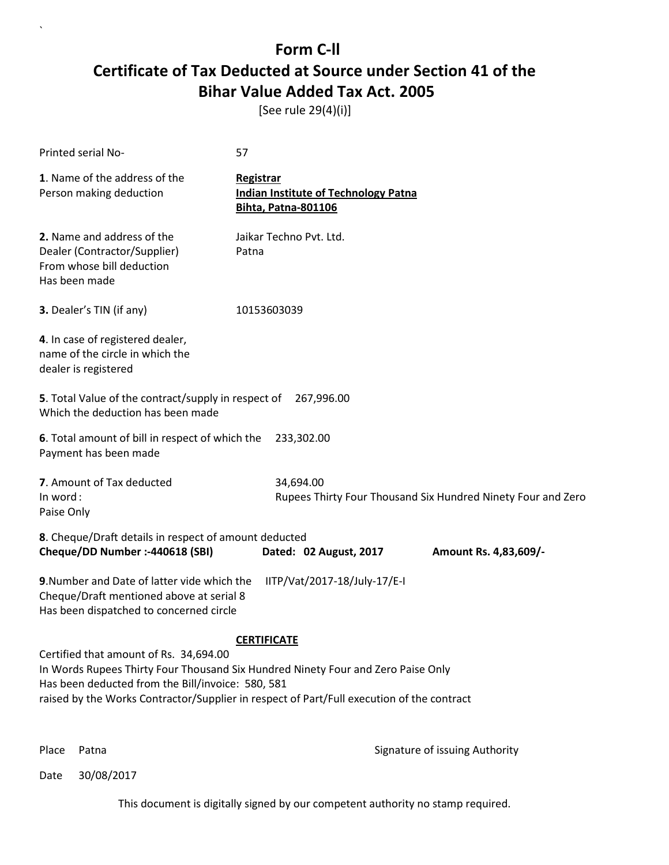[See rule 29(4)(i)]

| Printed serial No-                                                                                                                                                                                                                                                                                 | 57                                                                                            |                                                              |
|----------------------------------------------------------------------------------------------------------------------------------------------------------------------------------------------------------------------------------------------------------------------------------------------------|-----------------------------------------------------------------------------------------------|--------------------------------------------------------------|
| 1. Name of the address of the<br>Person making deduction                                                                                                                                                                                                                                           | <b>Registrar</b><br><b>Indian Institute of Technology Patna</b><br><b>Bihta, Patna-801106</b> |                                                              |
| 2. Name and address of the<br>Dealer (Contractor/Supplier)<br>From whose bill deduction<br>Has been made                                                                                                                                                                                           | Jaikar Techno Pvt. Ltd.<br>Patna                                                              |                                                              |
| 3. Dealer's TIN (if any)                                                                                                                                                                                                                                                                           | 10153603039                                                                                   |                                                              |
| 4. In case of registered dealer,<br>name of the circle in which the<br>dealer is registered                                                                                                                                                                                                        |                                                                                               |                                                              |
| 5. Total Value of the contract/supply in respect of 267,996.00<br>Which the deduction has been made                                                                                                                                                                                                |                                                                                               |                                                              |
| 6. Total amount of bill in respect of which the<br>Payment has been made                                                                                                                                                                                                                           | 233,302.00                                                                                    |                                                              |
| 7. Amount of Tax deducted<br>In word:<br>Paise Only                                                                                                                                                                                                                                                | 34,694.00                                                                                     | Rupees Thirty Four Thousand Six Hundred Ninety Four and Zero |
| 8. Cheque/Draft details in respect of amount deducted<br>Cheque/DD Number :- 440618 (SBI)                                                                                                                                                                                                          | Dated: 02 August, 2017                                                                        | Amount Rs. 4,83,609/-                                        |
| 9. Number and Date of latter vide which the<br>Cheque/Draft mentioned above at serial 8<br>Has been dispatched to concerned circle                                                                                                                                                                 | IITP/Vat/2017-18/July-17/E-I                                                                  |                                                              |
| <b>CERTIFICATE</b><br>Certified that amount of Rs. 34,694.00<br>In Words Rupees Thirty Four Thousand Six Hundred Ninety Four and Zero Paise Only<br>Has been deducted from the Bill/invoice: 580, 581<br>raised by the Works Contractor/Supplier in respect of Part/Full execution of the contract |                                                                                               |                                                              |

`

Place Patna **Property** Place Patna Signature of issuing Authority

Date 30/08/2017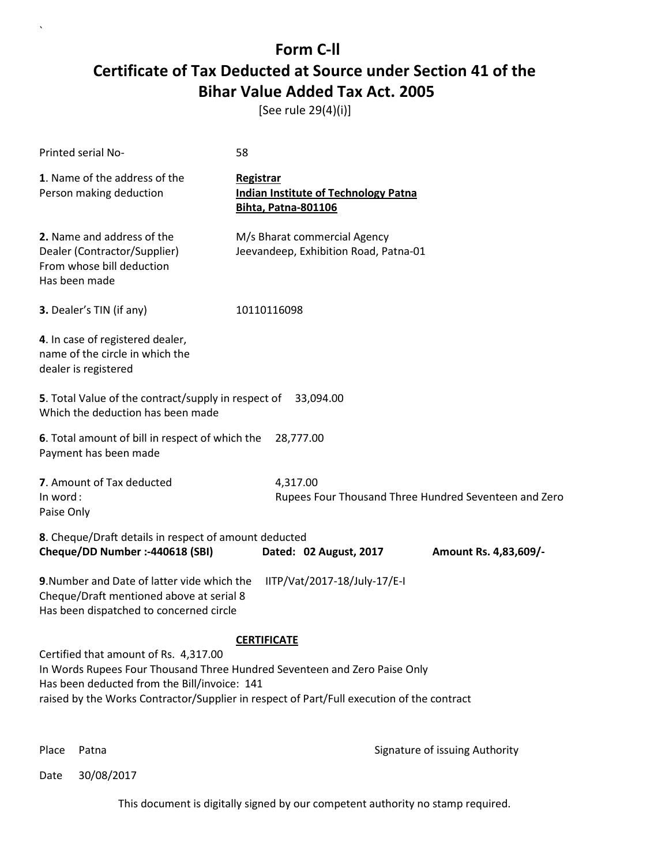[See rule 29(4)(i)]

| Printed serial No-                                                                                                                                                                                                                                                                    | 58                                                                                            |                       |  |
|---------------------------------------------------------------------------------------------------------------------------------------------------------------------------------------------------------------------------------------------------------------------------------------|-----------------------------------------------------------------------------------------------|-----------------------|--|
| 1. Name of the address of the<br>Person making deduction                                                                                                                                                                                                                              | <b>Registrar</b><br><b>Indian Institute of Technology Patna</b><br><b>Bihta, Patna-801106</b> |                       |  |
| 2. Name and address of the<br>Dealer (Contractor/Supplier)<br>From whose bill deduction<br>Has been made                                                                                                                                                                              | M/s Bharat commercial Agency<br>Jeevandeep, Exhibition Road, Patna-01                         |                       |  |
| 3. Dealer's TIN (if any)                                                                                                                                                                                                                                                              | 10110116098                                                                                   |                       |  |
| 4. In case of registered dealer,<br>name of the circle in which the<br>dealer is registered                                                                                                                                                                                           |                                                                                               |                       |  |
| 5. Total Value of the contract/supply in respect of<br>Which the deduction has been made                                                                                                                                                                                              | 33,094.00                                                                                     |                       |  |
| 6. Total amount of bill in respect of which the<br>Payment has been made                                                                                                                                                                                                              | 28,777.00                                                                                     |                       |  |
| 7. Amount of Tax deducted<br>In word:<br>Paise Only                                                                                                                                                                                                                                   | 4,317.00<br>Rupees Four Thousand Three Hundred Seventeen and Zero                             |                       |  |
| 8. Cheque/Draft details in respect of amount deducted<br>Cheque/DD Number :- 440618 (SBI)                                                                                                                                                                                             | Dated: 02 August, 2017                                                                        | Amount Rs. 4,83,609/- |  |
| 9. Number and Date of latter vide which the<br>IITP/Vat/2017-18/July-17/E-I<br>Cheque/Draft mentioned above at serial 8<br>Has been dispatched to concerned circle                                                                                                                    |                                                                                               |                       |  |
| <b>CERTIFICATE</b><br>Certified that amount of Rs. 4,317.00<br>In Words Rupees Four Thousand Three Hundred Seventeen and Zero Paise Only<br>Has been deducted from the Bill/invoice: 141<br>raised by the Works Contractor/Supplier in respect of Part/Full execution of the contract |                                                                                               |                       |  |

`

Place Patna **Property** Place Patna Signature of issuing Authority

Date 30/08/2017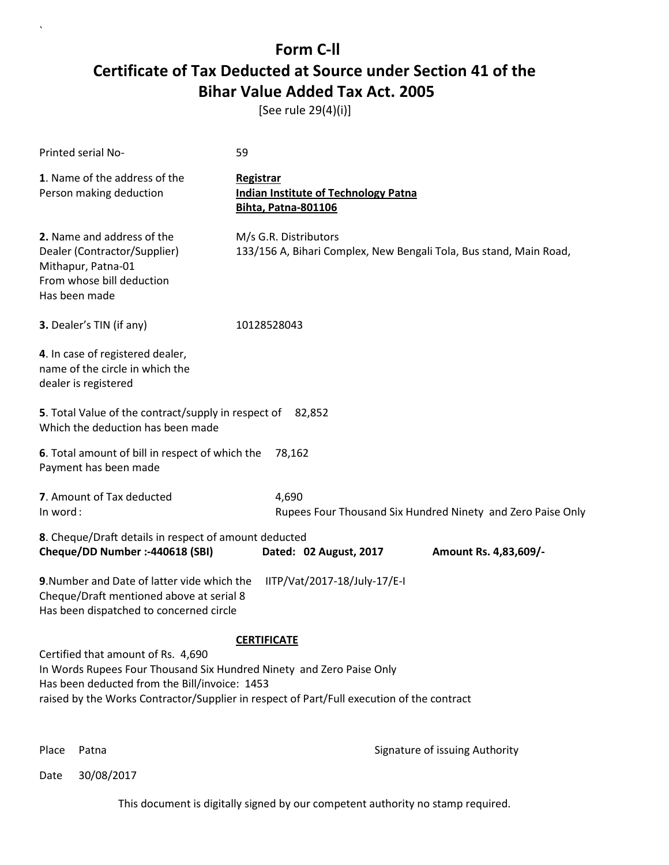[See rule 29(4)(i)]

| Printed serial No-                                                                                                                                                                                                                                       | 59                                                                                            |                                                             |
|----------------------------------------------------------------------------------------------------------------------------------------------------------------------------------------------------------------------------------------------------------|-----------------------------------------------------------------------------------------------|-------------------------------------------------------------|
| 1. Name of the address of the<br>Person making deduction                                                                                                                                                                                                 | <b>Registrar</b><br><b>Indian Institute of Technology Patna</b><br><b>Bihta, Patna-801106</b> |                                                             |
| 2. Name and address of the<br>Dealer (Contractor/Supplier)<br>Mithapur, Patna-01<br>From whose bill deduction<br>Has been made                                                                                                                           | M/s G.R. Distributors<br>133/156 A, Bihari Complex, New Bengali Tola, Bus stand, Main Road,   |                                                             |
| 3. Dealer's TIN (if any)                                                                                                                                                                                                                                 | 10128528043                                                                                   |                                                             |
| 4. In case of registered dealer,<br>name of the circle in which the<br>dealer is registered                                                                                                                                                              |                                                                                               |                                                             |
| 5. Total Value of the contract/supply in respect of 82,852<br>Which the deduction has been made                                                                                                                                                          |                                                                                               |                                                             |
| 6. Total amount of bill in respect of which the<br>Payment has been made                                                                                                                                                                                 | 78,162                                                                                        |                                                             |
| 7. Amount of Tax deducted<br>In word:                                                                                                                                                                                                                    | 4,690                                                                                         | Rupees Four Thousand Six Hundred Ninety and Zero Paise Only |
| 8. Cheque/Draft details in respect of amount deducted<br>Cheque/DD Number :- 440618 (SBI)                                                                                                                                                                | Dated: 02 August, 2017                                                                        | Amount Rs. 4,83,609/-                                       |
| 9. Number and Date of latter vide which the<br>Cheque/Draft mentioned above at serial 8<br>Has been dispatched to concerned circle                                                                                                                       | IITP/Vat/2017-18/July-17/E-I                                                                  |                                                             |
|                                                                                                                                                                                                                                                          | <b>CERTIFICATE</b>                                                                            |                                                             |
| Certified that amount of Rs. 4,690<br>In Words Rupees Four Thousand Six Hundred Ninety and Zero Paise Only<br>Has been deducted from the Bill/invoice: 1453<br>raised by the Works Contractor/Supplier in respect of Part/Full execution of the contract |                                                                                               |                                                             |
|                                                                                                                                                                                                                                                          |                                                                                               |                                                             |

`

Place Patna **Property** Place Patna Signature of issuing Authority

Date 30/08/2017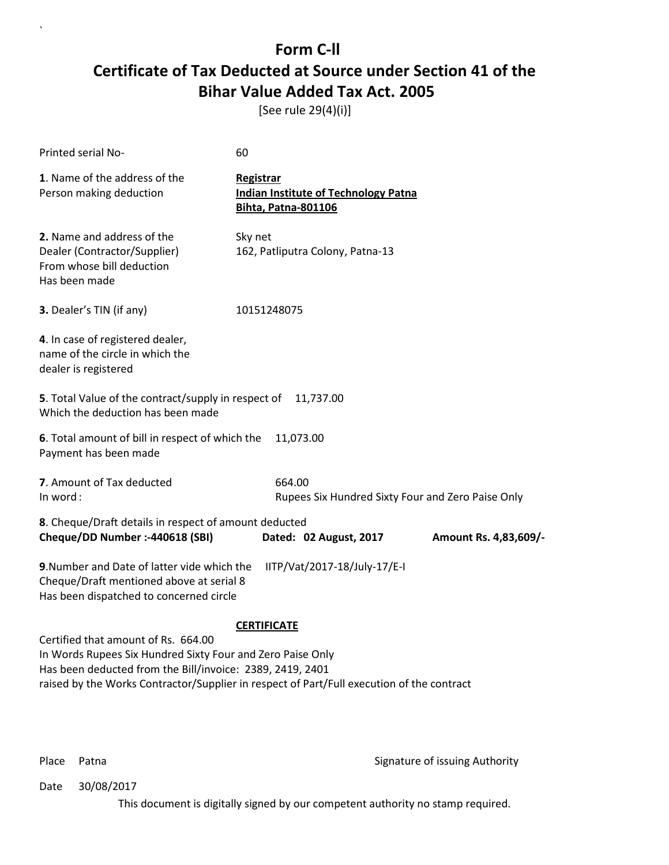[See rule 29(4)(i)]

| Printed serial No-                                                                                                                                                 | 60                                                                                        |                       |  |
|--------------------------------------------------------------------------------------------------------------------------------------------------------------------|-------------------------------------------------------------------------------------------|-----------------------|--|
| 1. Name of the address of the<br>Person making deduction                                                                                                           | Registrar<br><b>Indian Institute of Technology Patna</b><br><b>Bihta, Patna-801106</b>    |                       |  |
| 2. Name and address of the<br>Dealer (Contractor/Supplier)<br>From whose bill deduction<br>Has been made                                                           | Sky net<br>162, Patliputra Colony, Patna-13                                               |                       |  |
| 3. Dealer's TIN (if any)                                                                                                                                           | 10151248075                                                                               |                       |  |
| 4. In case of registered dealer,<br>name of the circle in which the<br>dealer is registered                                                                        |                                                                                           |                       |  |
| 5. Total Value of the contract/supply in respect of<br>Which the deduction has been made                                                                           | 11,737.00                                                                                 |                       |  |
| 6. Total amount of bill in respect of which the<br>Payment has been made                                                                                           | 11,073.00                                                                                 |                       |  |
| 7. Amount of Tax deducted<br>In word:                                                                                                                              | 664.00<br>Rupees Six Hundred Sixty Four and Zero Paise Only                               |                       |  |
| 8. Cheque/Draft details in respect of amount deducted<br>Cheque/DD Number :- 440618 (SBI)                                                                          | Dated: 02 August, 2017                                                                    | Amount Rs. 4,83,609/- |  |
| 9. Number and Date of latter vide which the<br>IITP/Vat/2017-18/July-17/E-I<br>Cheque/Draft mentioned above at serial 8<br>Has been dispatched to concerned circle |                                                                                           |                       |  |
|                                                                                                                                                                    | <b>CERTIFICATE</b>                                                                        |                       |  |
| Certified that amount of Rs. 664.00<br>In Words Rupees Six Hundred Sixty Four and Zero Paise Only<br>Has been deducted from the Bill/invoice: 2389, 2419, 2401     | raised by the Works Contractor/Supplier in respect of Part/Full execution of the contract |                       |  |

`

Place Patna **Property** Place Patna Signature of issuing Authority

Date 30/08/2017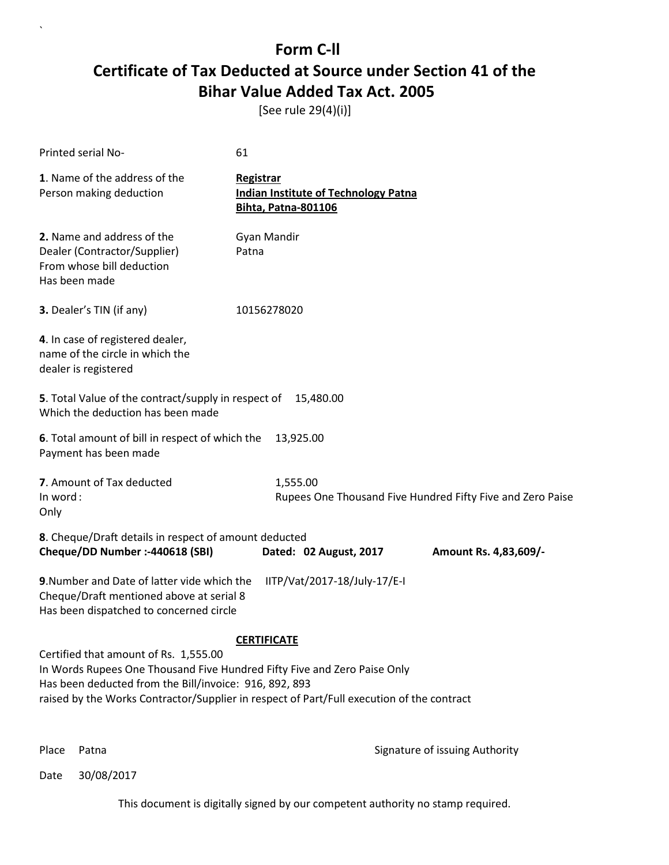[See rule 29(4)(i)]

| Printed serial No-                                                                                                                                                          | 61                                                                                                              |                       |
|-----------------------------------------------------------------------------------------------------------------------------------------------------------------------------|-----------------------------------------------------------------------------------------------------------------|-----------------------|
| 1. Name of the address of the<br>Person making deduction                                                                                                                    | <b>Registrar</b><br><b>Indian Institute of Technology Patna</b><br><b>Bihta, Patna-801106</b>                   |                       |
| 2. Name and address of the<br>Dealer (Contractor/Supplier)<br>From whose bill deduction<br>Has been made                                                                    | Gyan Mandir<br>Patna                                                                                            |                       |
| 3. Dealer's TIN (if any)                                                                                                                                                    | 10156278020                                                                                                     |                       |
| 4. In case of registered dealer,<br>name of the circle in which the<br>dealer is registered                                                                                 |                                                                                                                 |                       |
| 5. Total Value of the contract/supply in respect of 15,480.00<br>Which the deduction has been made                                                                          |                                                                                                                 |                       |
| 6. Total amount of bill in respect of which the<br>Payment has been made                                                                                                    | 13,925.00                                                                                                       |                       |
| 7. Amount of Tax deducted<br>In word:<br>Only                                                                                                                               | 1,555.00<br>Rupees One Thousand Five Hundred Fifty Five and Zero Paise                                          |                       |
| 8. Cheque/Draft details in respect of amount deducted<br>Cheque/DD Number :- 440618 (SBI)                                                                                   | Dated: 02 August, 2017                                                                                          | Amount Rs. 4,83,609/- |
| 9. Number and Date of latter vide which the<br>Cheque/Draft mentioned above at serial 8<br>Has been dispatched to concerned circle                                          | IITP/Vat/2017-18/July-17/E-I                                                                                    |                       |
| Certified that amount of Rs. 1,555.00<br>In Words Rupees One Thousand Five Hundred Fifty Five and Zero Paise Only<br>Has been deducted from the Bill/invoice: 916, 892, 893 | <b>CERTIFICATE</b><br>raised by the Works Contractor/Supplier in respect of Part/Full execution of the contract |                       |

`

Place Patna **Property** Place Patna Signature of issuing Authority

Date 30/08/2017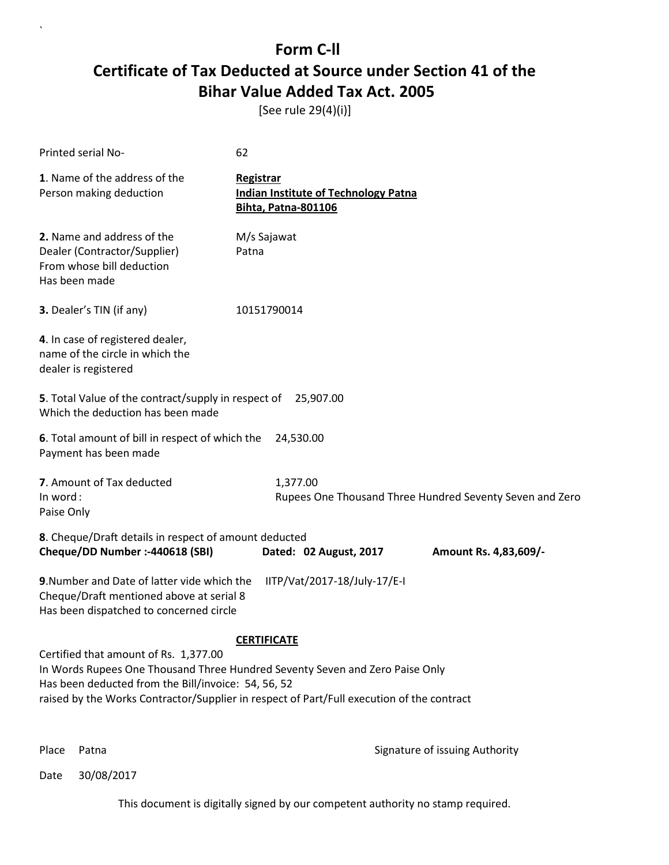[See rule 29(4)(i)]

| Printed serial No-                                                                                                                                                                                                                                                        | 62                                                                                            |                                                          |
|---------------------------------------------------------------------------------------------------------------------------------------------------------------------------------------------------------------------------------------------------------------------------|-----------------------------------------------------------------------------------------------|----------------------------------------------------------|
| 1. Name of the address of the<br>Person making deduction                                                                                                                                                                                                                  | <b>Registrar</b><br><b>Indian Institute of Technology Patna</b><br><b>Bihta, Patna-801106</b> |                                                          |
| 2. Name and address of the<br>Dealer (Contractor/Supplier)<br>From whose bill deduction<br>Has been made                                                                                                                                                                  | M/s Sajawat<br>Patna                                                                          |                                                          |
| 3. Dealer's TIN (if any)                                                                                                                                                                                                                                                  | 10151790014                                                                                   |                                                          |
| 4. In case of registered dealer,<br>name of the circle in which the<br>dealer is registered                                                                                                                                                                               |                                                                                               |                                                          |
| 5. Total Value of the contract/supply in respect of<br>Which the deduction has been made                                                                                                                                                                                  | 25,907.00                                                                                     |                                                          |
| 6. Total amount of bill in respect of which the<br>Payment has been made                                                                                                                                                                                                  | 24,530.00                                                                                     |                                                          |
| 7. Amount of Tax deducted<br>In word:<br>Paise Only                                                                                                                                                                                                                       | 1,377.00                                                                                      | Rupees One Thousand Three Hundred Seventy Seven and Zero |
| 8. Cheque/Draft details in respect of amount deducted<br>Cheque/DD Number :- 440618 (SBI)                                                                                                                                                                                 | Dated: 02 August, 2017                                                                        | Amount Rs. 4,83,609/-                                    |
| 9. Number and Date of latter vide which the<br>Cheque/Draft mentioned above at serial 8<br>Has been dispatched to concerned circle                                                                                                                                        | IITP/Vat/2017-18/July-17/E-I                                                                  |                                                          |
|                                                                                                                                                                                                                                                                           | <b>CERTIFICATE</b>                                                                            |                                                          |
| Certified that amount of Rs. 1,377.00<br>In Words Rupees One Thousand Three Hundred Seventy Seven and Zero Paise Only<br>Has been deducted from the Bill/invoice: 54, 56, 52<br>raised by the Works Contractor/Supplier in respect of Part/Full execution of the contract |                                                                                               |                                                          |

`

Place Patna **Property** Place Patna Signature of issuing Authority

Date 30/08/2017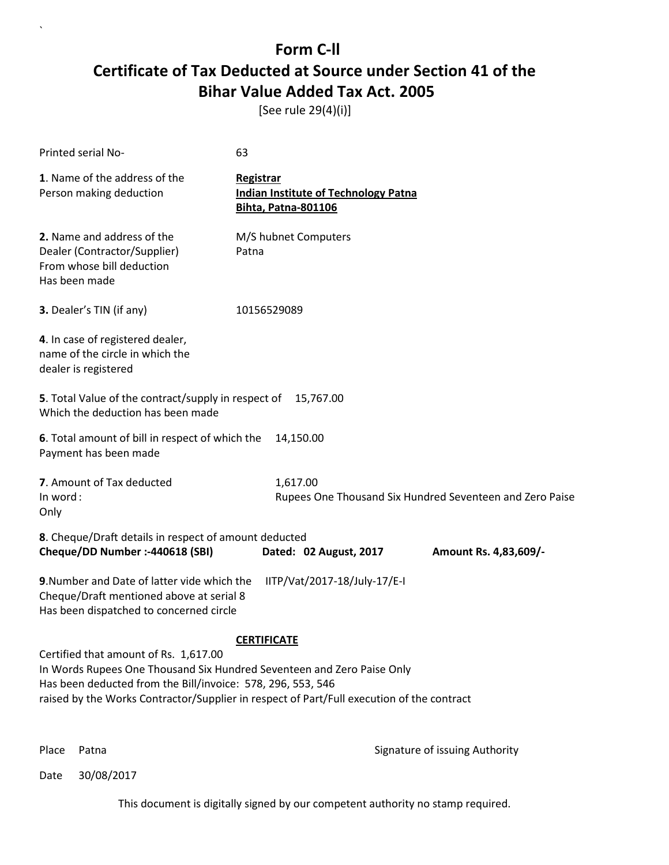[See rule 29(4)(i)]

| Printed serial No-                                                                                                                                                                                                                                                          | 63                                                                                            |                                                          |
|-----------------------------------------------------------------------------------------------------------------------------------------------------------------------------------------------------------------------------------------------------------------------------|-----------------------------------------------------------------------------------------------|----------------------------------------------------------|
| 1. Name of the address of the<br>Person making deduction                                                                                                                                                                                                                    | <b>Registrar</b><br><b>Indian Institute of Technology Patna</b><br><b>Bihta, Patna-801106</b> |                                                          |
| 2. Name and address of the<br>Dealer (Contractor/Supplier)<br>From whose bill deduction<br>Has been made                                                                                                                                                                    | M/S hubnet Computers<br>Patna                                                                 |                                                          |
| 3. Dealer's TIN (if any)                                                                                                                                                                                                                                                    | 10156529089                                                                                   |                                                          |
| 4. In case of registered dealer,<br>name of the circle in which the<br>dealer is registered                                                                                                                                                                                 |                                                                                               |                                                          |
| 5. Total Value of the contract/supply in respect of 15,767.00<br>Which the deduction has been made                                                                                                                                                                          |                                                                                               |                                                          |
| 6. Total amount of bill in respect of which the<br>Payment has been made                                                                                                                                                                                                    | 14,150.00                                                                                     |                                                          |
| 7. Amount of Tax deducted<br>In word:<br>Only                                                                                                                                                                                                                               | 1,617.00                                                                                      | Rupees One Thousand Six Hundred Seventeen and Zero Paise |
| 8. Cheque/Draft details in respect of amount deducted<br>Cheque/DD Number :- 440618 (SBI)                                                                                                                                                                                   | Dated: 02 August, 2017                                                                        | Amount Rs. 4,83,609/-                                    |
| 9. Number and Date of latter vide which the<br>Cheque/Draft mentioned above at serial 8<br>Has been dispatched to concerned circle                                                                                                                                          | IITP/Vat/2017-18/July-17/E-I                                                                  |                                                          |
|                                                                                                                                                                                                                                                                             | <b>CERTIFICATE</b>                                                                            |                                                          |
| Certified that amount of Rs. 1,617.00<br>In Words Rupees One Thousand Six Hundred Seventeen and Zero Paise Only<br>Has been deducted from the Bill/invoice: 578, 296, 553, 546<br>raised by the Works Contractor/Supplier in respect of Part/Full execution of the contract |                                                                                               |                                                          |

`

Place Patna **Property** Place Patna Signature of issuing Authority

Date 30/08/2017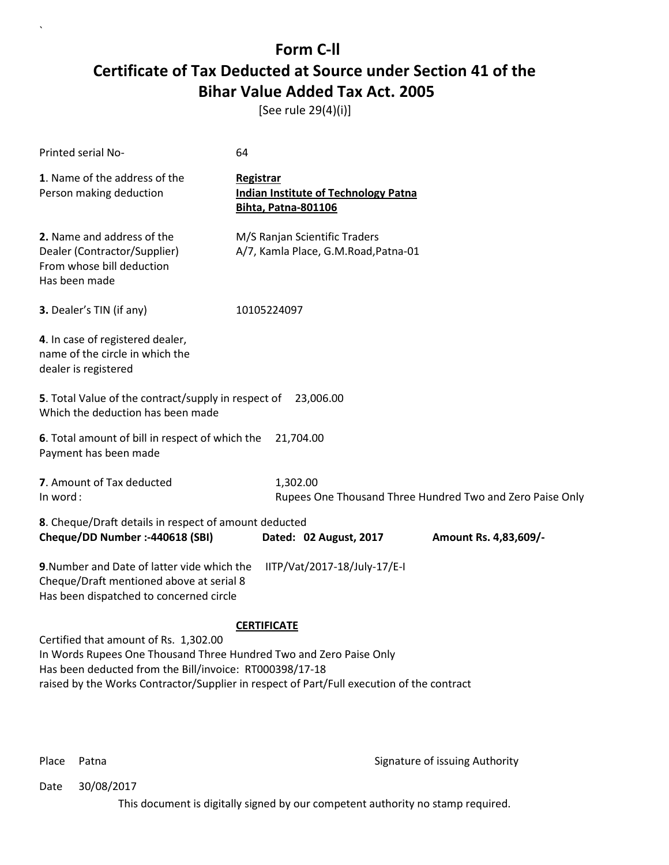[See rule 29(4)(i)]

| Printed serial No-                                                                                                                                                     | 64                                                                                                              |                                                           |
|------------------------------------------------------------------------------------------------------------------------------------------------------------------------|-----------------------------------------------------------------------------------------------------------------|-----------------------------------------------------------|
| 1. Name of the address of the<br>Person making deduction                                                                                                               | Registrar<br><b>Indian Institute of Technology Patna</b><br><b>Bihta, Patna-801106</b>                          |                                                           |
| 2. Name and address of the<br>Dealer (Contractor/Supplier)<br>From whose bill deduction<br>Has been made                                                               | M/S Ranjan Scientific Traders<br>A/7, Kamla Place, G.M.Road, Patna-01                                           |                                                           |
| 3. Dealer's TIN (if any)                                                                                                                                               | 10105224097                                                                                                     |                                                           |
| 4. In case of registered dealer,<br>name of the circle in which the<br>dealer is registered                                                                            |                                                                                                                 |                                                           |
| 5. Total Value of the contract/supply in respect of 23,006.00<br>Which the deduction has been made                                                                     |                                                                                                                 |                                                           |
| 6. Total amount of bill in respect of which the<br>Payment has been made                                                                                               | 21,704.00                                                                                                       |                                                           |
| 7. Amount of Tax deducted<br>In word:                                                                                                                                  | 1,302.00                                                                                                        | Rupees One Thousand Three Hundred Two and Zero Paise Only |
| 8. Cheque/Draft details in respect of amount deducted<br>Cheque/DD Number :- 440618 (SBI)                                                                              | Dated: 02 August, 2017                                                                                          | Amount Rs. 4,83,609/-                                     |
| 9. Number and Date of latter vide which the<br>Cheque/Draft mentioned above at serial 8<br>Has been dispatched to concerned circle                                     | IITP/Vat/2017-18/July-17/E-I                                                                                    |                                                           |
| Certified that amount of Rs. 1,302.00<br>In Words Rupees One Thousand Three Hundred Two and Zero Paise Only<br>Has been deducted from the Bill/invoice: RT000398/17-18 | <b>CERTIFICATE</b><br>raised by the Works Contractor/Supplier in respect of Part/Full execution of the contract |                                                           |

`

Place Patna **Property** Place Patna Signature of issuing Authority

Date 30/08/2017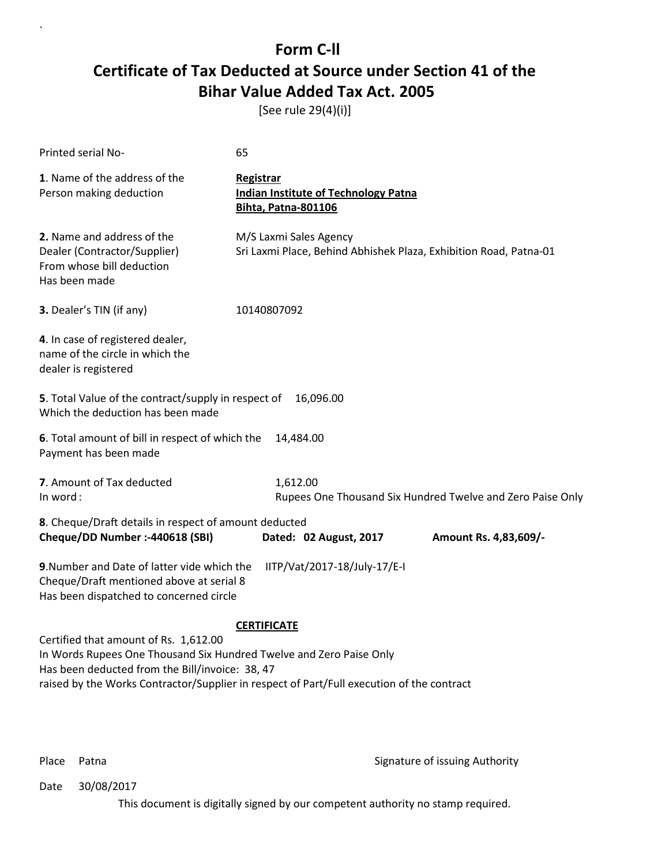[See rule 29(4)(i)]

| Printed serial No-                                                                                                                                              | 65                                                                                                              |  |  |
|-----------------------------------------------------------------------------------------------------------------------------------------------------------------|-----------------------------------------------------------------------------------------------------------------|--|--|
| 1. Name of the address of the<br>Person making deduction                                                                                                        | Registrar<br><b>Indian Institute of Technology Patna</b><br><b>Bihta, Patna-801106</b>                          |  |  |
| 2. Name and address of the<br>Dealer (Contractor/Supplier)<br>From whose bill deduction<br>Has been made                                                        | M/S Laxmi Sales Agency<br>Sri Laxmi Place, Behind Abhishek Plaza, Exhibition Road, Patna-01                     |  |  |
| 3. Dealer's TIN (if any)                                                                                                                                        | 10140807092                                                                                                     |  |  |
| 4. In case of registered dealer,<br>name of the circle in which the<br>dealer is registered                                                                     |                                                                                                                 |  |  |
| 5. Total Value of the contract/supply in respect of<br>16,096.00<br>Which the deduction has been made                                                           |                                                                                                                 |  |  |
| 6. Total amount of bill in respect of which the<br>Payment has been made                                                                                        | 14,484.00                                                                                                       |  |  |
| 7. Amount of Tax deducted<br>In word:                                                                                                                           | 1,612.00<br>Rupees One Thousand Six Hundred Twelve and Zero Paise Only                                          |  |  |
| 8. Cheque/Draft details in respect of amount deducted<br>Cheque/DD Number :- 440618 (SBI)                                                                       | Dated: 02 August, 2017<br>Amount Rs. 4,83,609/-                                                                 |  |  |
| 9. Number and Date of latter vide which the<br>Cheque/Draft mentioned above at serial 8<br>Has been dispatched to concerned circle                              | IITP/Vat/2017-18/July-17/E-I                                                                                    |  |  |
| Certified that amount of Rs. 1,612.00<br>In Words Rupees One Thousand Six Hundred Twelve and Zero Paise Only<br>Has been deducted from the Bill/invoice: 38, 47 | <b>CERTIFICATE</b><br>raised by the Works Contractor/Supplier in respect of Part/Full execution of the contract |  |  |

`

Place Patna **Property** Place Patna Signature of issuing Authority

Date 30/08/2017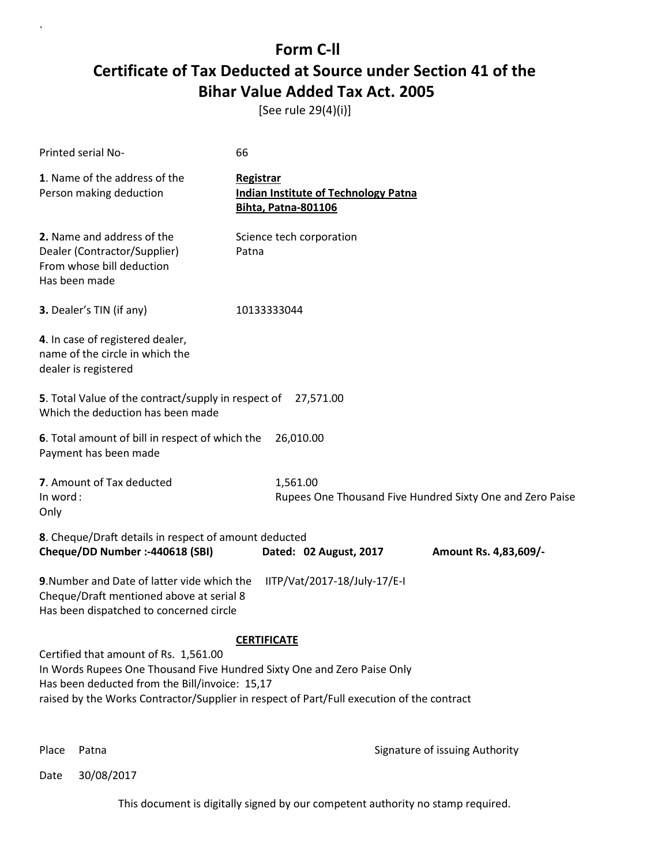[See rule 29(4)(i)]

| Printed serial No-                                                                                                                                                                                                                                              | 66                                                                                     |                       |
|-----------------------------------------------------------------------------------------------------------------------------------------------------------------------------------------------------------------------------------------------------------------|----------------------------------------------------------------------------------------|-----------------------|
| 1. Name of the address of the<br>Person making deduction                                                                                                                                                                                                        | Registrar<br><b>Indian Institute of Technology Patna</b><br><b>Bihta, Patna-801106</b> |                       |
| 2. Name and address of the<br>Dealer (Contractor/Supplier)<br>From whose bill deduction<br>Has been made                                                                                                                                                        | Science tech corporation<br>Patna                                                      |                       |
| 3. Dealer's TIN (if any)                                                                                                                                                                                                                                        | 10133333044                                                                            |                       |
| 4. In case of registered dealer,<br>name of the circle in which the<br>dealer is registered                                                                                                                                                                     |                                                                                        |                       |
| 5. Total Value of the contract/supply in respect of 27,571.00<br>Which the deduction has been made                                                                                                                                                              |                                                                                        |                       |
| 6. Total amount of bill in respect of which the<br>Payment has been made                                                                                                                                                                                        | 26,010.00                                                                              |                       |
| 7. Amount of Tax deducted<br>In word:<br>Only                                                                                                                                                                                                                   | 1,561.00<br>Rupees One Thousand Five Hundred Sixty One and Zero Paise                  |                       |
| 8. Cheque/Draft details in respect of amount deducted<br>Cheque/DD Number :- 440618 (SBI)                                                                                                                                                                       | Dated: 02 August, 2017                                                                 | Amount Rs. 4,83,609/- |
| 9. Number and Date of latter vide which the<br>Cheque/Draft mentioned above at serial 8<br>Has been dispatched to concerned circle                                                                                                                              | IITP/Vat/2017-18/July-17/E-I                                                           |                       |
| Certified that amount of Rs. 1,561.00<br>In Words Rupees One Thousand Five Hundred Sixty One and Zero Paise Only<br>Has been deducted from the Bill/invoice: 15,17<br>raised by the Works Contractor/Supplier in respect of Part/Full execution of the contract | <b>CERTIFICATE</b>                                                                     |                       |

`

Place Patna **Property** Place Patna Signature of issuing Authority

Date 30/08/2017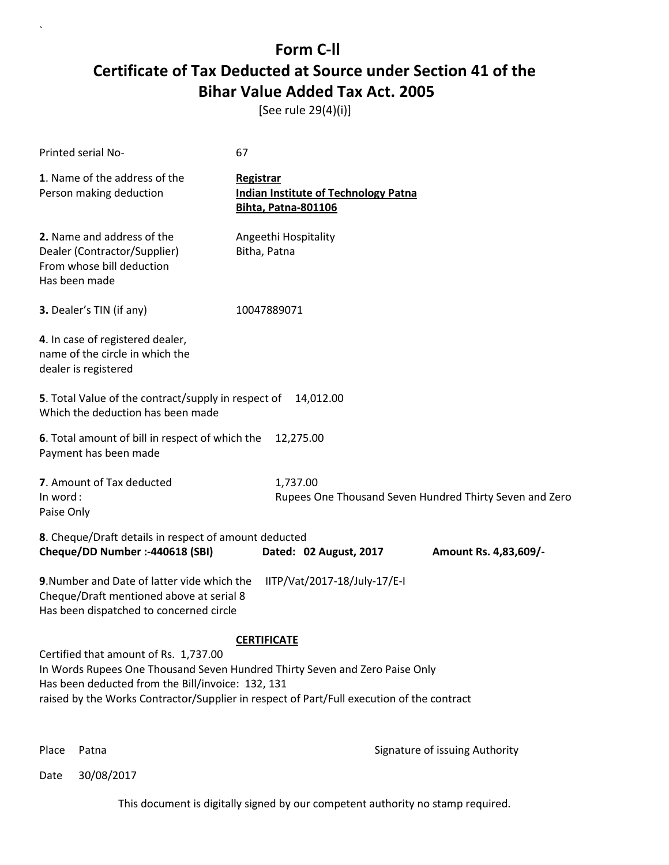[See rule 29(4)(i)]

| Printed serial No-                                                                                                                                                                                                                                                     | 67                                                                                            |                                                         |  |
|------------------------------------------------------------------------------------------------------------------------------------------------------------------------------------------------------------------------------------------------------------------------|-----------------------------------------------------------------------------------------------|---------------------------------------------------------|--|
| 1. Name of the address of the<br>Person making deduction                                                                                                                                                                                                               | <b>Registrar</b><br><b>Indian Institute of Technology Patna</b><br><b>Bihta, Patna-801106</b> |                                                         |  |
| 2. Name and address of the<br>Dealer (Contractor/Supplier)<br>From whose bill deduction<br>Has been made                                                                                                                                                               | Angeethi Hospitality<br>Bitha, Patna                                                          |                                                         |  |
| 3. Dealer's TIN (if any)                                                                                                                                                                                                                                               | 10047889071                                                                                   |                                                         |  |
| 4. In case of registered dealer,<br>name of the circle in which the<br>dealer is registered                                                                                                                                                                            |                                                                                               |                                                         |  |
| 5. Total Value of the contract/supply in respect of<br>Which the deduction has been made                                                                                                                                                                               | 14,012.00                                                                                     |                                                         |  |
| 6. Total amount of bill in respect of which the<br>Payment has been made                                                                                                                                                                                               | 12,275.00                                                                                     |                                                         |  |
| 7. Amount of Tax deducted<br>In word:<br>Paise Only                                                                                                                                                                                                                    | 1,737.00                                                                                      | Rupees One Thousand Seven Hundred Thirty Seven and Zero |  |
| 8. Cheque/Draft details in respect of amount deducted<br>Cheque/DD Number :- 440618 (SBI)                                                                                                                                                                              | Dated: 02 August, 2017                                                                        | Amount Rs. 4,83,609/-                                   |  |
| 9. Number and Date of latter vide which the<br>IITP/Vat/2017-18/July-17/E-I<br>Cheque/Draft mentioned above at serial 8<br>Has been dispatched to concerned circle                                                                                                     |                                                                                               |                                                         |  |
|                                                                                                                                                                                                                                                                        | <b>CERTIFICATE</b>                                                                            |                                                         |  |
| Certified that amount of Rs. 1,737.00<br>In Words Rupees One Thousand Seven Hundred Thirty Seven and Zero Paise Only<br>Has been deducted from the Bill/invoice: 132, 131<br>raised by the Works Contractor/Supplier in respect of Part/Full execution of the contract |                                                                                               |                                                         |  |

`

Place Patna **Property** Place Patna Signature of issuing Authority

Date 30/08/2017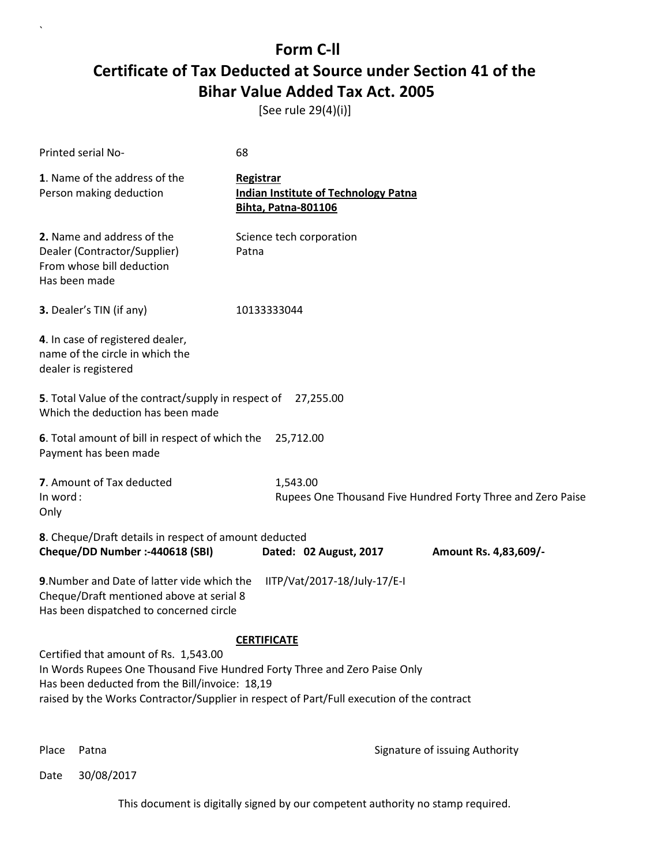[See rule 29(4)(i)]

| Printed serial No-                                                                                                                                                                                                                                                                      | 68                                                                                     |                                                             |
|-----------------------------------------------------------------------------------------------------------------------------------------------------------------------------------------------------------------------------------------------------------------------------------------|----------------------------------------------------------------------------------------|-------------------------------------------------------------|
| 1. Name of the address of the<br>Person making deduction                                                                                                                                                                                                                                | Registrar<br><b>Indian Institute of Technology Patna</b><br><b>Bihta, Patna-801106</b> |                                                             |
| 2. Name and address of the<br>Dealer (Contractor/Supplier)<br>From whose bill deduction<br>Has been made                                                                                                                                                                                | Science tech corporation<br>Patna                                                      |                                                             |
| 3. Dealer's TIN (if any)                                                                                                                                                                                                                                                                | 10133333044                                                                            |                                                             |
| 4. In case of registered dealer,<br>name of the circle in which the<br>dealer is registered                                                                                                                                                                                             |                                                                                        |                                                             |
| 5. Total Value of the contract/supply in respect of<br>Which the deduction has been made                                                                                                                                                                                                | 27,255.00                                                                              |                                                             |
| 6. Total amount of bill in respect of which the<br>Payment has been made                                                                                                                                                                                                                | 25,712.00                                                                              |                                                             |
| 7. Amount of Tax deducted<br>In word:<br>Only                                                                                                                                                                                                                                           | 1,543.00                                                                               | Rupees One Thousand Five Hundred Forty Three and Zero Paise |
| 8. Cheque/Draft details in respect of amount deducted<br>Cheque/DD Number :- 440618 (SBI)                                                                                                                                                                                               | Dated: 02 August, 2017                                                                 | Amount Rs. 4,83,609/-                                       |
| 9. Number and Date of latter vide which the<br>Cheque/Draft mentioned above at serial 8<br>Has been dispatched to concerned circle                                                                                                                                                      | IITP/Vat/2017-18/July-17/E-I                                                           |                                                             |
| <b>CERTIFICATE</b><br>Certified that amount of Rs. 1,543.00<br>In Words Rupees One Thousand Five Hundred Forty Three and Zero Paise Only<br>Has been deducted from the Bill/invoice: 18,19<br>raised by the Works Contractor/Supplier in respect of Part/Full execution of the contract |                                                                                        |                                                             |

`

Place Patna **Property** Place Patna Signature of issuing Authority

Date 30/08/2017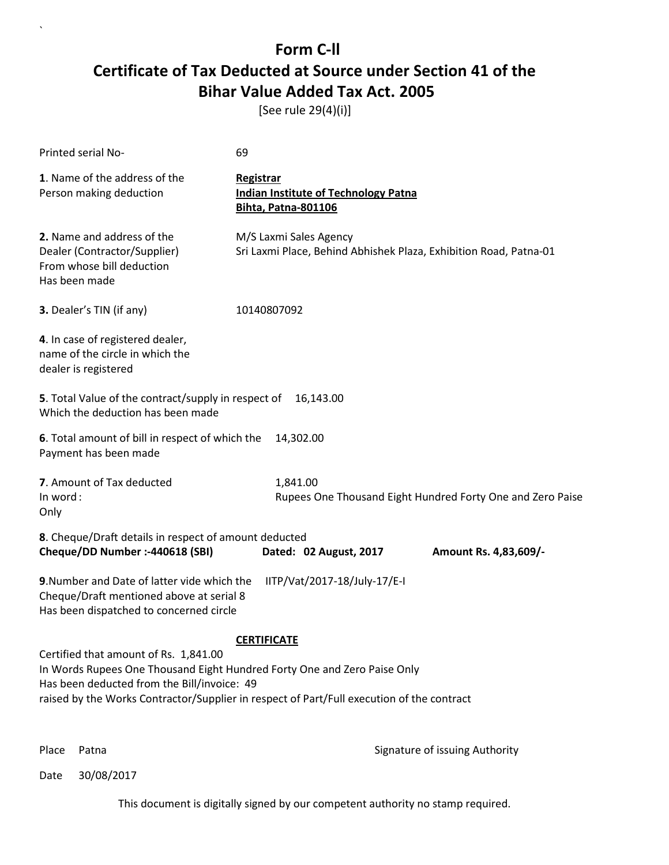[See rule 29(4)(i)]

| Printed serial No-                                                                                                                                                                                                                                            | 69                                                                                            |                                                            |
|---------------------------------------------------------------------------------------------------------------------------------------------------------------------------------------------------------------------------------------------------------------|-----------------------------------------------------------------------------------------------|------------------------------------------------------------|
| 1. Name of the address of the<br>Person making deduction                                                                                                                                                                                                      | <b>Registrar</b><br><b>Indian Institute of Technology Patna</b><br><b>Bihta, Patna-801106</b> |                                                            |
| 2. Name and address of the<br>Dealer (Contractor/Supplier)<br>From whose bill deduction<br>Has been made                                                                                                                                                      | M/S Laxmi Sales Agency<br>Sri Laxmi Place, Behind Abhishek Plaza, Exhibition Road, Patna-01   |                                                            |
| 3. Dealer's TIN (if any)                                                                                                                                                                                                                                      | 10140807092                                                                                   |                                                            |
| 4. In case of registered dealer,<br>name of the circle in which the<br>dealer is registered                                                                                                                                                                   |                                                                                               |                                                            |
| 5. Total Value of the contract/supply in respect of<br>Which the deduction has been made                                                                                                                                                                      | 16,143.00                                                                                     |                                                            |
| 6. Total amount of bill in respect of which the<br>Payment has been made                                                                                                                                                                                      | 14,302.00                                                                                     |                                                            |
| 7. Amount of Tax deducted<br>In word:<br>Only                                                                                                                                                                                                                 | 1,841.00                                                                                      | Rupees One Thousand Eight Hundred Forty One and Zero Paise |
| 8. Cheque/Draft details in respect of amount deducted<br>Cheque/DD Number :- 440618 (SBI)                                                                                                                                                                     | Dated: 02 August, 2017                                                                        | Amount Rs. 4,83,609/-                                      |
| 9. Number and Date of latter vide which the<br>Cheque/Draft mentioned above at serial 8<br>Has been dispatched to concerned circle                                                                                                                            | IITP/Vat/2017-18/July-17/E-I                                                                  |                                                            |
| Certified that amount of Rs. 1,841.00<br>In Words Rupees One Thousand Eight Hundred Forty One and Zero Paise Only<br>Has been deducted from the Bill/invoice: 49<br>raised by the Works Contractor/Supplier in respect of Part/Full execution of the contract | <b>CERTIFICATE</b>                                                                            |                                                            |

`

Place Patna **Property** Place Patna Signature of issuing Authority

Date 30/08/2017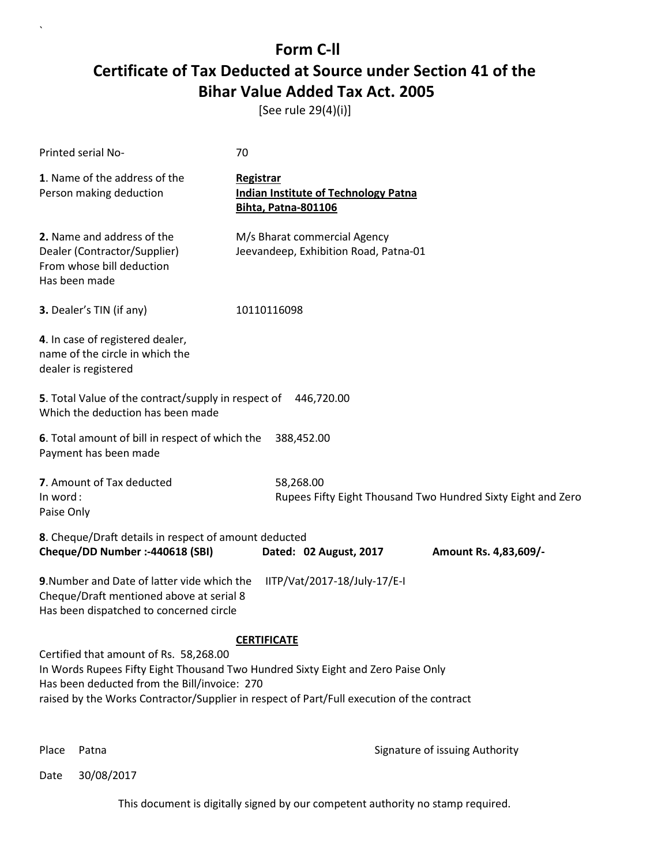[See rule 29(4)(i)]

| Printed serial No-                                                                                                                                                                                                                                                      | 70                                                                                            |                                                              |  |
|-------------------------------------------------------------------------------------------------------------------------------------------------------------------------------------------------------------------------------------------------------------------------|-----------------------------------------------------------------------------------------------|--------------------------------------------------------------|--|
| 1. Name of the address of the<br>Person making deduction                                                                                                                                                                                                                | <b>Registrar</b><br><b>Indian Institute of Technology Patna</b><br><b>Bihta, Patna-801106</b> |                                                              |  |
| 2. Name and address of the<br>Dealer (Contractor/Supplier)<br>From whose bill deduction<br>Has been made                                                                                                                                                                | M/s Bharat commercial Agency<br>Jeevandeep, Exhibition Road, Patna-01                         |                                                              |  |
| 3. Dealer's TIN (if any)                                                                                                                                                                                                                                                | 10110116098                                                                                   |                                                              |  |
| 4. In case of registered dealer,<br>name of the circle in which the<br>dealer is registered                                                                                                                                                                             |                                                                                               |                                                              |  |
| 5. Total Value of the contract/supply in respect of<br>446,720.00<br>Which the deduction has been made                                                                                                                                                                  |                                                                                               |                                                              |  |
| 6. Total amount of bill in respect of which the<br>Payment has been made                                                                                                                                                                                                | 388,452.00                                                                                    |                                                              |  |
| 7. Amount of Tax deducted<br>In word:<br>Paise Only                                                                                                                                                                                                                     | 58,268.00                                                                                     | Rupees Fifty Eight Thousand Two Hundred Sixty Eight and Zero |  |
| 8. Cheque/Draft details in respect of amount deducted<br>Cheque/DD Number :- 440618 (SBI)                                                                                                                                                                               | Dated: 02 August, 2017                                                                        | Amount Rs. 4,83,609/-                                        |  |
| 9. Number and Date of latter vide which the<br>Cheque/Draft mentioned above at serial 8<br>Has been dispatched to concerned circle                                                                                                                                      | IITP/Vat/2017-18/July-17/E-I                                                                  |                                                              |  |
| <b>CERTIFICATE</b>                                                                                                                                                                                                                                                      |                                                                                               |                                                              |  |
| Certified that amount of Rs. 58,268.00<br>In Words Rupees Fifty Eight Thousand Two Hundred Sixty Eight and Zero Paise Only<br>Has been deducted from the Bill/invoice: 270<br>raised by the Works Contractor/Supplier in respect of Part/Full execution of the contract |                                                                                               |                                                              |  |

`

Place Patna **Property** Place Patna Signature of issuing Authority

Date 30/08/2017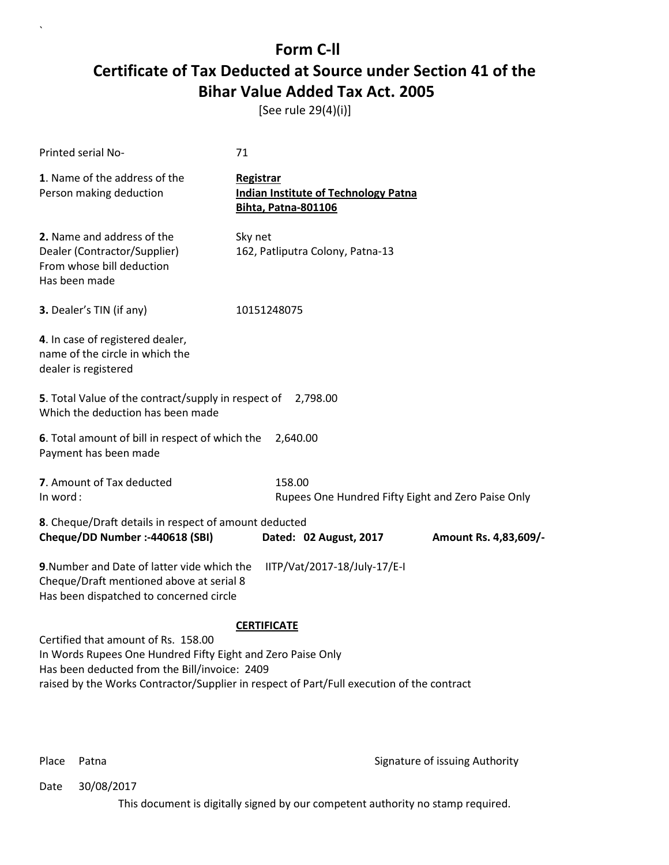[See rule 29(4)(i)]

| Printed serial No-                                                                                                                                  | 71                                                                                     |                       |
|-----------------------------------------------------------------------------------------------------------------------------------------------------|----------------------------------------------------------------------------------------|-----------------------|
| 1. Name of the address of the<br>Person making deduction                                                                                            | Registrar<br><b>Indian Institute of Technology Patna</b><br><b>Bihta, Patna-801106</b> |                       |
| 2. Name and address of the<br>Dealer (Contractor/Supplier)<br>From whose bill deduction<br>Has been made                                            | Sky net<br>162, Patliputra Colony, Patna-13                                            |                       |
| 3. Dealer's TIN (if any)                                                                                                                            | 10151248075                                                                            |                       |
| 4. In case of registered dealer,<br>name of the circle in which the<br>dealer is registered                                                         |                                                                                        |                       |
| 5. Total Value of the contract/supply in respect of<br>Which the deduction has been made                                                            | 2,798.00                                                                               |                       |
| 6. Total amount of bill in respect of which the<br>Payment has been made                                                                            | 2,640.00                                                                               |                       |
| 7. Amount of Tax deducted<br>In word:                                                                                                               | 158.00<br>Rupees One Hundred Fifty Eight and Zero Paise Only                           |                       |
| 8. Cheque/Draft details in respect of amount deducted<br>Cheque/DD Number :- 440618 (SBI)                                                           | Dated: 02 August, 2017                                                                 | Amount Rs. 4,83,609/- |
| 9. Number and Date of latter vide which the<br>Cheque/Draft mentioned above at serial 8<br>Has been dispatched to concerned circle                  | IITP/Vat/2017-18/July-17/E-I                                                           |                       |
|                                                                                                                                                     | <b>CERTIFICATE</b>                                                                     |                       |
| Certified that amount of Rs. 158.00<br>In Words Rupees One Hundred Fifty Eight and Zero Paise Only<br>Has been deducted from the Bill/invoice: 2409 |                                                                                        |                       |

`

Place Patna **Property** Place Patna Signature of issuing Authority

Date 30/08/2017

This document is digitally signed by our competent authority no stamp required.

raised by the Works Contractor/Supplier in respect of Part/Full execution of the contract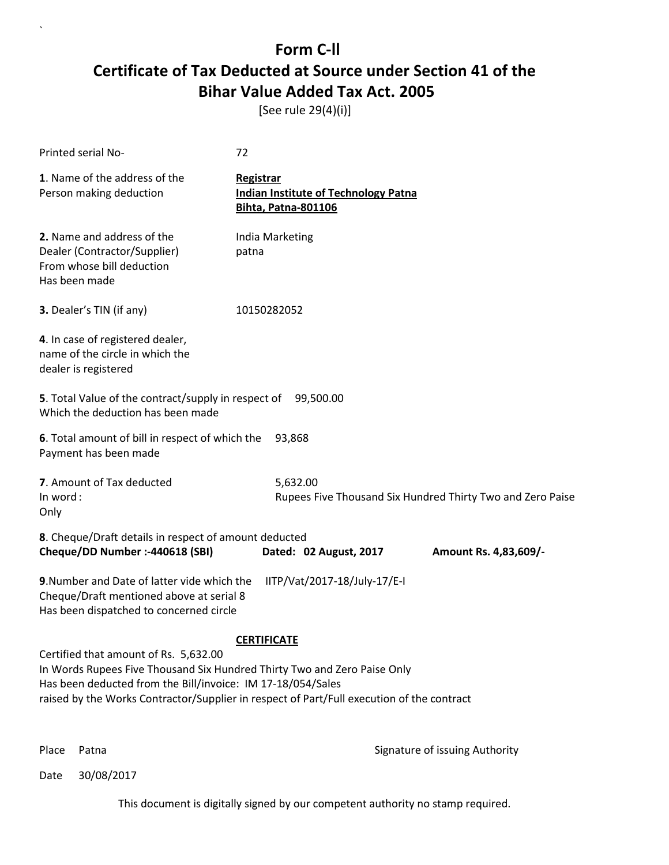[See rule 29(4)(i)]

| Printed serial No-                                                                                                                                                                                                                                                            | 72                                                                                            |                       |
|-------------------------------------------------------------------------------------------------------------------------------------------------------------------------------------------------------------------------------------------------------------------------------|-----------------------------------------------------------------------------------------------|-----------------------|
| 1. Name of the address of the<br>Person making deduction                                                                                                                                                                                                                      | <b>Registrar</b><br><b>Indian Institute of Technology Patna</b><br><b>Bihta, Patna-801106</b> |                       |
| 2. Name and address of the<br>Dealer (Contractor/Supplier)<br>From whose bill deduction<br>Has been made                                                                                                                                                                      | India Marketing<br>patna                                                                      |                       |
| 3. Dealer's TIN (if any)                                                                                                                                                                                                                                                      | 10150282052                                                                                   |                       |
| 4. In case of registered dealer,<br>name of the circle in which the<br>dealer is registered                                                                                                                                                                                   |                                                                                               |                       |
| 5. Total Value of the contract/supply in respect of 99,500.00<br>Which the deduction has been made                                                                                                                                                                            |                                                                                               |                       |
| 6. Total amount of bill in respect of which the<br>Payment has been made                                                                                                                                                                                                      | 93,868                                                                                        |                       |
| 7. Amount of Tax deducted<br>In word:<br>Only                                                                                                                                                                                                                                 | 5,632.00<br>Rupees Five Thousand Six Hundred Thirty Two and Zero Paise                        |                       |
| 8. Cheque/Draft details in respect of amount deducted<br>Cheque/DD Number :- 440618 (SBI)                                                                                                                                                                                     | Dated: 02 August, 2017                                                                        | Amount Rs. 4,83,609/- |
| 9. Number and Date of latter vide which the<br>Cheque/Draft mentioned above at serial 8<br>Has been dispatched to concerned circle                                                                                                                                            | IITP/Vat/2017-18/July-17/E-I                                                                  |                       |
| Certified that amount of Rs. 5,632.00<br>In Words Rupees Five Thousand Six Hundred Thirty Two and Zero Paise Only<br>Has been deducted from the Bill/invoice: IM 17-18/054/Sales<br>raised by the Works Contractor/Supplier in respect of Part/Full execution of the contract | <b>CERTIFICATE</b>                                                                            |                       |

`

Place Patna **Property** Place Patna Signature of issuing Authority

Date 30/08/2017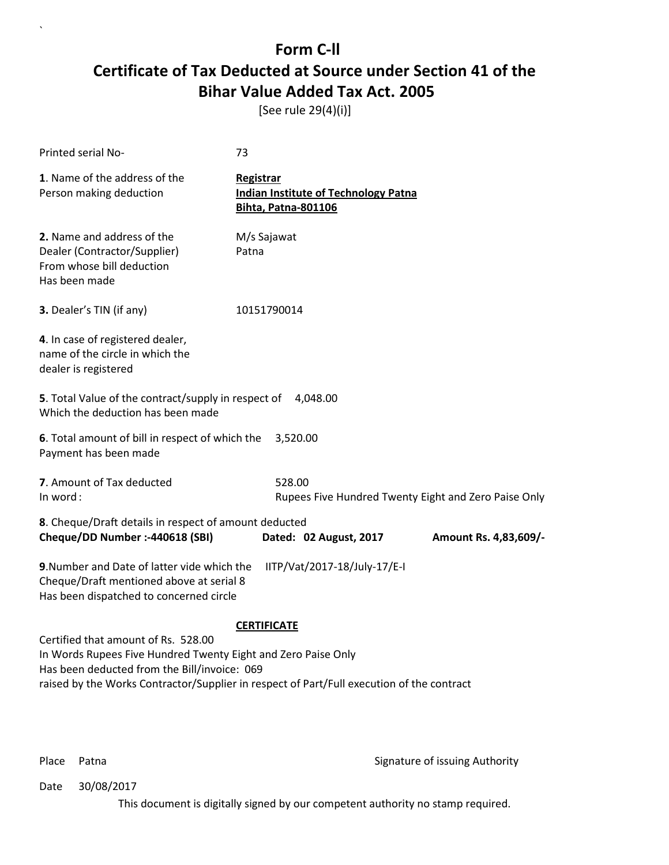[See rule 29(4)(i)]

| Printed serial No-                                                                                                                                   | 73                                                                                     |                       |
|------------------------------------------------------------------------------------------------------------------------------------------------------|----------------------------------------------------------------------------------------|-----------------------|
| 1. Name of the address of the<br>Person making deduction                                                                                             | Registrar<br><b>Indian Institute of Technology Patna</b><br><b>Bihta, Patna-801106</b> |                       |
| 2. Name and address of the<br>Dealer (Contractor/Supplier)<br>From whose bill deduction<br>Has been made                                             | M/s Sajawat<br>Patna                                                                   |                       |
| 3. Dealer's TIN (if any)                                                                                                                             | 10151790014                                                                            |                       |
| 4. In case of registered dealer,<br>name of the circle in which the<br>dealer is registered                                                          |                                                                                        |                       |
| 5. Total Value of the contract/supply in respect of<br>Which the deduction has been made                                                             | 4.048.00                                                                               |                       |
| 6. Total amount of bill in respect of which the<br>Payment has been made                                                                             | 3,520.00                                                                               |                       |
| 7. Amount of Tax deducted<br>In word:                                                                                                                | 528.00<br>Rupees Five Hundred Twenty Eight and Zero Paise Only                         |                       |
| 8. Cheque/Draft details in respect of amount deducted<br>Cheque/DD Number :- 440618 (SBI)                                                            | Dated: 02 August, 2017                                                                 | Amount Rs. 4,83,609/- |
| 9. Number and Date of latter vide which the<br>Cheque/Draft mentioned above at serial 8<br>Has been dispatched to concerned circle                   | IITP/Vat/2017-18/July-17/E-I                                                           |                       |
|                                                                                                                                                      | <b>CERTIFICATE</b>                                                                     |                       |
| Certified that amount of Rs. 528.00<br>In Words Rupees Five Hundred Twenty Eight and Zero Paise Only<br>Has been deducted from the Bill/invoice: 069 |                                                                                        |                       |

raised by the Works Contractor/Supplier in respect of Part/Full execution of the contract

`

Place Patna **Property** Place Patna Signature of issuing Authority

Date 30/08/2017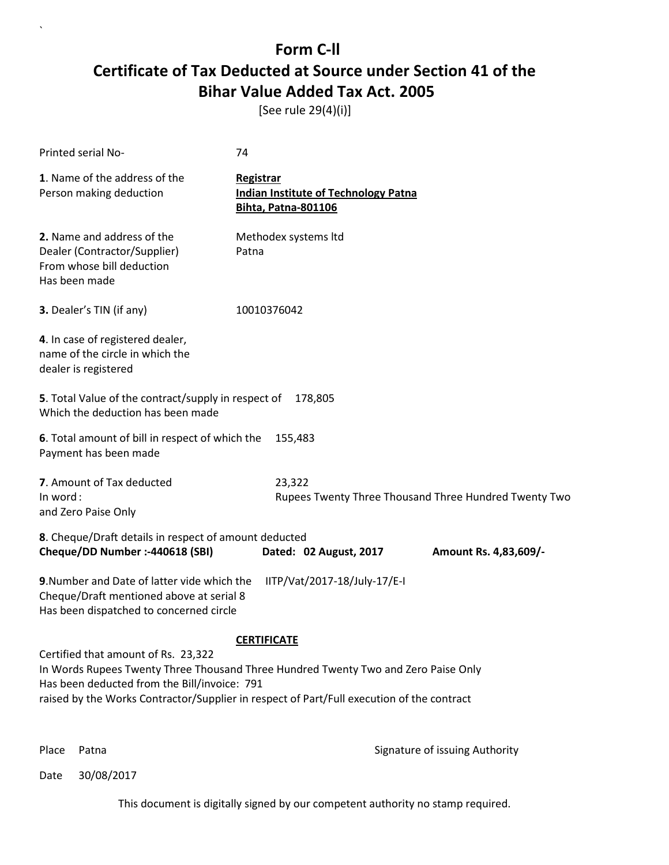[See rule 29(4)(i)]

| Printed serial No-                                                                                                                                                                                                                                                                           | 74                                                                                            |                       |
|----------------------------------------------------------------------------------------------------------------------------------------------------------------------------------------------------------------------------------------------------------------------------------------------|-----------------------------------------------------------------------------------------------|-----------------------|
| 1. Name of the address of the<br>Person making deduction                                                                                                                                                                                                                                     | <b>Registrar</b><br><b>Indian Institute of Technology Patna</b><br><b>Bihta, Patna-801106</b> |                       |
| 2. Name and address of the<br>Dealer (Contractor/Supplier)<br>From whose bill deduction<br>Has been made                                                                                                                                                                                     | Methodex systems Itd<br>Patna                                                                 |                       |
| 3. Dealer's TIN (if any)                                                                                                                                                                                                                                                                     | 10010376042                                                                                   |                       |
| 4. In case of registered dealer,<br>name of the circle in which the<br>dealer is registered                                                                                                                                                                                                  |                                                                                               |                       |
| 5. Total Value of the contract/supply in respect of<br>Which the deduction has been made                                                                                                                                                                                                     | 178,805                                                                                       |                       |
| 6. Total amount of bill in respect of which the<br>Payment has been made                                                                                                                                                                                                                     | 155,483                                                                                       |                       |
| 7. Amount of Tax deducted<br>In word:<br>and Zero Paise Only                                                                                                                                                                                                                                 | 23,322<br>Rupees Twenty Three Thousand Three Hundred Twenty Two                               |                       |
| 8. Cheque/Draft details in respect of amount deducted<br>Cheque/DD Number :- 440618 (SBI)                                                                                                                                                                                                    | Dated: 02 August, 2017                                                                        | Amount Rs. 4,83,609/- |
| 9. Number and Date of latter vide which the<br>Cheque/Draft mentioned above at serial 8<br>Has been dispatched to concerned circle                                                                                                                                                           | IITP/Vat/2017-18/July-17/E-I                                                                  |                       |
| <b>CERTIFICATE</b><br>Certified that amount of Rs. 23,322<br>In Words Rupees Twenty Three Thousand Three Hundred Twenty Two and Zero Paise Only<br>Has been deducted from the Bill/invoice: 791<br>raised by the Works Contractor/Supplier in respect of Part/Full execution of the contract |                                                                                               |                       |

`

Place Patna **Property** Place Patna Signature of issuing Authority

Date 30/08/2017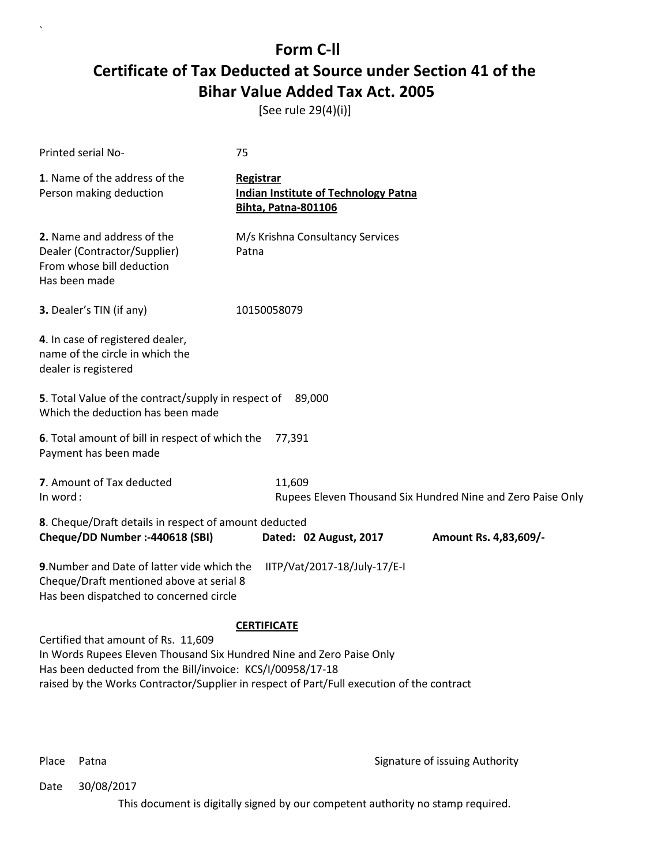[See rule 29(4)(i)]

| Printed serial No-                                                                                                                                                        | 75                                                                                                              |
|---------------------------------------------------------------------------------------------------------------------------------------------------------------------------|-----------------------------------------------------------------------------------------------------------------|
| 1. Name of the address of the<br>Person making deduction                                                                                                                  | Registrar<br><b>Indian Institute of Technology Patna</b><br><b>Bihta, Patna-801106</b>                          |
| 2. Name and address of the<br>Dealer (Contractor/Supplier)<br>From whose bill deduction<br>Has been made                                                                  | M/s Krishna Consultancy Services<br>Patna                                                                       |
| 3. Dealer's TIN (if any)                                                                                                                                                  | 10150058079                                                                                                     |
| 4. In case of registered dealer,<br>name of the circle in which the<br>dealer is registered                                                                               |                                                                                                                 |
| 5. Total Value of the contract/supply in respect of 89,000<br>Which the deduction has been made                                                                           |                                                                                                                 |
| 6. Total amount of bill in respect of which the<br>Payment has been made                                                                                                  | 77,391                                                                                                          |
| 7. Amount of Tax deducted<br>In word:                                                                                                                                     | 11,609<br>Rupees Eleven Thousand Six Hundred Nine and Zero Paise Only                                           |
| 8. Cheque/Draft details in respect of amount deducted<br>Cheque/DD Number :- 440618 (SBI)                                                                                 | Dated: 02 August, 2017<br>Amount Rs. 4,83,609/-                                                                 |
| 9. Number and Date of latter vide which the<br>Cheque/Draft mentioned above at serial 8<br>Has been dispatched to concerned circle                                        | IITP/Vat/2017-18/July-17/E-I                                                                                    |
| Certified that amount of Rs. 11,609<br>In Words Rupees Eleven Thousand Six Hundred Nine and Zero Paise Only<br>Has been deducted from the Bill/invoice: KCS/I/00958/17-18 | <b>CERTIFICATE</b><br>raised by the Works Contractor/Supplier in respect of Part/Full execution of the contract |

`

Place Patna **Property** Place Patna Signature of issuing Authority

Date 30/08/2017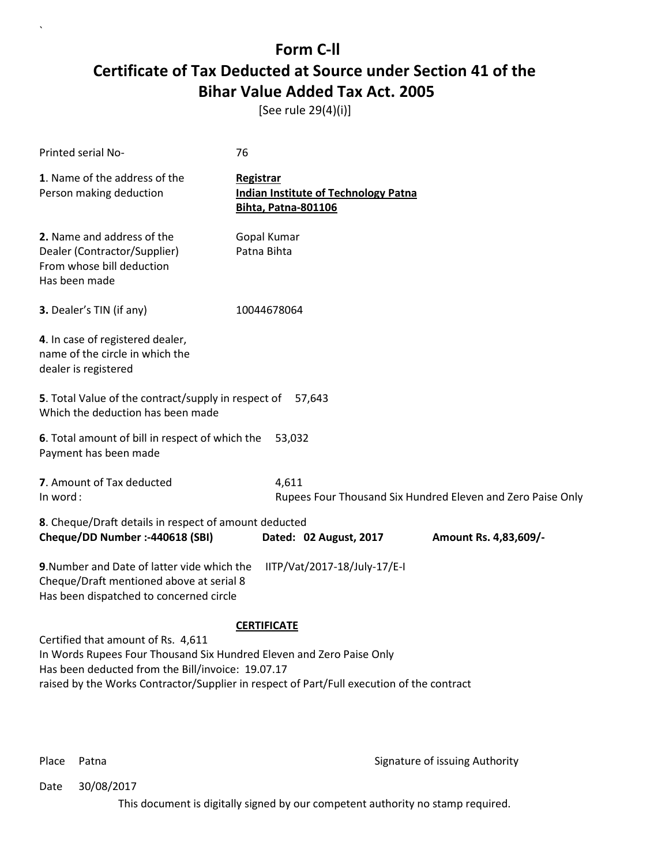[See rule 29(4)(i)]

| Printed serial No-                                                                                                                 | 76                                                                                     |                                                             |
|------------------------------------------------------------------------------------------------------------------------------------|----------------------------------------------------------------------------------------|-------------------------------------------------------------|
| 1. Name of the address of the<br>Person making deduction                                                                           | Registrar<br><b>Indian Institute of Technology Patna</b><br><b>Bihta, Patna-801106</b> |                                                             |
| 2. Name and address of the<br>Dealer (Contractor/Supplier)<br>From whose bill deduction<br>Has been made                           | Gopal Kumar<br>Patna Bihta                                                             |                                                             |
| 3. Dealer's TIN (if any)                                                                                                           | 10044678064                                                                            |                                                             |
| 4. In case of registered dealer,<br>name of the circle in which the<br>dealer is registered                                        |                                                                                        |                                                             |
| 5. Total Value of the contract/supply in respect of<br>Which the deduction has been made                                           | 57,643                                                                                 |                                                             |
| 6. Total amount of bill in respect of which the<br>Payment has been made                                                           | 53,032                                                                                 |                                                             |
| 7. Amount of Tax deducted<br>In word:                                                                                              | 4,611                                                                                  | Rupees Four Thousand Six Hundred Eleven and Zero Paise Only |
| 8. Cheque/Draft details in respect of amount deducted<br>Cheque/DD Number :- 440618 (SBI)                                          | Dated: 02 August, 2017                                                                 | Amount Rs. 4,83,609/-                                       |
| 9. Number and Date of latter vide which the<br>Cheque/Draft mentioned above at serial 8<br>Has been dispatched to concerned circle | IITP/Vat/2017-18/July-17/E-I                                                           |                                                             |
|                                                                                                                                    | <b>CERTIFICATE</b>                                                                     |                                                             |
| Certified that amount of Rs. 4,611<br>In Words Rupees Four Thousand Six Hundred Eleven and Zero Paise Only                         |                                                                                        |                                                             |
| Has been deducted from the Bill/invoice: 19.07.17                                                                                  |                                                                                        |                                                             |
| raised by the Works Contractor/Supplier in respect of Part/Full execution of the contract                                          |                                                                                        |                                                             |

`

Place Patna **Property** Place Patna Signature of issuing Authority

Date 30/08/2017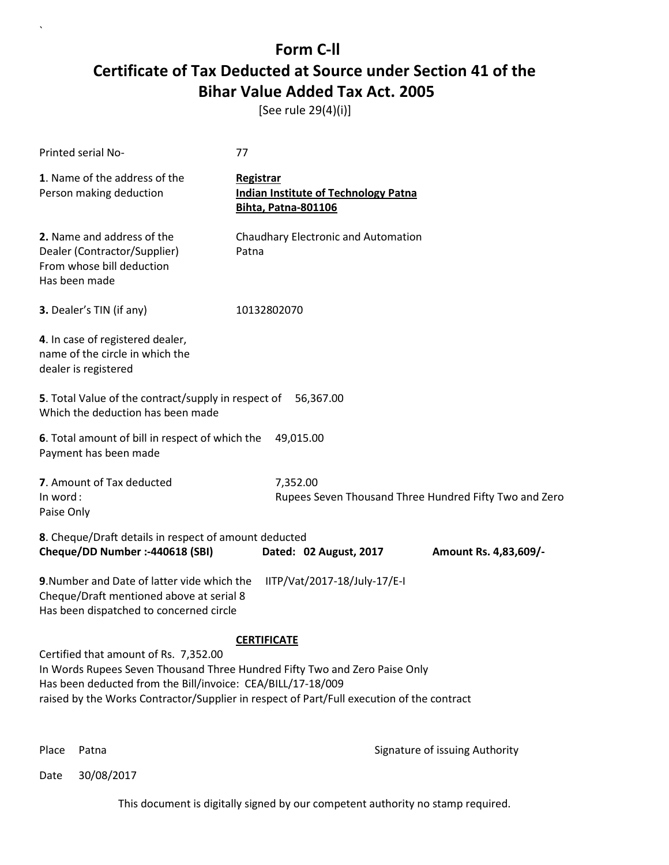[See rule 29(4)(i)]

| Printed serial No-                                                                                                                                                                                                                                                                                    | 77                                                                                            |                       |
|-------------------------------------------------------------------------------------------------------------------------------------------------------------------------------------------------------------------------------------------------------------------------------------------------------|-----------------------------------------------------------------------------------------------|-----------------------|
| 1. Name of the address of the<br>Person making deduction                                                                                                                                                                                                                                              | <b>Registrar</b><br><b>Indian Institute of Technology Patna</b><br><b>Bihta, Patna-801106</b> |                       |
| 2. Name and address of the<br>Dealer (Contractor/Supplier)<br>From whose bill deduction<br>Has been made                                                                                                                                                                                              | Chaudhary Electronic and Automation<br>Patna                                                  |                       |
| 3. Dealer's TIN (if any)                                                                                                                                                                                                                                                                              | 10132802070                                                                                   |                       |
| 4. In case of registered dealer,<br>name of the circle in which the<br>dealer is registered                                                                                                                                                                                                           |                                                                                               |                       |
| 5. Total Value of the contract/supply in respect of<br>Which the deduction has been made                                                                                                                                                                                                              | 56,367.00                                                                                     |                       |
| 6. Total amount of bill in respect of which the<br>Payment has been made                                                                                                                                                                                                                              | 49,015.00                                                                                     |                       |
| 7. Amount of Tax deducted<br>In word:<br>Paise Only                                                                                                                                                                                                                                                   | 7,352.00<br>Rupees Seven Thousand Three Hundred Fifty Two and Zero                            |                       |
| 8. Cheque/Draft details in respect of amount deducted<br>Cheque/DD Number :- 440618 (SBI)                                                                                                                                                                                                             | Dated: 02 August, 2017                                                                        | Amount Rs. 4,83,609/- |
| 9. Number and Date of latter vide which the<br>IITP/Vat/2017-18/July-17/E-I<br>Cheque/Draft mentioned above at serial 8<br>Has been dispatched to concerned circle                                                                                                                                    |                                                                                               |                       |
| <b>CERTIFICATE</b><br>Certified that amount of Rs. 7,352.00<br>In Words Rupees Seven Thousand Three Hundred Fifty Two and Zero Paise Only<br>Has been deducted from the Bill/invoice: CEA/BILL/17-18/009<br>raised by the Works Contractor/Supplier in respect of Part/Full execution of the contract |                                                                                               |                       |

`

Place Patna **Property** Place Patna Signature of issuing Authority

Date 30/08/2017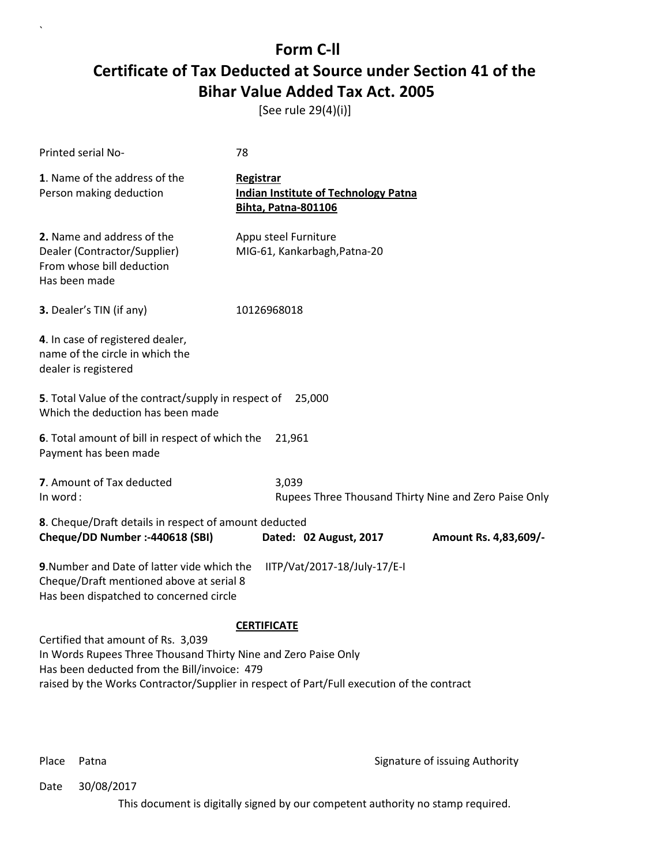[See rule 29(4)(i)]

| Printed serial No-                                                                                                                                   | 78                                                                                     |                       |
|------------------------------------------------------------------------------------------------------------------------------------------------------|----------------------------------------------------------------------------------------|-----------------------|
| 1. Name of the address of the<br>Person making deduction                                                                                             | Registrar<br><b>Indian Institute of Technology Patna</b><br><b>Bihta, Patna-801106</b> |                       |
| 2. Name and address of the<br>Dealer (Contractor/Supplier)<br>From whose bill deduction<br>Has been made                                             | Appu steel Furniture<br>MIG-61, Kankarbagh, Patna-20                                   |                       |
| 3. Dealer's TIN (if any)                                                                                                                             | 10126968018                                                                            |                       |
| 4. In case of registered dealer,<br>name of the circle in which the<br>dealer is registered                                                          |                                                                                        |                       |
| 5. Total Value of the contract/supply in respect of<br>Which the deduction has been made                                                             | 25,000                                                                                 |                       |
| 6. Total amount of bill in respect of which the<br>Payment has been made                                                                             | 21,961                                                                                 |                       |
| 7. Amount of Tax deducted<br>In word:                                                                                                                | 3,039<br>Rupees Three Thousand Thirty Nine and Zero Paise Only                         |                       |
| 8. Cheque/Draft details in respect of amount deducted<br>Cheque/DD Number :- 440618 (SBI)                                                            | Dated: 02 August, 2017                                                                 | Amount Rs. 4,83,609/- |
| 9. Number and Date of latter vide which the<br>Cheque/Draft mentioned above at serial 8<br>Has been dispatched to concerned circle                   | IITP/Vat/2017-18/July-17/E-I                                                           |                       |
|                                                                                                                                                      | <b>CERTIFICATE</b>                                                                     |                       |
| Certified that amount of Rs. 3,039<br>In Words Rupees Three Thousand Thirty Nine and Zero Paise Only<br>Has been deducted from the Bill/invoice: 479 |                                                                                        |                       |

`

Place Patna **Property** Place Patna Signature of issuing Authority

Date 30/08/2017

This document is digitally signed by our competent authority no stamp required.

raised by the Works Contractor/Supplier in respect of Part/Full execution of the contract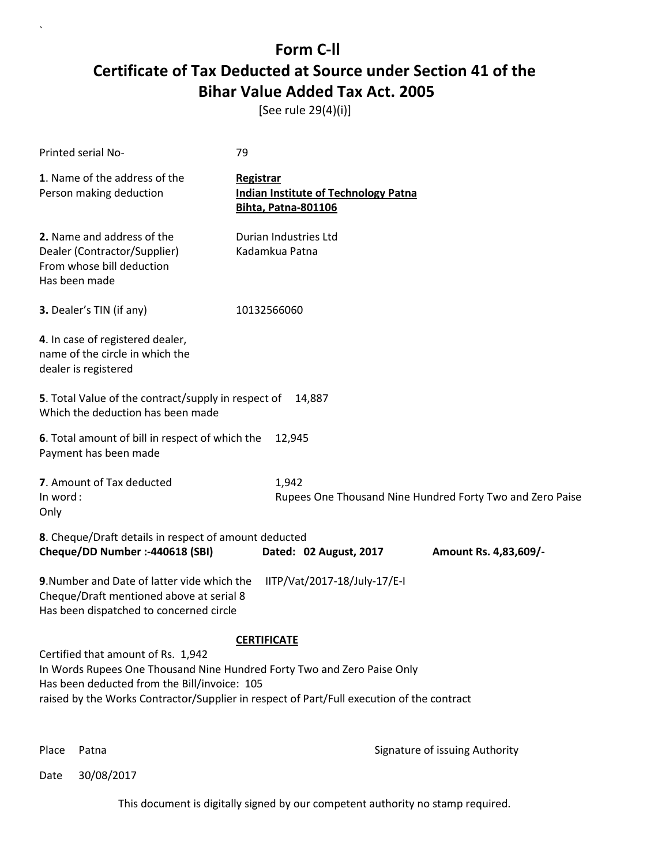[See rule 29(4)(i)]

| Printed serial No-                                                                                                                                                                                                                                         | 79                                                                                            |                                                           |
|------------------------------------------------------------------------------------------------------------------------------------------------------------------------------------------------------------------------------------------------------------|-----------------------------------------------------------------------------------------------|-----------------------------------------------------------|
| 1. Name of the address of the<br>Person making deduction                                                                                                                                                                                                   | <b>Registrar</b><br><b>Indian Institute of Technology Patna</b><br><b>Bihta, Patna-801106</b> |                                                           |
| 2. Name and address of the<br>Dealer (Contractor/Supplier)<br>From whose bill deduction<br>Has been made                                                                                                                                                   | Durian Industries Ltd<br>Kadamkua Patna                                                       |                                                           |
| 3. Dealer's TIN (if any)                                                                                                                                                                                                                                   | 10132566060                                                                                   |                                                           |
| 4. In case of registered dealer,<br>name of the circle in which the<br>dealer is registered                                                                                                                                                                |                                                                                               |                                                           |
| 5. Total Value of the contract/supply in respect of<br>Which the deduction has been made                                                                                                                                                                   | 14,887                                                                                        |                                                           |
| 6. Total amount of bill in respect of which the<br>Payment has been made                                                                                                                                                                                   | 12,945                                                                                        |                                                           |
| 7. Amount of Tax deducted<br>In word:<br>Only                                                                                                                                                                                                              | 1,942                                                                                         | Rupees One Thousand Nine Hundred Forty Two and Zero Paise |
| 8. Cheque/Draft details in respect of amount deducted<br>Cheque/DD Number :- 440618 (SBI)                                                                                                                                                                  | Dated: 02 August, 2017                                                                        | Amount Rs. 4,83,609/-                                     |
| 9. Number and Date of latter vide which the<br>Cheque/Draft mentioned above at serial 8<br>Has been dispatched to concerned circle                                                                                                                         | IITP/Vat/2017-18/July-17/E-I                                                                  |                                                           |
| Certified that amount of Rs. 1,942<br>In Words Rupees One Thousand Nine Hundred Forty Two and Zero Paise Only<br>Has been deducted from the Bill/invoice: 105<br>raised by the Works Contractor/Supplier in respect of Part/Full execution of the contract | <b>CERTIFICATE</b>                                                                            |                                                           |

`

Place Patna **Property** Place Patna Signature of issuing Authority

Date 30/08/2017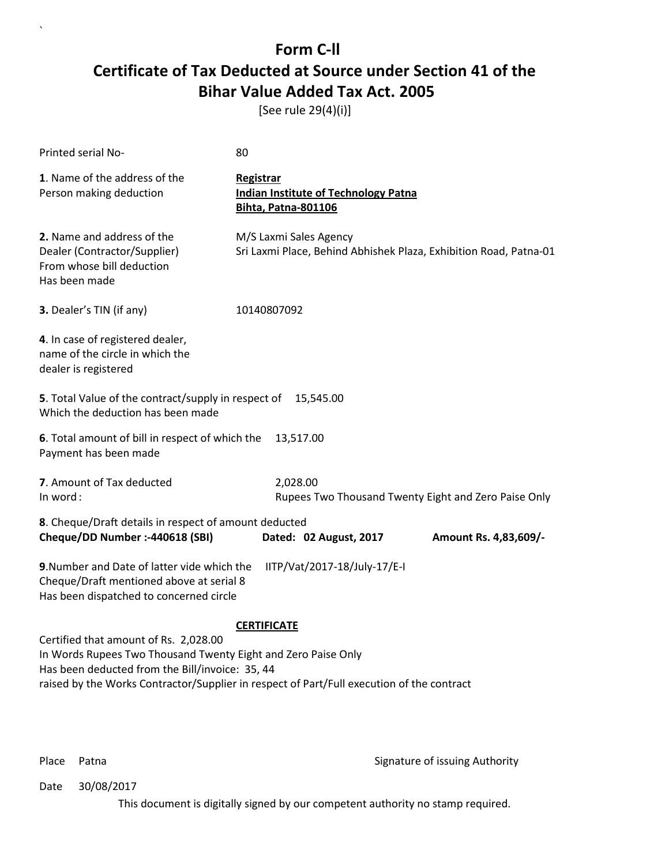[See rule 29(4)(i)]

| Printed serial No-                                                                                                                                                                                                                                                           | 80                                                                                          |                       |
|------------------------------------------------------------------------------------------------------------------------------------------------------------------------------------------------------------------------------------------------------------------------------|---------------------------------------------------------------------------------------------|-----------------------|
| 1. Name of the address of the<br>Person making deduction                                                                                                                                                                                                                     | Registrar<br><b>Indian Institute of Technology Patna</b><br><b>Bihta, Patna-801106</b>      |                       |
| 2. Name and address of the<br>Dealer (Contractor/Supplier)<br>From whose bill deduction<br>Has been made                                                                                                                                                                     | M/S Laxmi Sales Agency<br>Sri Laxmi Place, Behind Abhishek Plaza, Exhibition Road, Patna-01 |                       |
| 3. Dealer's TIN (if any)                                                                                                                                                                                                                                                     | 10140807092                                                                                 |                       |
| 4. In case of registered dealer,<br>name of the circle in which the<br>dealer is registered                                                                                                                                                                                  |                                                                                             |                       |
| 5. Total Value of the contract/supply in respect of<br>15,545.00<br>Which the deduction has been made                                                                                                                                                                        |                                                                                             |                       |
| 6. Total amount of bill in respect of which the<br>Payment has been made                                                                                                                                                                                                     | 13,517.00                                                                                   |                       |
| 7. Amount of Tax deducted<br>In word:                                                                                                                                                                                                                                        | 2,028.00<br>Rupees Two Thousand Twenty Eight and Zero Paise Only                            |                       |
| 8. Cheque/Draft details in respect of amount deducted<br>Cheque/DD Number :- 440618 (SBI)                                                                                                                                                                                    | Dated: 02 August, 2017                                                                      | Amount Rs. 4,83,609/- |
| 9. Number and Date of latter vide which the<br>IITP/Vat/2017-18/July-17/E-I<br>Cheque/Draft mentioned above at serial 8<br>Has been dispatched to concerned circle                                                                                                           |                                                                                             |                       |
| <b>CERTIFICATE</b><br>Certified that amount of Rs. 2,028.00<br>In Words Rupees Two Thousand Twenty Eight and Zero Paise Only<br>Has been deducted from the Bill/invoice: 35, 44<br>raised by the Works Contractor/Supplier in respect of Part/Full execution of the contract |                                                                                             |                       |

`

Place Patna **Property** Place Patna Signature of issuing Authority

Date 30/08/2017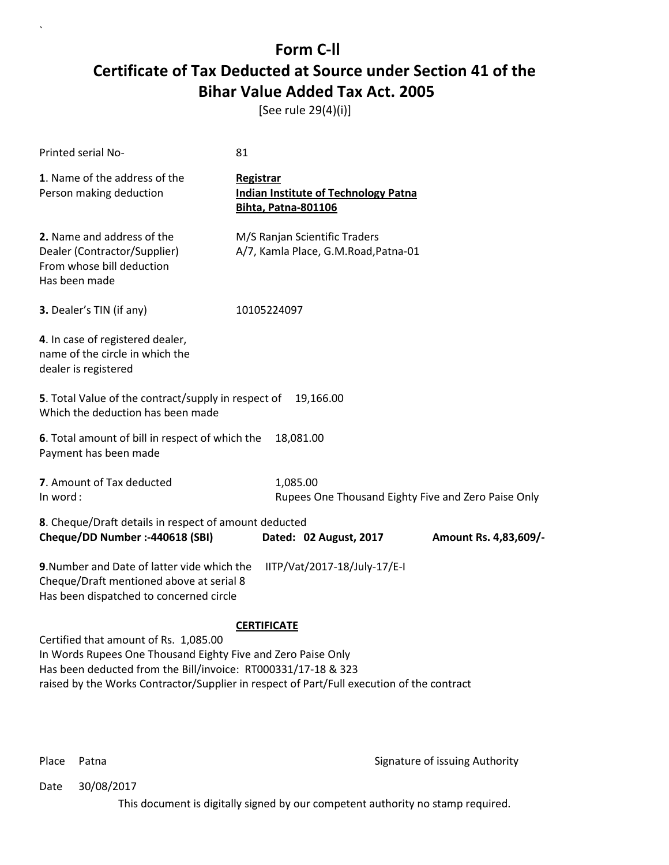[See rule 29(4)(i)]

| Printed serial No-                                                                                                                                                                                                                                                                        | 81                                                                                            |                       |
|-------------------------------------------------------------------------------------------------------------------------------------------------------------------------------------------------------------------------------------------------------------------------------------------|-----------------------------------------------------------------------------------------------|-----------------------|
| 1. Name of the address of the<br>Person making deduction                                                                                                                                                                                                                                  | <b>Registrar</b><br><b>Indian Institute of Technology Patna</b><br><b>Bihta, Patna-801106</b> |                       |
| 2. Name and address of the<br>Dealer (Contractor/Supplier)<br>From whose bill deduction<br>Has been made                                                                                                                                                                                  | M/S Ranjan Scientific Traders<br>A/7, Kamla Place, G.M.Road, Patna-01                         |                       |
| 3. Dealer's TIN (if any)                                                                                                                                                                                                                                                                  | 10105224097                                                                                   |                       |
| 4. In case of registered dealer,<br>name of the circle in which the<br>dealer is registered                                                                                                                                                                                               |                                                                                               |                       |
| 5. Total Value of the contract/supply in respect of<br>Which the deduction has been made                                                                                                                                                                                                  | 19,166.00                                                                                     |                       |
| 6. Total amount of bill in respect of which the<br>Payment has been made                                                                                                                                                                                                                  | 18,081.00                                                                                     |                       |
| 7. Amount of Tax deducted<br>In word:                                                                                                                                                                                                                                                     | 1,085.00<br>Rupees One Thousand Eighty Five and Zero Paise Only                               |                       |
| 8. Cheque/Draft details in respect of amount deducted<br>Cheque/DD Number :- 440618 (SBI)                                                                                                                                                                                                 | Dated: 02 August, 2017                                                                        | Amount Rs. 4,83,609/- |
| 9. Number and Date of latter vide which the<br>IITP/Vat/2017-18/July-17/E-I<br>Cheque/Draft mentioned above at serial 8<br>Has been dispatched to concerned circle                                                                                                                        |                                                                                               |                       |
| <b>CERTIFICATE</b><br>Certified that amount of Rs. 1,085.00<br>In Words Rupees One Thousand Eighty Five and Zero Paise Only<br>Has been deducted from the Bill/invoice: RT000331/17-18 & 323<br>raised by the Works Contractor/Supplier in respect of Part/Full execution of the contract |                                                                                               |                       |

`

Place Patna **Property** Place Patna Signature of issuing Authority

Date 30/08/2017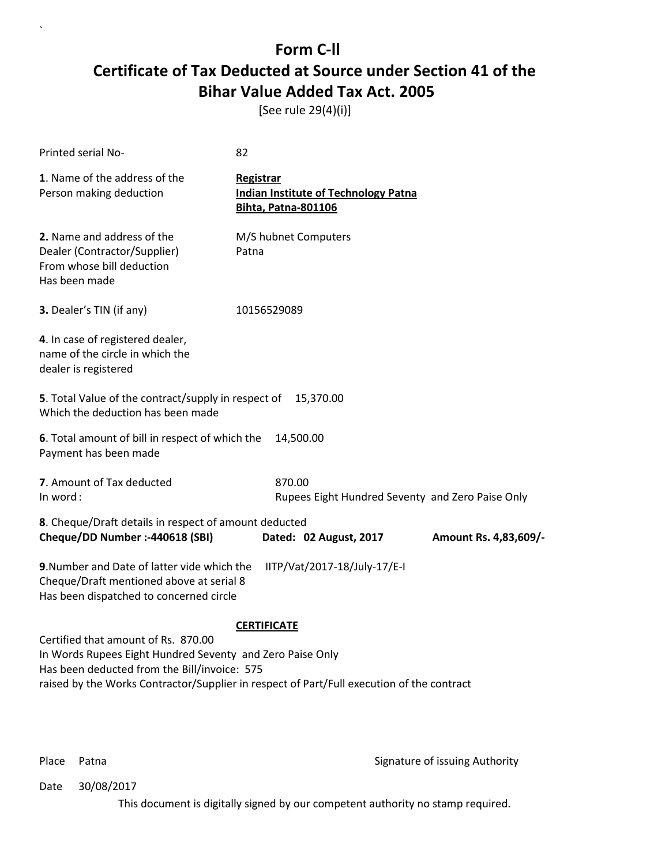[See rule 29(4)(i)]

| Printed serial No-                                                                                                                                                 | 82                                                                                                              |                       |
|--------------------------------------------------------------------------------------------------------------------------------------------------------------------|-----------------------------------------------------------------------------------------------------------------|-----------------------|
| 1. Name of the address of the<br>Person making deduction                                                                                                           | <b>Registrar</b><br><b>Indian Institute of Technology Patna</b><br><b>Bihta, Patna-801106</b>                   |                       |
| 2. Name and address of the<br>Dealer (Contractor/Supplier)<br>From whose bill deduction<br>Has been made                                                           | M/S hubnet Computers<br>Patna                                                                                   |                       |
| 3. Dealer's TIN (if any)                                                                                                                                           | 10156529089                                                                                                     |                       |
| 4. In case of registered dealer,<br>name of the circle in which the<br>dealer is registered                                                                        |                                                                                                                 |                       |
| 5. Total Value of the contract/supply in respect of<br>Which the deduction has been made                                                                           | 15,370.00                                                                                                       |                       |
| 6. Total amount of bill in respect of which the<br>Payment has been made                                                                                           | 14,500.00                                                                                                       |                       |
| 7. Amount of Tax deducted<br>In word:                                                                                                                              | 870.00<br>Rupees Eight Hundred Seventy and Zero Paise Only                                                      |                       |
| 8. Cheque/Draft details in respect of amount deducted<br>Cheque/DD Number :- 440618 (SBI)                                                                          | Dated: 02 August, 2017                                                                                          | Amount Rs. 4,83,609/- |
| 9. Number and Date of latter vide which the<br>IITP/Vat/2017-18/July-17/E-I<br>Cheque/Draft mentioned above at serial 8<br>Has been dispatched to concerned circle |                                                                                                                 |                       |
| Certified that amount of Rs. 870.00<br>In Words Rupees Eight Hundred Seventy and Zero Paise Only<br>Has been deducted from the Bill/invoice: 575                   | <b>CERTIFICATE</b><br>raised by the Works Contractor/Supplier in respect of Part/Full execution of the contract |                       |

`

Place Patna **Property** Place Patna Signature of issuing Authority

Date 30/08/2017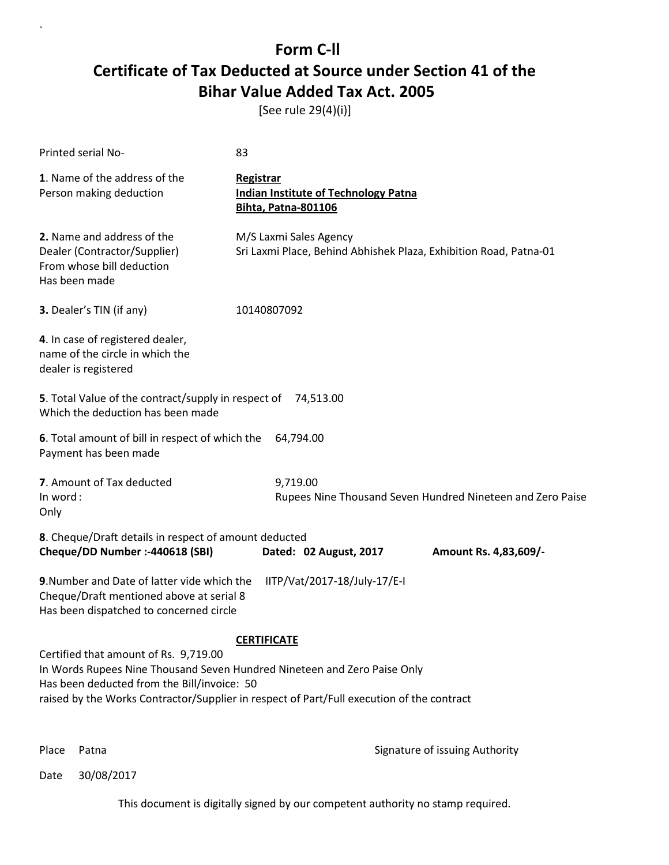[See rule 29(4)(i)]

| <b>Printed serial No-</b>                                                                                                                                                                                                                                                           | 83                                                                                            |                                                            |
|-------------------------------------------------------------------------------------------------------------------------------------------------------------------------------------------------------------------------------------------------------------------------------------|-----------------------------------------------------------------------------------------------|------------------------------------------------------------|
| 1. Name of the address of the<br>Person making deduction                                                                                                                                                                                                                            | <b>Registrar</b><br><b>Indian Institute of Technology Patna</b><br><b>Bihta, Patna-801106</b> |                                                            |
| 2. Name and address of the<br>Dealer (Contractor/Supplier)<br>From whose bill deduction<br>Has been made                                                                                                                                                                            | M/S Laxmi Sales Agency<br>Sri Laxmi Place, Behind Abhishek Plaza, Exhibition Road, Patna-01   |                                                            |
| 3. Dealer's TIN (if any)                                                                                                                                                                                                                                                            | 10140807092                                                                                   |                                                            |
| 4. In case of registered dealer,<br>name of the circle in which the<br>dealer is registered                                                                                                                                                                                         |                                                                                               |                                                            |
| 5. Total Value of the contract/supply in respect of<br>Which the deduction has been made                                                                                                                                                                                            | 74,513.00                                                                                     |                                                            |
| 6. Total amount of bill in respect of which the<br>Payment has been made                                                                                                                                                                                                            | 64,794.00                                                                                     |                                                            |
| 7. Amount of Tax deducted<br>In word:<br>Only                                                                                                                                                                                                                                       | 9,719.00                                                                                      | Rupees Nine Thousand Seven Hundred Nineteen and Zero Paise |
| 8. Cheque/Draft details in respect of amount deducted<br>Cheque/DD Number :- 440618 (SBI)                                                                                                                                                                                           | Dated: 02 August, 2017                                                                        | Amount Rs. 4,83,609/-                                      |
| 9. Number and Date of latter vide which the<br>Cheque/Draft mentioned above at serial 8<br>Has been dispatched to concerned circle                                                                                                                                                  | IITP/Vat/2017-18/July-17/E-I                                                                  |                                                            |
| <b>CERTIFICATE</b><br>Certified that amount of Rs. 9,719.00<br>In Words Rupees Nine Thousand Seven Hundred Nineteen and Zero Paise Only<br>Has been deducted from the Bill/invoice: 50<br>raised by the Works Contractor/Supplier in respect of Part/Full execution of the contract |                                                                                               |                                                            |

`

Place Patna **Property** Place Patna Signature of issuing Authority

Date 30/08/2017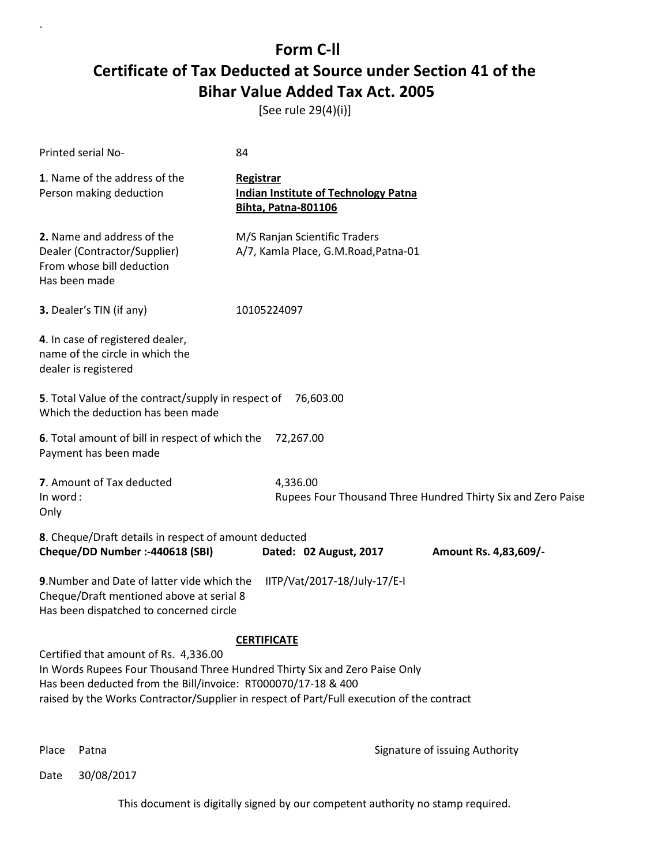[See rule 29(4)(i)]

| Printed serial No-                                                                                                                                                                   | 84                                                                                                              |
|--------------------------------------------------------------------------------------------------------------------------------------------------------------------------------------|-----------------------------------------------------------------------------------------------------------------|
| 1. Name of the address of the<br>Person making deduction                                                                                                                             | <b>Registrar</b><br><b>Indian Institute of Technology Patna</b><br><b>Bihta, Patna-801106</b>                   |
| 2. Name and address of the<br>Dealer (Contractor/Supplier)<br>From whose bill deduction<br>Has been made                                                                             | M/S Ranjan Scientific Traders<br>A/7, Kamla Place, G.M.Road, Patna-01                                           |
| 3. Dealer's TIN (if any)                                                                                                                                                             | 10105224097                                                                                                     |
| 4. In case of registered dealer,<br>name of the circle in which the<br>dealer is registered                                                                                          |                                                                                                                 |
| 5. Total Value of the contract/supply in respect of 76,603.00<br>Which the deduction has been made                                                                                   |                                                                                                                 |
| 6. Total amount of bill in respect of which the<br>Payment has been made                                                                                                             | 72,267.00                                                                                                       |
| 7. Amount of Tax deducted<br>In word:<br>Only                                                                                                                                        | 4,336.00<br>Rupees Four Thousand Three Hundred Thirty Six and Zero Paise                                        |
| 8. Cheque/Draft details in respect of amount deducted<br>Cheque/DD Number :- 440618 (SBI)                                                                                            | Dated: 02 August, 2017<br>Amount Rs. 4,83,609/-                                                                 |
| 9. Number and Date of latter vide which the<br>Cheque/Draft mentioned above at serial 8<br>Has been dispatched to concerned circle                                                   | IITP/Vat/2017-18/July-17/E-I                                                                                    |
| Certified that amount of Rs. 4,336.00<br>In Words Rupees Four Thousand Three Hundred Thirty Six and Zero Paise Only<br>Has been deducted from the Bill/invoice: RT000070/17-18 & 400 | <b>CERTIFICATE</b><br>raised by the Works Contractor/Supplier in respect of Part/Full execution of the contract |

`

Place Patna **Property** Place Patna Signature of issuing Authority

Date 30/08/2017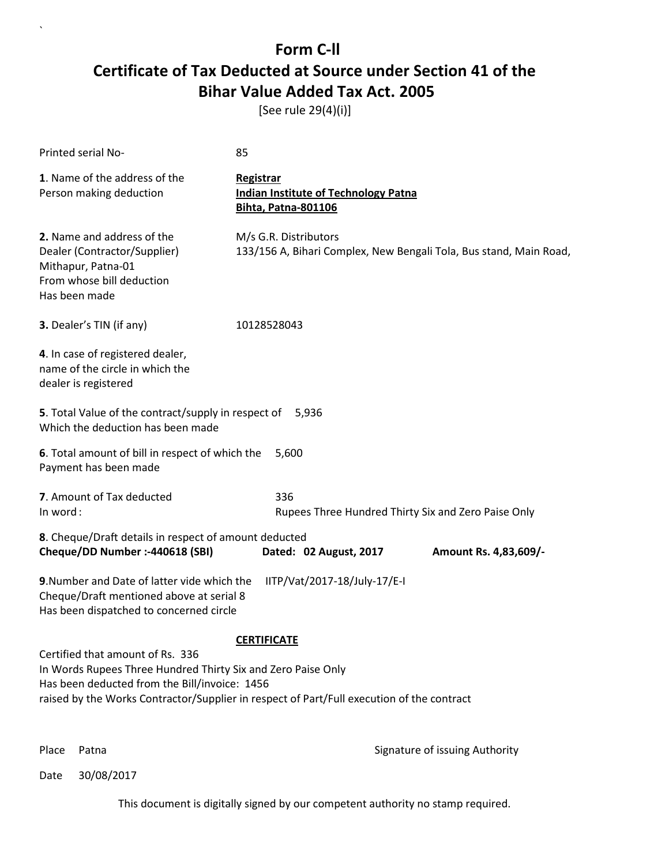[See rule 29(4)(i)]

| Printed serial No-                                                                                                                                                 | 85                                                                                                              |                       |  |
|--------------------------------------------------------------------------------------------------------------------------------------------------------------------|-----------------------------------------------------------------------------------------------------------------|-----------------------|--|
| 1. Name of the address of the<br>Person making deduction                                                                                                           | <b>Registrar</b><br><b>Indian Institute of Technology Patna</b><br><b>Bihta, Patna-801106</b>                   |                       |  |
| 2. Name and address of the<br>Dealer (Contractor/Supplier)<br>Mithapur, Patna-01<br>From whose bill deduction<br>Has been made                                     | M/s G.R. Distributors<br>133/156 A, Bihari Complex, New Bengali Tola, Bus stand, Main Road,                     |                       |  |
| 3. Dealer's TIN (if any)                                                                                                                                           | 10128528043                                                                                                     |                       |  |
| 4. In case of registered dealer,<br>name of the circle in which the<br>dealer is registered                                                                        |                                                                                                                 |                       |  |
| 5. Total Value of the contract/supply in respect of<br>Which the deduction has been made                                                                           | 5,936                                                                                                           |                       |  |
| 6. Total amount of bill in respect of which the<br>Payment has been made                                                                                           | 5,600                                                                                                           |                       |  |
| 7. Amount of Tax deducted<br>In word:                                                                                                                              | 336<br>Rupees Three Hundred Thirty Six and Zero Paise Only                                                      |                       |  |
| 8. Cheque/Draft details in respect of amount deducted<br>Cheque/DD Number :- 440618 (SBI)                                                                          | Dated: 02 August, 2017                                                                                          | Amount Rs. 4,83,609/- |  |
| 9. Number and Date of latter vide which the<br>IITP/Vat/2017-18/July-17/E-I<br>Cheque/Draft mentioned above at serial 8<br>Has been dispatched to concerned circle |                                                                                                                 |                       |  |
| Certified that amount of Rs. 336<br>In Words Rupees Three Hundred Thirty Six and Zero Paise Only<br>Has been deducted from the Bill/invoice: 1456                  | <b>CERTIFICATE</b><br>raised by the Works Contractor/Supplier in respect of Part/Full execution of the contract |                       |  |

`

Place Patna **Property** Place Patna Signature of issuing Authority

Date 30/08/2017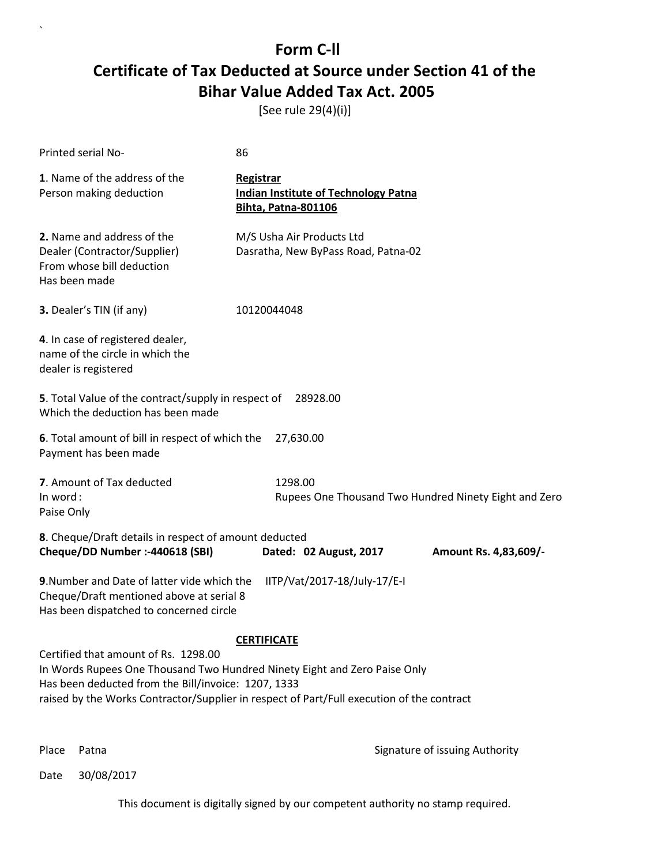[See rule 29(4)(i)]

| Printed serial No-                                                                                                                                                                                                                                                                          | 86                                                                                            |                       |
|---------------------------------------------------------------------------------------------------------------------------------------------------------------------------------------------------------------------------------------------------------------------------------------------|-----------------------------------------------------------------------------------------------|-----------------------|
| 1. Name of the address of the<br>Person making deduction                                                                                                                                                                                                                                    | <b>Registrar</b><br><b>Indian Institute of Technology Patna</b><br><b>Bihta, Patna-801106</b> |                       |
| 2. Name and address of the<br>Dealer (Contractor/Supplier)<br>From whose bill deduction<br>Has been made                                                                                                                                                                                    | M/S Usha Air Products Ltd<br>Dasratha, New ByPass Road, Patna-02                              |                       |
| 3. Dealer's TIN (if any)                                                                                                                                                                                                                                                                    | 10120044048                                                                                   |                       |
| 4. In case of registered dealer,<br>name of the circle in which the<br>dealer is registered                                                                                                                                                                                                 |                                                                                               |                       |
| 5. Total Value of the contract/supply in respect of<br>Which the deduction has been made                                                                                                                                                                                                    | 28928.00                                                                                      |                       |
| 6. Total amount of bill in respect of which the<br>Payment has been made                                                                                                                                                                                                                    | 27,630.00                                                                                     |                       |
| 7. Amount of Tax deducted<br>In word:<br>Paise Only                                                                                                                                                                                                                                         | 1298.00<br>Rupees One Thousand Two Hundred Ninety Eight and Zero                              |                       |
| 8. Cheque/Draft details in respect of amount deducted<br>Cheque/DD Number :- 440618 (SBI)                                                                                                                                                                                                   | Dated: 02 August, 2017                                                                        | Amount Rs. 4,83,609/- |
| 9. Number and Date of latter vide which the<br>Cheque/Draft mentioned above at serial 8<br>Has been dispatched to concerned circle                                                                                                                                                          | IITP/Vat/2017-18/July-17/E-I                                                                  |                       |
| <b>CERTIFICATE</b><br>Certified that amount of Rs. 1298.00<br>In Words Rupees One Thousand Two Hundred Ninety Eight and Zero Paise Only<br>Has been deducted from the Bill/invoice: 1207, 1333<br>raised by the Works Contractor/Supplier in respect of Part/Full execution of the contract |                                                                                               |                       |

`

Place Patna **Property** Place Patna Signature of issuing Authority

Date 30/08/2017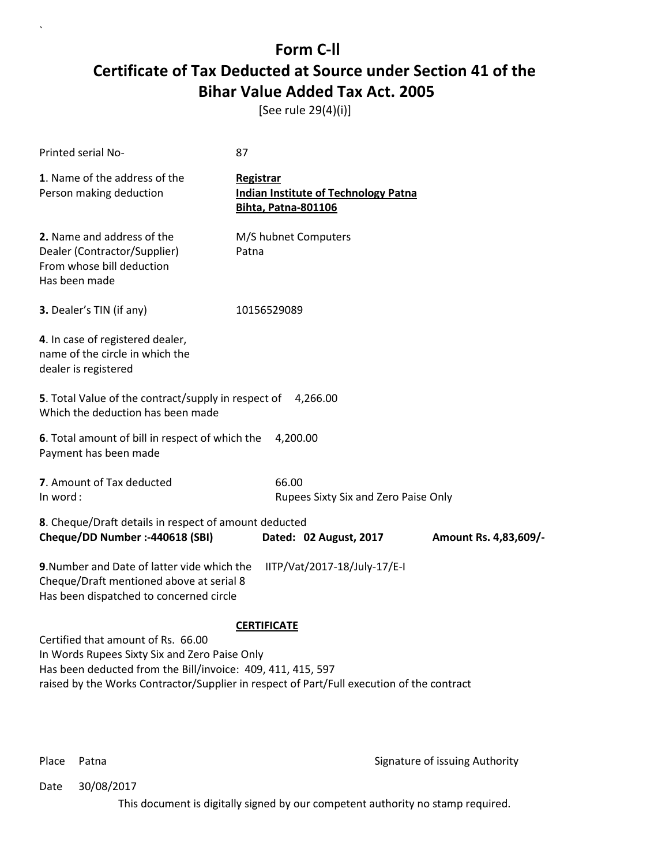[See rule 29(4)(i)]

| Printed serial No-                                                                                                                                                 | 87                                                                                        |                       |  |
|--------------------------------------------------------------------------------------------------------------------------------------------------------------------|-------------------------------------------------------------------------------------------|-----------------------|--|
| 1. Name of the address of the<br>Person making deduction                                                                                                           | Registrar<br><b>Indian Institute of Technology Patna</b><br><b>Bihta, Patna-801106</b>    |                       |  |
| 2. Name and address of the<br>Dealer (Contractor/Supplier)<br>From whose bill deduction<br>Has been made                                                           | M/S hubnet Computers<br>Patna                                                             |                       |  |
| 3. Dealer's TIN (if any)                                                                                                                                           | 10156529089                                                                               |                       |  |
| 4. In case of registered dealer,<br>name of the circle in which the<br>dealer is registered                                                                        |                                                                                           |                       |  |
| 5. Total Value of the contract/supply in respect of<br>Which the deduction has been made                                                                           | 4,266.00                                                                                  |                       |  |
| 6. Total amount of bill in respect of which the<br>Payment has been made                                                                                           | 4,200.00                                                                                  |                       |  |
| <b>7</b> . Amount of Tax deducted<br>In word:                                                                                                                      | 66.00<br>Rupees Sixty Six and Zero Paise Only                                             |                       |  |
| 8. Cheque/Draft details in respect of amount deducted<br>Cheque/DD Number :- 440618 (SBI)                                                                          | Dated: 02 August, 2017                                                                    | Amount Rs. 4,83,609/- |  |
| 9. Number and Date of latter vide which the<br>IITP/Vat/2017-18/July-17/E-I<br>Cheque/Draft mentioned above at serial 8<br>Has been dispatched to concerned circle |                                                                                           |                       |  |
|                                                                                                                                                                    | <b>CERTIFICATE</b>                                                                        |                       |  |
| Certified that amount of Rs. 66.00<br>In Words Rupees Sixty Six and Zero Paise Only<br>Has been deducted from the Bill/invoice: 409, 411, 415, 597                 | raised by the Works Contractor/Supplier in respect of Part/Full execution of the contract |                       |  |

`

Place Patna **Property** Place Patna Signature of issuing Authority

Date 30/08/2017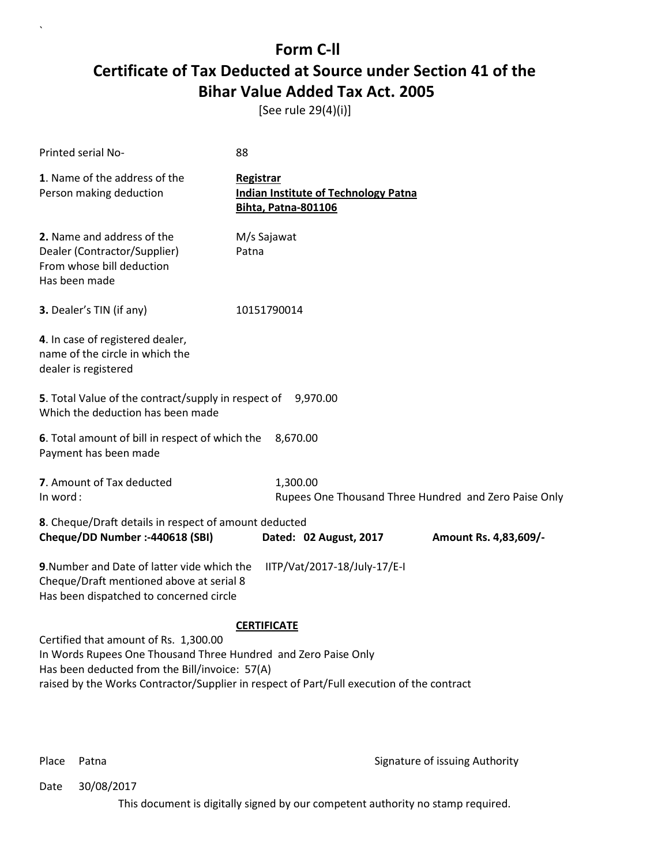[See rule 29(4)(i)]

| Printed serial No-                                                                                                                                                                                                                                     | 88                                                                                     |                       |
|--------------------------------------------------------------------------------------------------------------------------------------------------------------------------------------------------------------------------------------------------------|----------------------------------------------------------------------------------------|-----------------------|
| 1. Name of the address of the<br>Person making deduction                                                                                                                                                                                               | Registrar<br><b>Indian Institute of Technology Patna</b><br><b>Bihta, Patna-801106</b> |                       |
| 2. Name and address of the<br>Dealer (Contractor/Supplier)<br>From whose bill deduction<br>Has been made                                                                                                                                               | M/s Sajawat<br>Patna                                                                   |                       |
| 3. Dealer's TIN (if any)                                                                                                                                                                                                                               | 10151790014                                                                            |                       |
| 4. In case of registered dealer,<br>name of the circle in which the<br>dealer is registered                                                                                                                                                            |                                                                                        |                       |
| 5. Total Value of the contract/supply in respect of 9,970.00<br>Which the deduction has been made                                                                                                                                                      |                                                                                        |                       |
| 6. Total amount of bill in respect of which the<br>Payment has been made                                                                                                                                                                               | 8,670.00                                                                               |                       |
| 7. Amount of Tax deducted<br>In word:                                                                                                                                                                                                                  | 1,300.00<br>Rupees One Thousand Three Hundred and Zero Paise Only                      |                       |
| 8. Cheque/Draft details in respect of amount deducted<br>Cheque/DD Number :- 440618 (SBI)                                                                                                                                                              | Dated: 02 August, 2017                                                                 | Amount Rs. 4,83,609/- |
| 9. Number and Date of latter vide which the<br>Cheque/Draft mentioned above at serial 8<br>Has been dispatched to concerned circle                                                                                                                     | IITP/Vat/2017-18/July-17/E-I                                                           |                       |
| Certified that amount of Rs. 1,300.00<br>In Words Rupees One Thousand Three Hundred and Zero Paise Only<br>Has been deducted from the Bill/invoice: 57(A)<br>raised by the Works Contractor/Supplier in respect of Part/Full execution of the contract | <b>CERTIFICATE</b>                                                                     |                       |

`

Place Patna **Property** Place Patna Signature of issuing Authority

Date 30/08/2017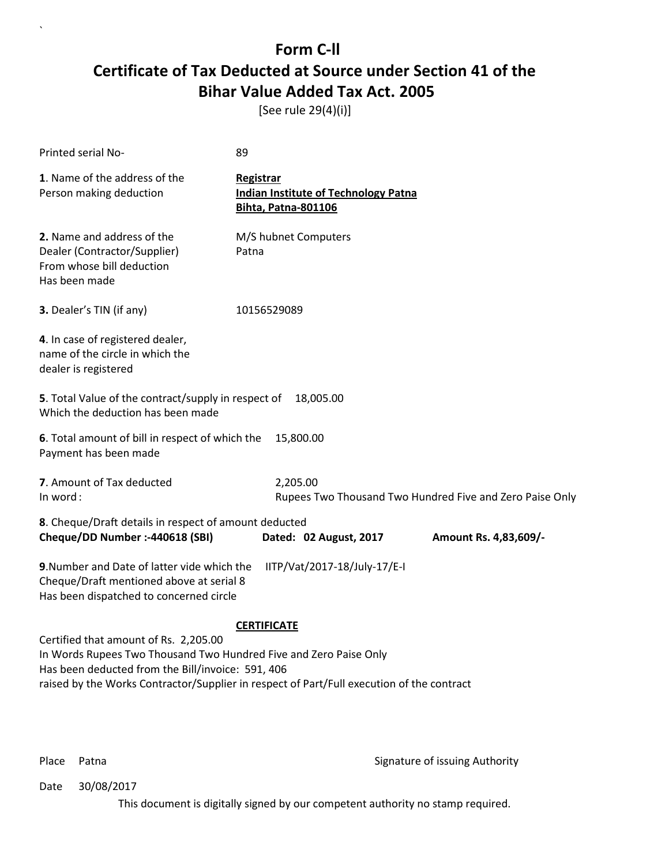[See rule 29(4)(i)]

| <b>Printed serial No-</b>                                                                                                                                                                                                                                    | 89                                                                                     |                                                          |
|--------------------------------------------------------------------------------------------------------------------------------------------------------------------------------------------------------------------------------------------------------------|----------------------------------------------------------------------------------------|----------------------------------------------------------|
| <b>1</b> . Name of the address of the<br>Person making deduction                                                                                                                                                                                             | Registrar<br><b>Indian Institute of Technology Patna</b><br><b>Bihta, Patna-801106</b> |                                                          |
| 2. Name and address of the<br>Dealer (Contractor/Supplier)<br>From whose bill deduction<br>Has been made                                                                                                                                                     | M/S hubnet Computers<br>Patna                                                          |                                                          |
| 3. Dealer's TIN (if any)                                                                                                                                                                                                                                     | 10156529089                                                                            |                                                          |
| 4. In case of registered dealer,<br>name of the circle in which the<br>dealer is registered                                                                                                                                                                  |                                                                                        |                                                          |
| 5. Total Value of the contract/supply in respect of<br>Which the deduction has been made                                                                                                                                                                     | 18,005.00                                                                              |                                                          |
| 6. Total amount of bill in respect of which the<br>Payment has been made                                                                                                                                                                                     | 15,800.00                                                                              |                                                          |
| 7. Amount of Tax deducted<br>In word:                                                                                                                                                                                                                        | 2,205.00                                                                               | Rupees Two Thousand Two Hundred Five and Zero Paise Only |
| 8. Cheque/Draft details in respect of amount deducted<br>Cheque/DD Number :- 440618 (SBI)                                                                                                                                                                    | Dated: 02 August, 2017                                                                 | Amount Rs. 4,83,609/-                                    |
| 9. Number and Date of latter vide which the<br>Cheque/Draft mentioned above at serial 8<br>Has been dispatched to concerned circle                                                                                                                           | IITP/Vat/2017-18/July-17/E-I                                                           |                                                          |
|                                                                                                                                                                                                                                                              | <b>CERTIFICATE</b>                                                                     |                                                          |
| Certified that amount of Rs. 2,205.00<br>In Words Rupees Two Thousand Two Hundred Five and Zero Paise Only<br>Has been deducted from the Bill/invoice: 591, 406<br>raised by the Works Contractor/Supplier in respect of Part/Full execution of the contract |                                                                                        |                                                          |

`

Place Patna **Property** Place Patna Signature of issuing Authority

Date 30/08/2017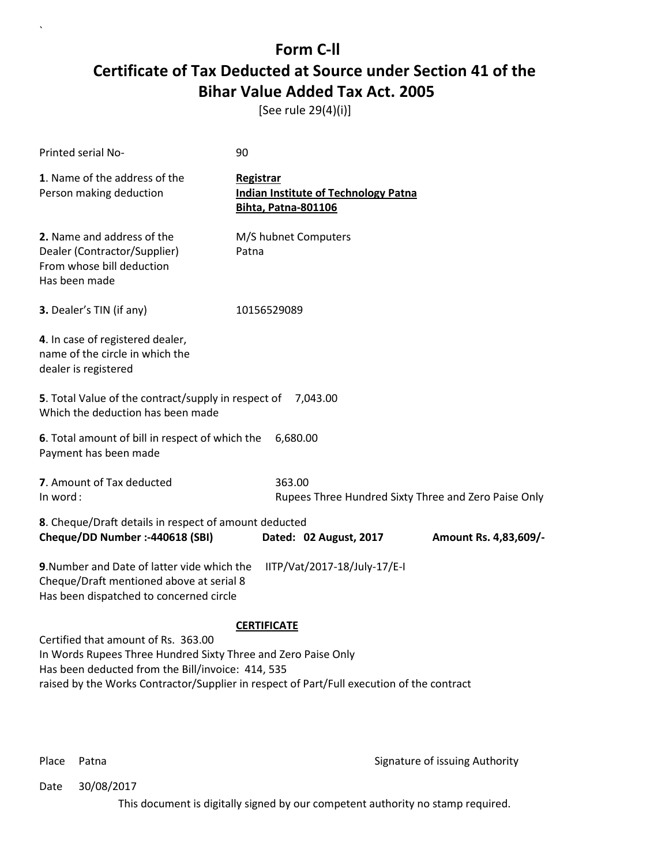[See rule 29(4)(i)]

| Printed serial No-                                                                                                                                                 | 90                                                                                            |                       |  |
|--------------------------------------------------------------------------------------------------------------------------------------------------------------------|-----------------------------------------------------------------------------------------------|-----------------------|--|
| 1. Name of the address of the<br>Person making deduction                                                                                                           | <b>Registrar</b><br><b>Indian Institute of Technology Patna</b><br><b>Bihta, Patna-801106</b> |                       |  |
| 2. Name and address of the<br>Dealer (Contractor/Supplier)<br>From whose bill deduction<br>Has been made                                                           | M/S hubnet Computers<br>Patna                                                                 |                       |  |
| 3. Dealer's TIN (if any)                                                                                                                                           | 10156529089                                                                                   |                       |  |
| 4. In case of registered dealer,<br>name of the circle in which the<br>dealer is registered                                                                        |                                                                                               |                       |  |
| 5. Total Value of the contract/supply in respect of<br>7,043.00<br>Which the deduction has been made                                                               |                                                                                               |                       |  |
| 6. Total amount of bill in respect of which the<br>Payment has been made                                                                                           | 6,680.00                                                                                      |                       |  |
| 7. Amount of Tax deducted<br>In word:                                                                                                                              | 363.00<br>Rupees Three Hundred Sixty Three and Zero Paise Only                                |                       |  |
| 8. Cheque/Draft details in respect of amount deducted<br>Cheque/DD Number :- 440618 (SBI)                                                                          | Dated: 02 August, 2017                                                                        | Amount Rs. 4,83,609/- |  |
| 9. Number and Date of latter vide which the<br>IITP/Vat/2017-18/July-17/E-I<br>Cheque/Draft mentioned above at serial 8<br>Has been dispatched to concerned circle |                                                                                               |                       |  |
|                                                                                                                                                                    | <b>CERTIFICATE</b>                                                                            |                       |  |
| Certified that amount of Rs. 363.00                                                                                                                                |                                                                                               |                       |  |
| In Words Rupees Three Hundred Sixty Three and Zero Paise Only<br>Has been deducted from the Bill/invoice: 414, 535                                                 |                                                                                               |                       |  |
| raised by the Works Contractor/Supplier in respect of Part/Full execution of the contract                                                                          |                                                                                               |                       |  |

`

Place Patna **Property** Place Patna Signature of issuing Authority

Date 30/08/2017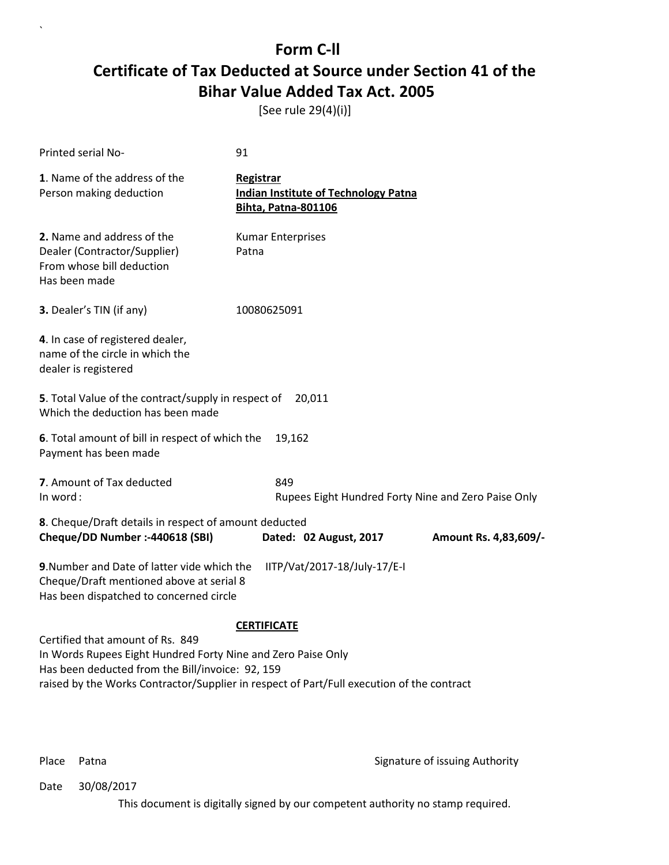[See rule 29(4)(i)]

| Printed serial No-                                                                                                                                                                                                                                | 91                                                                                     |                       |  |
|---------------------------------------------------------------------------------------------------------------------------------------------------------------------------------------------------------------------------------------------------|----------------------------------------------------------------------------------------|-----------------------|--|
| 1. Name of the address of the<br>Person making deduction                                                                                                                                                                                          | Registrar<br><b>Indian Institute of Technology Patna</b><br><b>Bihta, Patna-801106</b> |                       |  |
| 2. Name and address of the<br>Dealer (Contractor/Supplier)<br>From whose bill deduction<br>Has been made                                                                                                                                          | <b>Kumar Enterprises</b><br>Patna                                                      |                       |  |
| 3. Dealer's TIN (if any)                                                                                                                                                                                                                          | 10080625091                                                                            |                       |  |
| 4. In case of registered dealer,<br>name of the circle in which the<br>dealer is registered                                                                                                                                                       |                                                                                        |                       |  |
| 5. Total Value of the contract/supply in respect of<br>20,011<br>Which the deduction has been made                                                                                                                                                |                                                                                        |                       |  |
| 6. Total amount of bill in respect of which the<br>Payment has been made                                                                                                                                                                          | 19,162                                                                                 |                       |  |
| 7. Amount of Tax deducted<br>In word:                                                                                                                                                                                                             | 849<br>Rupees Eight Hundred Forty Nine and Zero Paise Only                             |                       |  |
| 8. Cheque/Draft details in respect of amount deducted<br>Cheque/DD Number :- 440618 (SBI)                                                                                                                                                         | Dated: 02 August, 2017                                                                 | Amount Rs. 4,83,609/- |  |
| 9. Number and Date of latter vide which the<br>IITP/Vat/2017-18/July-17/E-I<br>Cheque/Draft mentioned above at serial 8<br>Has been dispatched to concerned circle                                                                                |                                                                                        |                       |  |
|                                                                                                                                                                                                                                                   | <b>CERTIFICATE</b>                                                                     |                       |  |
| Certified that amount of Rs. 849<br>In Words Rupees Eight Hundred Forty Nine and Zero Paise Only<br>Has been deducted from the Bill/invoice: 92, 159<br>raised by the Works Contractor/Supplier in respect of Part/Full execution of the contract |                                                                                        |                       |  |

`

Place Patna **Property** Place Patna Signature of issuing Authority

Date 30/08/2017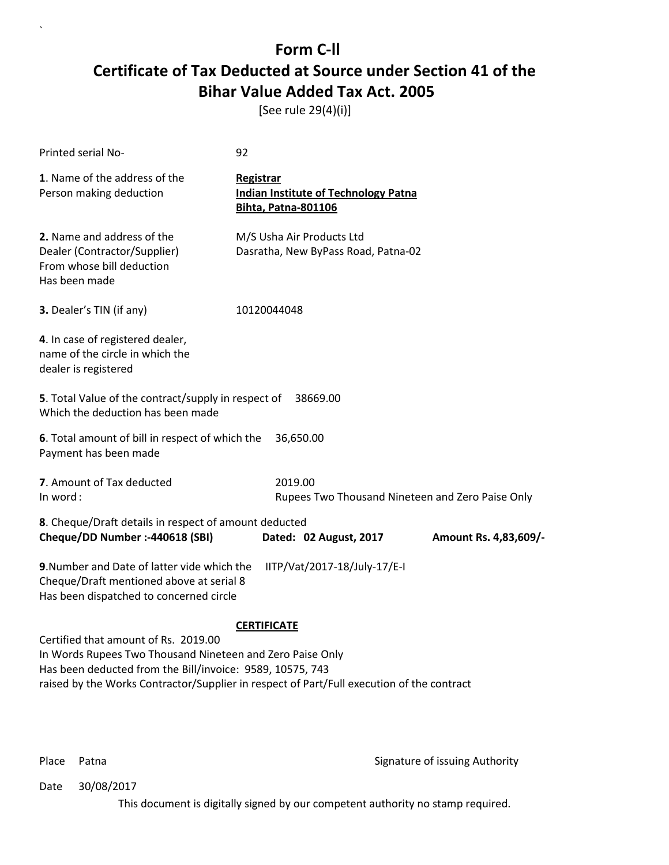[See rule 29(4)(i)]

| Printed serial No-                                                                                                                                                 | 92                                                                                            |  |  |
|--------------------------------------------------------------------------------------------------------------------------------------------------------------------|-----------------------------------------------------------------------------------------------|--|--|
| 1. Name of the address of the<br>Person making deduction                                                                                                           | <b>Registrar</b><br><b>Indian Institute of Technology Patna</b><br><b>Bihta, Patna-801106</b> |  |  |
| 2. Name and address of the<br>Dealer (Contractor/Supplier)<br>From whose bill deduction<br>Has been made                                                           | M/S Usha Air Products Ltd<br>Dasratha, New ByPass Road, Patna-02                              |  |  |
| 3. Dealer's TIN (if any)                                                                                                                                           | 10120044048                                                                                   |  |  |
| 4. In case of registered dealer,<br>name of the circle in which the<br>dealer is registered                                                                        |                                                                                               |  |  |
| 5. Total Value of the contract/supply in respect of<br>Which the deduction has been made                                                                           | 38669.00                                                                                      |  |  |
| 6. Total amount of bill in respect of which the<br>Payment has been made                                                                                           | 36,650.00                                                                                     |  |  |
| 7. Amount of Tax deducted<br>In word:                                                                                                                              | 2019.00<br>Rupees Two Thousand Nineteen and Zero Paise Only                                   |  |  |
| 8. Cheque/Draft details in respect of amount deducted<br>Cheque/DD Number :- 440618 (SBI)                                                                          | Dated: 02 August, 2017<br>Amount Rs. 4,83,609/-                                               |  |  |
| 9. Number and Date of latter vide which the<br>IITP/Vat/2017-18/July-17/E-I<br>Cheque/Draft mentioned above at serial 8<br>Has been dispatched to concerned circle |                                                                                               |  |  |
|                                                                                                                                                                    | <b>CERTIFICATE</b>                                                                            |  |  |
| Certified that amount of Rs. 2019.00<br>In Words Rupees Two Thousand Nineteen and Zero Paise Only<br>Has been deducted from the Bill/invoice: 9589, 10575, 743     | raised by the Works Contractor/Supplier in respect of Part/Full execution of the contract     |  |  |
|                                                                                                                                                                    |                                                                                               |  |  |

`

Place Patna **Property** Place Patna Signature of issuing Authority

Date 30/08/2017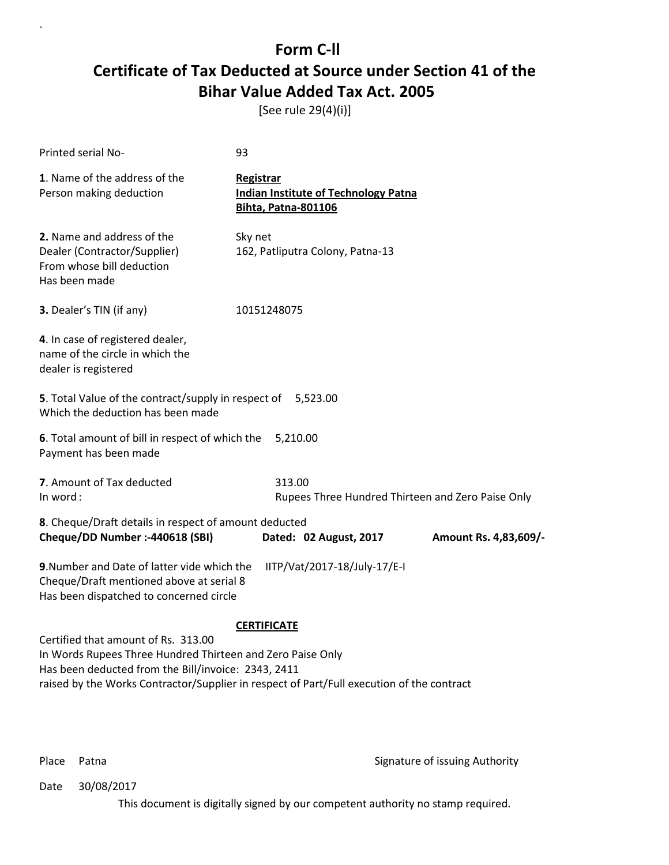[See rule 29(4)(i)]

| Printed serial No-                                                                                                                                       | 93                                                                                     |                       |
|----------------------------------------------------------------------------------------------------------------------------------------------------------|----------------------------------------------------------------------------------------|-----------------------|
| 1. Name of the address of the<br>Person making deduction                                                                                                 | Registrar<br><b>Indian Institute of Technology Patna</b><br><b>Bihta, Patna-801106</b> |                       |
| 2. Name and address of the<br>Dealer (Contractor/Supplier)<br>From whose bill deduction<br>Has been made                                                 | Sky net<br>162, Patliputra Colony, Patna-13                                            |                       |
| 3. Dealer's TIN (if any)                                                                                                                                 | 10151248075                                                                            |                       |
| 4. In case of registered dealer,<br>name of the circle in which the<br>dealer is registered                                                              |                                                                                        |                       |
| 5. Total Value of the contract/supply in respect of 5,523.00<br>Which the deduction has been made                                                        |                                                                                        |                       |
| 6. Total amount of bill in respect of which the<br>Payment has been made                                                                                 | 5,210.00                                                                               |                       |
| 7. Amount of Tax deducted<br>In word:                                                                                                                    | 313.00<br>Rupees Three Hundred Thirteen and Zero Paise Only                            |                       |
| 8. Cheque/Draft details in respect of amount deducted<br>Cheque/DD Number :- 440618 (SBI)                                                                | Dated: 02 August, 2017                                                                 | Amount Rs. 4,83,609/- |
| 9. Number and Date of latter vide which the<br>Cheque/Draft mentioned above at serial 8<br>Has been dispatched to concerned circle                       | IITP/Vat/2017-18/July-17/E-I                                                           |                       |
|                                                                                                                                                          | <b>CERTIFICATE</b>                                                                     |                       |
| Certified that amount of Rs. 313.00<br>In Words Rupees Three Hundred Thirteen and Zero Paise Only<br>Has been deducted from the Bill/invoice: 2343, 2411 |                                                                                        |                       |

raised by the Works Contractor/Supplier in respect of Part/Full execution of the contract

`

Place Patna **Property** Place Patna Signature of issuing Authority

Date 30/08/2017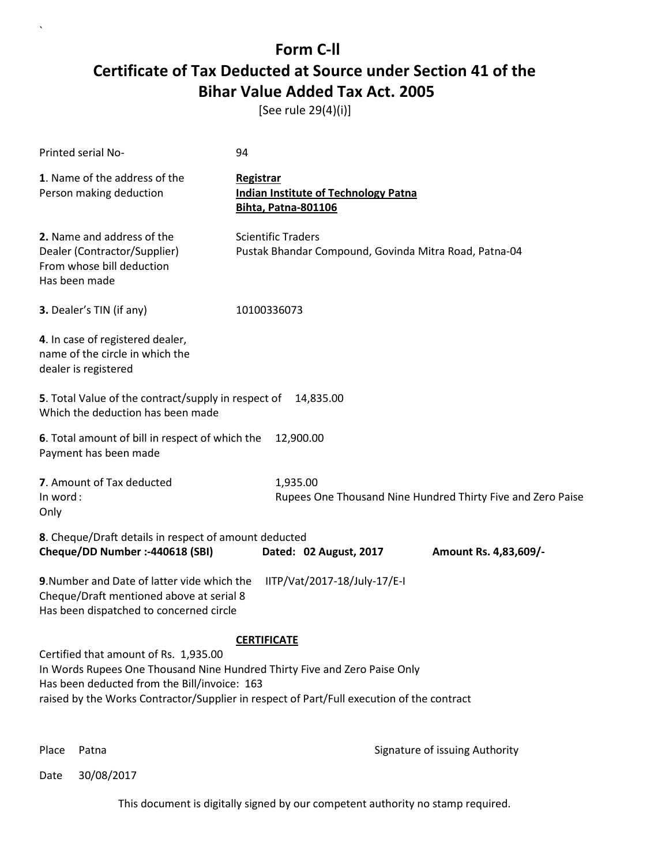[See rule 29(4)(i)]

| Printed serial No-                                                                                                                                                                                                                                              | 94                                                                                     |                                                             |
|-----------------------------------------------------------------------------------------------------------------------------------------------------------------------------------------------------------------------------------------------------------------|----------------------------------------------------------------------------------------|-------------------------------------------------------------|
| 1. Name of the address of the<br>Person making deduction                                                                                                                                                                                                        | Registrar<br><b>Indian Institute of Technology Patna</b><br><b>Bihta, Patna-801106</b> |                                                             |
| 2. Name and address of the<br>Dealer (Contractor/Supplier)<br>From whose bill deduction<br>Has been made                                                                                                                                                        | <b>Scientific Traders</b><br>Pustak Bhandar Compound, Govinda Mitra Road, Patna-04     |                                                             |
| 3. Dealer's TIN (if any)                                                                                                                                                                                                                                        | 10100336073                                                                            |                                                             |
| 4. In case of registered dealer,<br>name of the circle in which the<br>dealer is registered                                                                                                                                                                     |                                                                                        |                                                             |
| 5. Total Value of the contract/supply in respect of 14,835.00<br>Which the deduction has been made                                                                                                                                                              |                                                                                        |                                                             |
| 6. Total amount of bill in respect of which the<br>Payment has been made                                                                                                                                                                                        | 12,900.00                                                                              |                                                             |
| 7. Amount of Tax deducted<br>In word:<br>Only                                                                                                                                                                                                                   | 1,935.00                                                                               | Rupees One Thousand Nine Hundred Thirty Five and Zero Paise |
| 8. Cheque/Draft details in respect of amount deducted<br>Cheque/DD Number :- 440618 (SBI)                                                                                                                                                                       | Dated: 02 August, 2017                                                                 | Amount Rs. 4,83,609/-                                       |
| 9. Number and Date of latter vide which the<br>Cheque/Draft mentioned above at serial 8<br>Has been dispatched to concerned circle                                                                                                                              | IITP/Vat/2017-18/July-17/E-I                                                           |                                                             |
| Certified that amount of Rs. 1,935.00<br>In Words Rupees One Thousand Nine Hundred Thirty Five and Zero Paise Only<br>Has been deducted from the Bill/invoice: 163<br>raised by the Works Contractor/Supplier in respect of Part/Full execution of the contract | <b>CERTIFICATE</b>                                                                     |                                                             |

`

Place Patna **Property** Place Patna Signature of issuing Authority

Date 30/08/2017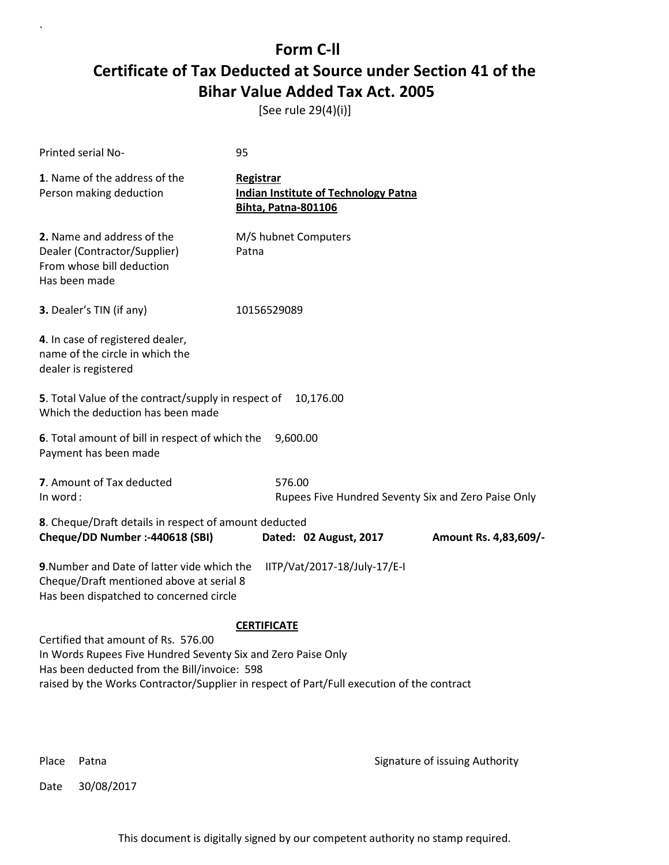[See rule 29(4)(i)]

| Printed serial No-                                                                                                                                                 | 95                                                                                        |                       |  |
|--------------------------------------------------------------------------------------------------------------------------------------------------------------------|-------------------------------------------------------------------------------------------|-----------------------|--|
| 1. Name of the address of the<br>Person making deduction                                                                                                           | Registrar<br><b>Indian Institute of Technology Patna</b><br><b>Bihta, Patna-801106</b>    |                       |  |
| 2. Name and address of the<br>Dealer (Contractor/Supplier)<br>From whose bill deduction<br>Has been made                                                           | M/S hubnet Computers<br>Patna                                                             |                       |  |
| 3. Dealer's TIN (if any)                                                                                                                                           | 10156529089                                                                               |                       |  |
| 4. In case of registered dealer,<br>name of the circle in which the<br>dealer is registered                                                                        |                                                                                           |                       |  |
| 5. Total Value of the contract/supply in respect of<br>10,176.00<br>Which the deduction has been made                                                              |                                                                                           |                       |  |
| 6. Total amount of bill in respect of which the<br>Payment has been made                                                                                           | 9,600.00                                                                                  |                       |  |
| 7. Amount of Tax deducted<br>In word:                                                                                                                              | 576.00<br>Rupees Five Hundred Seventy Six and Zero Paise Only                             |                       |  |
| 8. Cheque/Draft details in respect of amount deducted<br>Cheque/DD Number :- 440618 (SBI)                                                                          | Dated: 02 August, 2017                                                                    | Amount Rs. 4,83,609/- |  |
| 9. Number and Date of latter vide which the<br>IITP/Vat/2017-18/July-17/E-I<br>Cheque/Draft mentioned above at serial 8<br>Has been dispatched to concerned circle |                                                                                           |                       |  |
|                                                                                                                                                                    | <b>CERTIFICATE</b>                                                                        |                       |  |
| Certified that amount of Rs. 576.00<br>In Words Rupees Five Hundred Seventy Six and Zero Paise Only                                                                |                                                                                           |                       |  |
| Has been deducted from the Bill/invoice: 598                                                                                                                       |                                                                                           |                       |  |
|                                                                                                                                                                    | raised by the Works Contractor/Supplier in respect of Part/Full execution of the contract |                       |  |

`

Place Patna **Properties Authority** Signature of issuing Authority

Date 30/08/2017